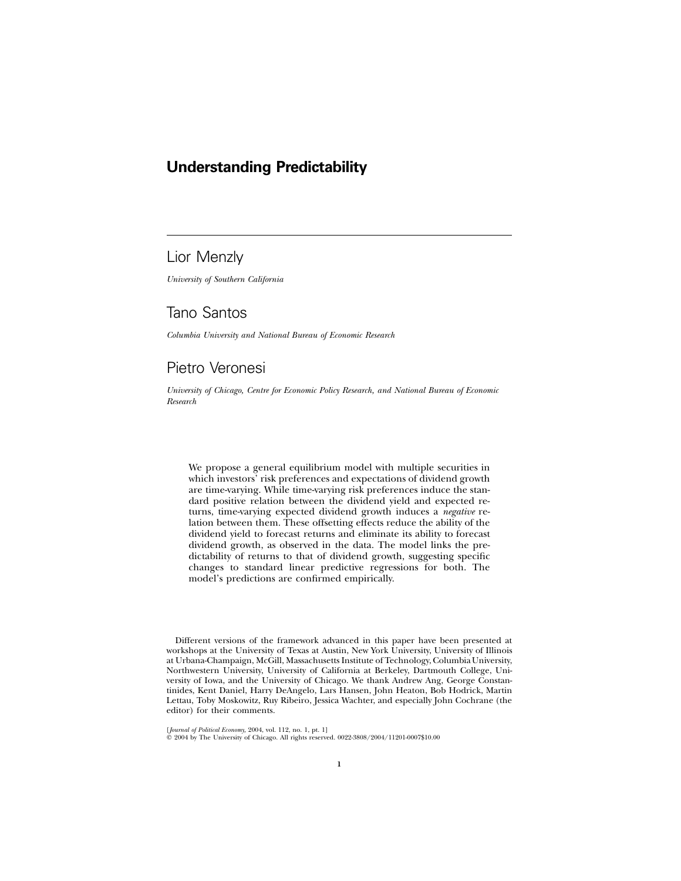# Lior Menzly

*University of Southern California*

# Tano Santos

*Columbia University and National Bureau of Economic Research*

# Pietro Veronesi

*University of Chicago, Centre for Economic Policy Research, and National Bureau of Economic Research*

We propose a general equilibrium model with multiple securities in which investors' risk preferences and expectations of dividend growth are time-varying. While time-varying risk preferences induce the standard positive relation between the dividend yield and expected returns, time-varying expected dividend growth induces a *negative* relation between them. These offsetting effects reduce the ability of the dividend yield to forecast returns and eliminate its ability to forecast dividend growth, as observed in the data. The model links the predictability of returns to that of dividend growth, suggesting specific changes to standard linear predictive regressions for both. The model's predictions are confirmed empirically.

Different versions of the framework advanced in this paper have been presented at workshops at the University of Texas at Austin, New York University, University of Illinois at Urbana-Champaign, McGill, Massachusetts Institute of Technology, Columbia University, Northwestern University, University of California at Berkeley, Dartmouth College, University of Iowa, and the University of Chicago. We thank Andrew Ang, George Constantinides, Kent Daniel, Harry DeAngelo, Lars Hansen, John Heaton, Bob Hodrick, Martin Lettau, Toby Moskowitz, Ruy Ribeiro, Jessica Wachter, and especially John Cochrane (the editor) for their comments.

[*Journal of Political Economy,* 2004, vol. 112, no. 1, pt. 1]<br>© 2004 by The University of Chicago. All rights reserved. 0022-3808/2004/11201-0007\$10.00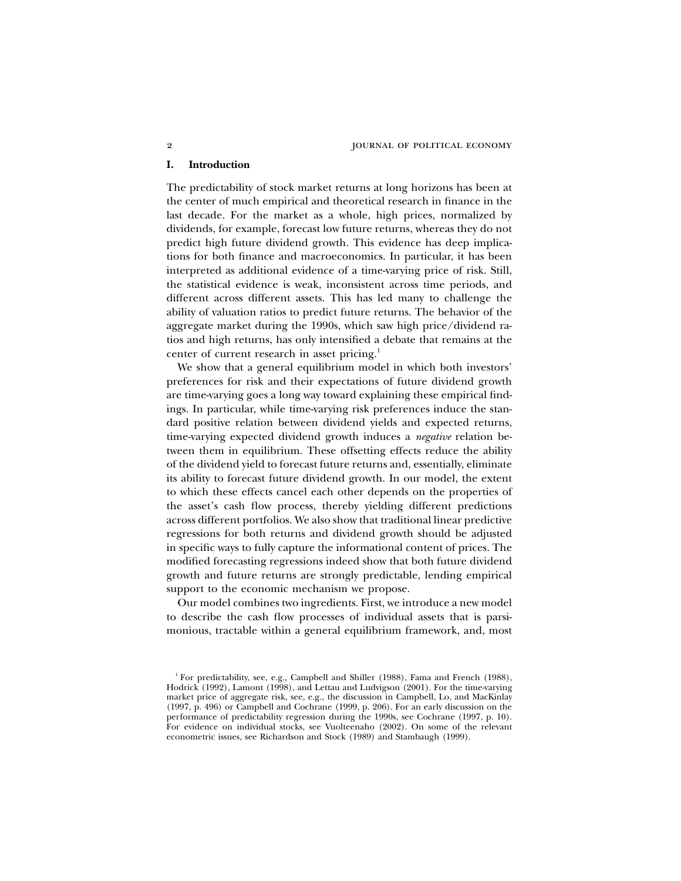#### **I. Introduction**

The predictability of stock market returns at long horizons has been at the center of much empirical and theoretical research in finance in the last decade. For the market as a whole, high prices, normalized by dividends, for example, forecast low future returns, whereas they do not predict high future dividend growth. This evidence has deep implications for both finance and macroeconomics. In particular, it has been interpreted as additional evidence of a time-varying price of risk. Still, the statistical evidence is weak, inconsistent across time periods, and different across different assets. This has led many to challenge the ability of valuation ratios to predict future returns. The behavior of the aggregate market during the 1990s, which saw high price/dividend ratios and high returns, has only intensified a debate that remains at the center of current research in asset pricing.<sup>1</sup>

We show that a general equilibrium model in which both investors' preferences for risk and their expectations of future dividend growth are time-varying goes a long way toward explaining these empirical findings. In particular, while time-varying risk preferences induce the standard positive relation between dividend yields and expected returns, time-varying expected dividend growth induces a *negative* relation between them in equilibrium. These offsetting effects reduce the ability of the dividend yield to forecast future returns and, essentially, eliminate its ability to forecast future dividend growth. In our model, the extent to which these effects cancel each other depends on the properties of the asset's cash flow process, thereby yielding different predictions across different portfolios. We also show that traditional linear predictive regressions for both returns and dividend growth should be adjusted in specific ways to fully capture the informational content of prices. The modified forecasting regressions indeed show that both future dividend growth and future returns are strongly predictable, lending empirical support to the economic mechanism we propose.

Our model combines two ingredients. First, we introduce a new model to describe the cash flow processes of individual assets that is parsimonious, tractable within a general equilibrium framework, and, most

<sup>&</sup>lt;sup>1</sup> For predictability, see, e.g., Campbell and Shiller (1988), Fama and French (1988), Hodrick (1992), Lamont (1998), and Lettau and Ludvigson (2001). For the time-varying market price of aggregate risk, see, e.g., the discussion in Campbell, Lo, and MacKinlay (1997, p. 496) or Campbell and Cochrane (1999, p. 206). For an early discussion on the performance of predictability regression during the 1990s, see Cochrane (1997, p. 10). For evidence on individual stocks, see Vuolteenaho (2002). On some of the relevant econometric issues, see Richardson and Stock (1989) and Stambaugh (1999).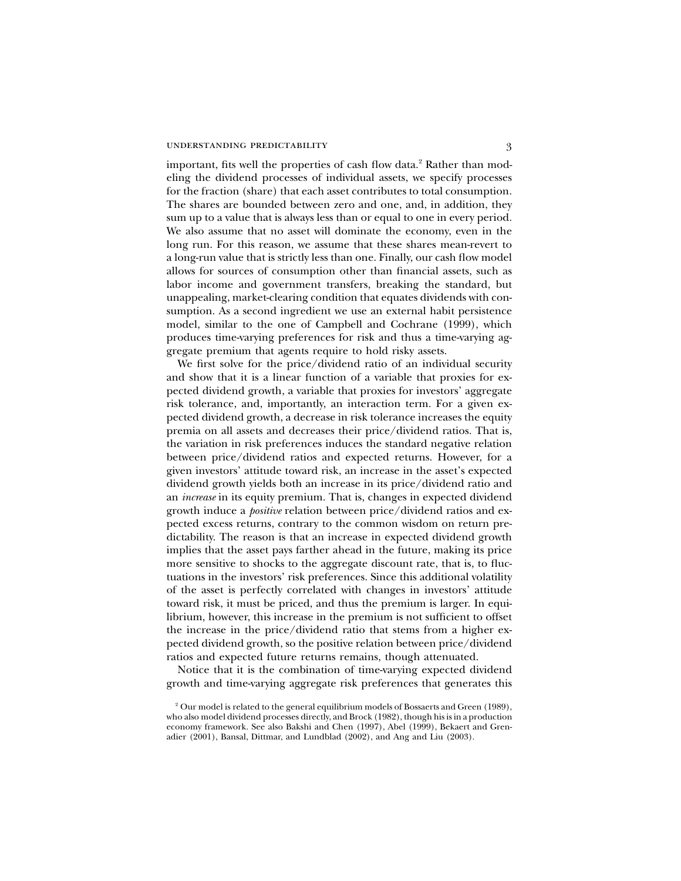important, fits well the properties of cash flow data.<sup>2</sup> Rather than modeling the dividend processes of individual assets, we specify processes for the fraction (share) that each asset contributes to total consumption. The shares are bounded between zero and one, and, in addition, they sum up to a value that is always less than or equal to one in every period. We also assume that no asset will dominate the economy, even in the long run. For this reason, we assume that these shares mean-revert to a long-run value that is strictly less than one. Finally, our cash flow model allows for sources of consumption other than financial assets, such as labor income and government transfers, breaking the standard, but unappealing, market-clearing condition that equates dividends with consumption. As a second ingredient we use an external habit persistence model, similar to the one of Campbell and Cochrane (1999), which produces time-varying preferences for risk and thus a time-varying aggregate premium that agents require to hold risky assets.

We first solve for the price/dividend ratio of an individual security and show that it is a linear function of a variable that proxies for expected dividend growth, a variable that proxies for investors' aggregate risk tolerance, and, importantly, an interaction term. For a given expected dividend growth, a decrease in risk tolerance increases the equity premia on all assets and decreases their price/dividend ratios. That is, the variation in risk preferences induces the standard negative relation between price/dividend ratios and expected returns. However, for a given investors' attitude toward risk, an increase in the asset's expected dividend growth yields both an increase in its price/dividend ratio and an *increase* in its equity premium. That is, changes in expected dividend growth induce a *positive* relation between price/dividend ratios and expected excess returns, contrary to the common wisdom on return predictability. The reason is that an increase in expected dividend growth implies that the asset pays farther ahead in the future, making its price more sensitive to shocks to the aggregate discount rate, that is, to fluctuations in the investors' risk preferences. Since this additional volatility of the asset is perfectly correlated with changes in investors' attitude toward risk, it must be priced, and thus the premium is larger. In equilibrium, however, this increase in the premium is not sufficient to offset the increase in the price/dividend ratio that stems from a higher expected dividend growth, so the positive relation between price/dividend ratios and expected future returns remains, though attenuated.

Notice that it is the combination of time-varying expected dividend growth and time-varying aggregate risk preferences that generates this

<sup>&</sup>lt;sup>2</sup> Our model is related to the general equilibrium models of Bossaerts and Green (1989), who also model dividend processes directly, and Brock (1982), though his is in a production economy framework. See also Bakshi and Chen (1997), Abel (1999), Bekaert and Grenadier (2001), Bansal, Dittmar, and Lundblad (2002), and Ang and Liu (2003).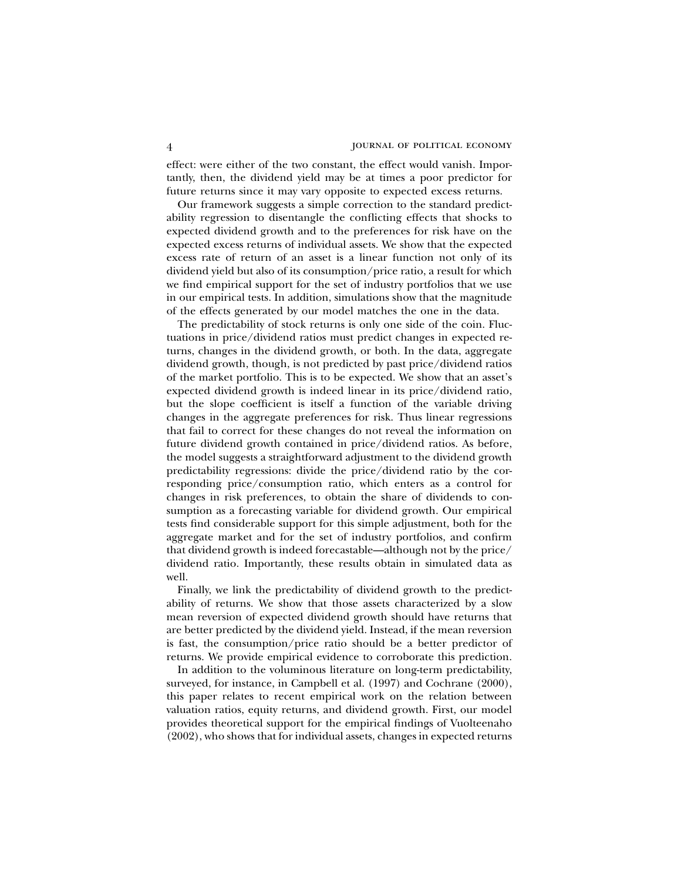effect: were either of the two constant, the effect would vanish. Importantly, then, the dividend yield may be at times a poor predictor for future returns since it may vary opposite to expected excess returns.

Our framework suggests a simple correction to the standard predictability regression to disentangle the conflicting effects that shocks to expected dividend growth and to the preferences for risk have on the expected excess returns of individual assets. We show that the expected excess rate of return of an asset is a linear function not only of its dividend yield but also of its consumption/price ratio, a result for which we find empirical support for the set of industry portfolios that we use in our empirical tests. In addition, simulations show that the magnitude of the effects generated by our model matches the one in the data.

The predictability of stock returns is only one side of the coin. Fluctuations in price/dividend ratios must predict changes in expected returns, changes in the dividend growth, or both. In the data, aggregate dividend growth, though, is not predicted by past price/dividend ratios of the market portfolio. This is to be expected. We show that an asset's expected dividend growth is indeed linear in its price/dividend ratio, but the slope coefficient is itself a function of the variable driving changes in the aggregate preferences for risk. Thus linear regressions that fail to correct for these changes do not reveal the information on future dividend growth contained in price/dividend ratios. As before, the model suggests a straightforward adjustment to the dividend growth predictability regressions: divide the price/dividend ratio by the corresponding price/consumption ratio, which enters as a control for changes in risk preferences, to obtain the share of dividends to consumption as a forecasting variable for dividend growth. Our empirical tests find considerable support for this simple adjustment, both for the aggregate market and for the set of industry portfolios, and confirm that dividend growth is indeed forecastable—although not by the price/ dividend ratio. Importantly, these results obtain in simulated data as well.

Finally, we link the predictability of dividend growth to the predictability of returns. We show that those assets characterized by a slow mean reversion of expected dividend growth should have returns that are better predicted by the dividend yield. Instead, if the mean reversion is fast, the consumption/price ratio should be a better predictor of returns. We provide empirical evidence to corroborate this prediction.

In addition to the voluminous literature on long-term predictability, surveyed, for instance, in Campbell et al. (1997) and Cochrane (2000), this paper relates to recent empirical work on the relation between valuation ratios, equity returns, and dividend growth. First, our model provides theoretical support for the empirical findings of Vuolteenaho (2002), who shows that for individual assets, changes in expected returns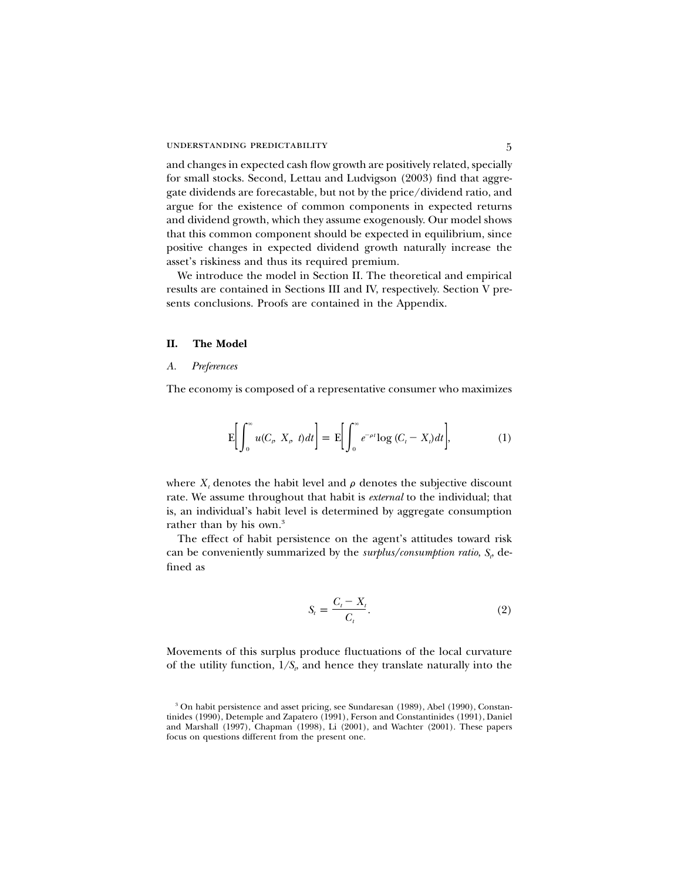and changes in expected cash flow growth are positively related, specially for small stocks. Second, Lettau and Ludvigson (2003) find that aggregate dividends are forecastable, but not by the price/dividend ratio, and argue for the existence of common components in expected returns and dividend growth, which they assume exogenously. Our model shows that this common component should be expected in equilibrium, since positive changes in expected dividend growth naturally increase the asset's riskiness and thus its required premium.

We introduce the model in Section II. The theoretical and empirical results are contained in Sections III and IV, respectively. Section V presents conclusions. Proofs are contained in the Appendix.

# **II. The Model**

# *A. Preferences*

The economy is composed of a representative consumer who maximizes

$$
\mathbb{E}\bigg[\int_0^\infty u(C_\rho, X_\rho, t)dt\bigg] = \mathbb{E}\bigg[\int_0^\infty e^{-\rho t} \log\left(C_t - X_t\right)dt\bigg],\tag{1}
$$

where  $X_t$  denotes the habit level and  $\rho$  denotes the subjective discount rate. We assume throughout that habit is *external* to the individual; that is, an individual's habit level is determined by aggregate consumption rather than by his own.<sup>3</sup>

The effect of habit persistence on the agent's attitudes toward risk can be conveniently summarized by the *surplus/consumption ratio*, S<sub>p</sub> defined as

$$
S_t = \frac{C_t - X_t}{C_t}.\tag{2}
$$

Movements of this surplus produce fluctuations of the local curvature of the utility function,  $1/S<sub>p</sub>$  and hence they translate naturally into the

<sup>3</sup> On habit persistence and asset pricing, see Sundaresan (1989), Abel (1990), Constantinides (1990), Detemple and Zapatero (1991), Ferson and Constantinides (1991), Daniel and Marshall (1997), Chapman (1998), Li (2001), and Wachter (2001). These papers focus on questions different from the present one.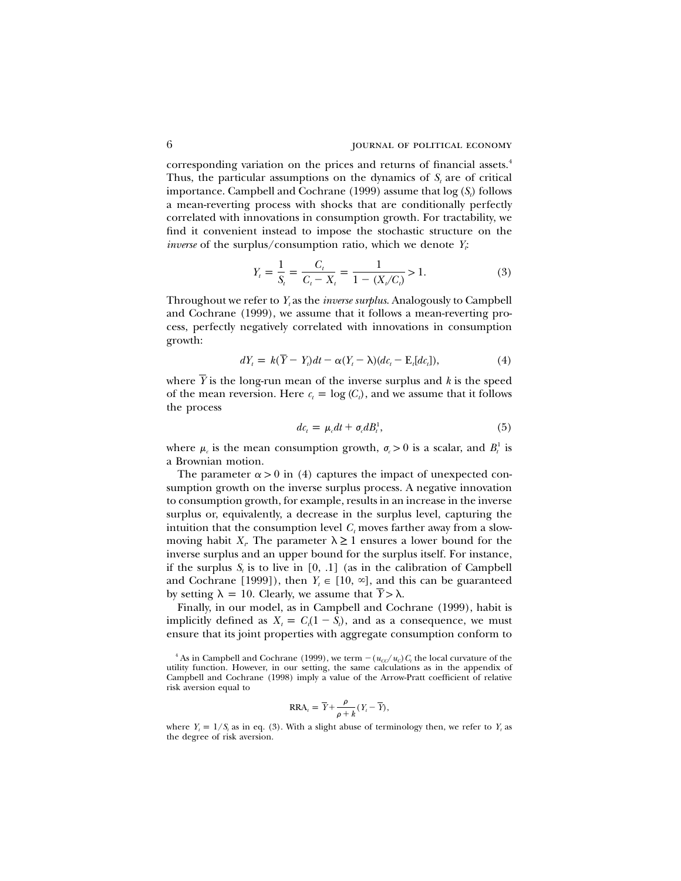corresponding variation on the prices and returns of financial assets.<sup>4</sup> Thus, the particular assumptions on the dynamics of  $S_t$  are of critical importance. Campbell and Cochrane (1999) assume that log (*S*<sub>i</sub>) follows a mean-reverting process with shocks that are conditionally perfectly correlated with innovations in consumption growth. For tractability, we find it convenient instead to impose the stochastic structure on the *inverse* of the surplus/consumption ratio, which we denote  $Y_t$ :

$$
Y_{t} = \frac{1}{S_{t}} = \frac{C_{t}}{C_{t} - X_{t}} = \frac{1}{1 - (X_{t}/C_{t})} > 1.
$$
\n(3)

Throughout we refer to  $Y_t$  as the *inverse surplus*. Analogously to Campbell and Cochrane (1999), we assume that it follows a mean-reverting process, perfectly negatively correlated with innovations in consumption growth:

$$
dY_t = k(\overline{Y} - Y_t)dt - \alpha(Y_t - \lambda)(dc_t - \mathbb{E}_t[dc_t]),
$$
\n(4)

where  $\overline{Y}$  is the long-run mean of the inverse surplus and *k* is the speed of the mean reversion. Here  $c_t = \log(C_t)$ , and we assume that it follows the process

$$
dc_{t} = \mu_{c}dt + \sigma_{c}dB_{t}^{1}, \qquad (5)
$$

where  $\mu_c$  is the mean consumption growth,  $\sigma_c > 0$  is a scalar, and  $B_t^1$  is a Brownian motion.

The parameter  $\alpha > 0$  in (4) captures the impact of unexpected consumption growth on the inverse surplus process. A negative innovation to consumption growth, for example, results in an increase in the inverse surplus or, equivalently, a decrease in the surplus level, capturing the intuition that the consumption level  $C$ , moves farther away from a slowmoving habit  $X_t$ . The parameter  $\lambda \geq 1$  ensures a lower bound for the inverse surplus and an upper bound for the surplus itself. For instance, if the surplus  $S_t$  is to live in  $[0, 0.1]$  (as in the calibration of Campbell and Cochrane [1999]), then  $Y_t \in [10, \infty]$ , and this can be guaranteed by setting  $\lambda = 10$ . Clearly, we assume that  $\overline{Y} > \lambda$ .

Finally, in our model, as in Campbell and Cochrane (1999), habit is implicitly defined as  $X_t = C_t(1 - S_t)$ , and as a consequence, we must ensure that its joint properties with aggregate consumption conform to

$$
RRA_{t} = \overline{Y} + \frac{\rho}{\rho + k} (Y_{t} - \overline{Y}),
$$

<sup>&</sup>lt;sup>4</sup> As in Campbell and Cochrane (1999), we term  $-(u_{cc}/u_c)C_t$  the local curvature of the utility function. However, in our setting, the same calculations as in the appendix of Campbell and Cochrane (1998) imply a value of the Arrow-Pratt coefficient of relative risk aversion equal to

where  $Y_t = 1/S_t$  as in eq. (3). With a slight abuse of terminology then, we refer to  $Y_t$  as the degree of risk aversion.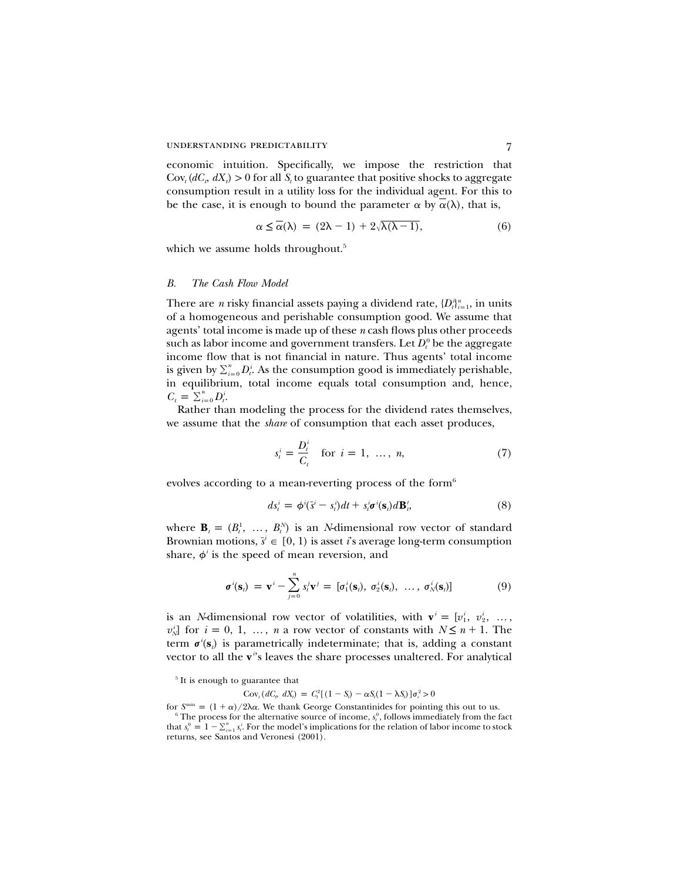economic intuition. Specifically, we impose the restriction that  $Cov_t$  (*dC<sub>p</sub>*  $dX_t$ ) > 0 for all  $S_t$  to guarantee that positive shocks to aggregate consumption result in a utility loss for the individual agent. For this to be the case, it is enough to bound the parameter  $\alpha$  by  $\alpha(\lambda)$ , that is,

$$
\alpha \leq \overline{\alpha}(\lambda) = (2\lambda - 1) + 2\sqrt{\lambda(\lambda - 1)},
$$
\n(6)

which we assume holds throughout.<sup>5</sup>

#### *B. The Cash Flow Model*

There are *n* risky financial assets paying a dividend rate,  $\{D_i\}_{i=1}^n$ , in units of a homogeneous and perishable consumption good. We assume that agents' total income is made up of these *n* cash flows plus other proceeds such as labor income and government transfers. Let  $D_t^0$  be the aggregate income flow that is not financial in nature. Thus agents' total income is given by  $\sum_{i=0}^{n} D_i^i$ . As the consumption good is immediately perishable, in equilibrium, total income equals total consumption and, hence,  $C_t = \sum_{i=0}^n D_t^i$ .

Rather than modeling the process for the dividend rates themselves, we assume that the *share* of consumption that each asset produces,

$$
s_i^i = \frac{D_i^i}{C_i} \text{ for } i = 1, \dots, n,
$$
 (7)

evolves according to a mean-reverting process of the form<sup>6</sup>

$$
ds_t^i = \phi^i(\bar{s}^i - s_t^i)dt + s_t^i\sigma^i(\mathbf{s}_i)d\mathbf{B}_t',
$$
\n(8)

where  $\mathbf{B}_t = (B_t^1, \ldots, B_t^N)$  is an *N*-dimensional row vector of standard Brownian motions,  $\vec{s}^i \in [0, 1)$  is asset *i*'s average long-term consumption share,  $\phi^i$  is the speed of mean reversion, and

$$
\boldsymbol{\sigma}^{i}(\mathbf{s}_{i}) = \mathbf{v}^{i} - \sum_{j=0}^{n} s_{i}^{j} \mathbf{v}^{j} = [\sigma_{1}^{i}(\mathbf{s}_{i}), \ \sigma_{2}^{i}(\mathbf{s}_{i}), \ \dots, \ \sigma_{N}^{i}(\mathbf{s}_{i})]
$$
(9)

is an *N*-dimensional row vector of volatilities, with  $\mathbf{v}^i = [v_1^i, v_2^i, ..., v_n^i]$  $v_N^i$  for  $i = 0, 1, ..., n$  a row vector of constants with  $N \leq n + 1$ . The term  $\sigma^i(s)$  is parametrically indeterminate; that is, adding a constant vector to all the  $\mathbf{v}^{\prime\prime}$ s leaves the share processes unaltered. For analytical

<sup>5</sup> It is enough to guarantee that

 $Cov_t (dC_t, dX_t) = C_t^2 [(1 - S_t) - \alpha S_t (1 - \lambda S_t)] \sigma_t^2 > 0$ 

for  $S^{\min} = (1 + \alpha)/2\lambda\alpha$ . We thank George Constantinides for pointing this out to us.  $6$ <sup>6</sup> The process for the alternative source of income,  $s_t^0$ , follows immediately from the fact that  $s_i^0 = 1 - \sum_{i=1}^n s_i^i$ . For the model's implications for the relation of labor income to stock returns, see Santos and Veronesi (2001).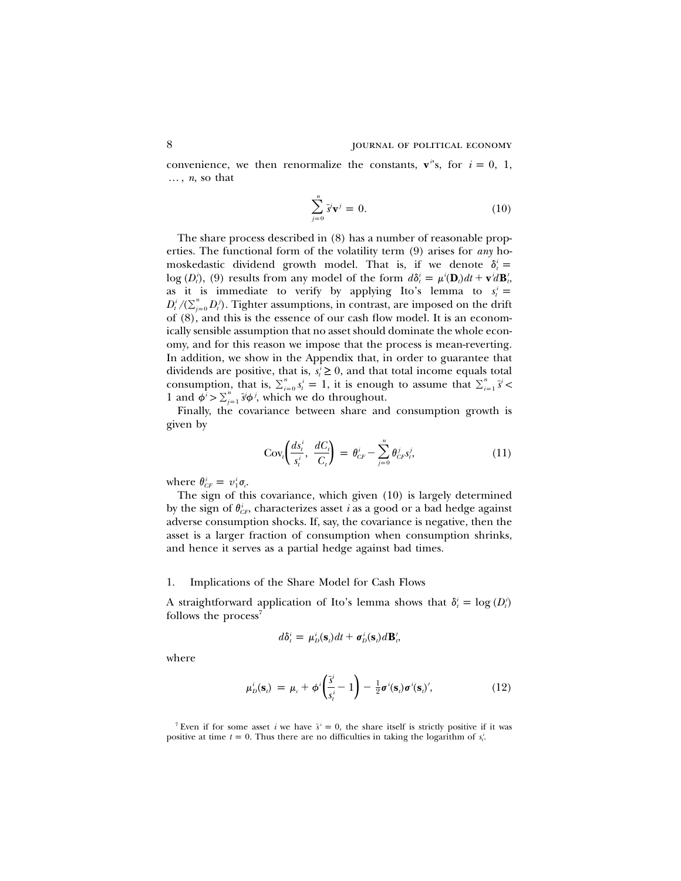convenience, we then renormalize the constants,  $\mathbf{v}^s$ s, for  $i = 0, 1$ , … , *n*, so that

$$
\sum_{j=0}^{n} \bar{\mathbf{y}}^{j} \mathbf{v}^{j} = 0. \tag{10}
$$

The share process described in (8) has a number of reasonable properties. The functional form of the volatility term (9) arises for *any* homoskedastic dividend growth model. That is, if we denote  $\delta_t^i$  =  $\log(D_i^i)$ , (9) results from any model of the form  $d\delta_i^i = \mu^i(\mathbf{D}_i)dt + \mathbf{v}^i d\mathbf{B}_i^i$ as it is immediate to verify by applying Ito's lemma to  $s_t^i$  =  $D_i^i/(\sum_{i=0}^n D_i^j)$ . Tighter assumptions, in contrast, are imposed on the drift of (8), and this is the essence of our cash flow model. It is an economically sensible assumption that no asset should dominate the whole economy, and for this reason we impose that the process is mean-reverting. In addition, we show in the Appendix that, in order to guarantee that dividends are positive, that is,  $s_t \geq 0$ , and that total income equals total consumption, that is,  $\sum_{i=0}^{n} s_i^i = 1$ , it is enough to assume that  $\sum_{i=1}^{n} \bar{s}^i$ 1 and  $\phi^i > \sum_{i=1}^n \bar{s}^i \phi^j$ , which we do throughout.

Finally, the covariance between share and consumption growth is given by

$$
Cov_t\left(\frac{ds_i^i}{s_i^i}, \frac{dC_i}{C_i}\right) = \theta_{CF}^i - \sum_{j=0}^n \theta_{CF}^j s_i^j,
$$
\n(11)

where  $\theta_{CF}^i = v_1^i \sigma_c$ 

The sign of this covariance, which given (10) is largely determined by the sign of  $\theta_{CF}^i$ , characterizes asset *i* as a good or a bad hedge against adverse consumption shocks. If, say, the covariance is negative, then the asset is a larger fraction of consumption when consumption shrinks, and hence it serves as a partial hedge against bad times.

# 1. Implications of the Share Model for Cash Flows

A straightforward application of Ito's lemma shows that  $\delta_i^i = \log(D_i^i)$ follows the process<sup>7</sup>

$$
d\delta^i_t = \mu^i_D(\mathbf{s}_t)dt + \sigma^i_D(\mathbf{s}_t)d\mathbf{B}'_t,
$$

where

$$
\mu_D^i(\mathbf{s}_i) = \mu_c + \phi^i \left( \frac{\bar{s}^i}{s_i^i} - 1 \right) - \frac{1}{2} \boldsymbol{\sigma}^i(\mathbf{s}_i) \boldsymbol{\sigma}^i(\mathbf{s}_i)', \tag{12}
$$

<sup>&</sup>lt;sup>7</sup> Even if for some asset *i* we have  $\bar{s}^i = 0$ , the share itself is strictly positive if it was positive at time  $t = 0$ . Thus there are no difficulties in taking the logarithm of  $s_t^i$ .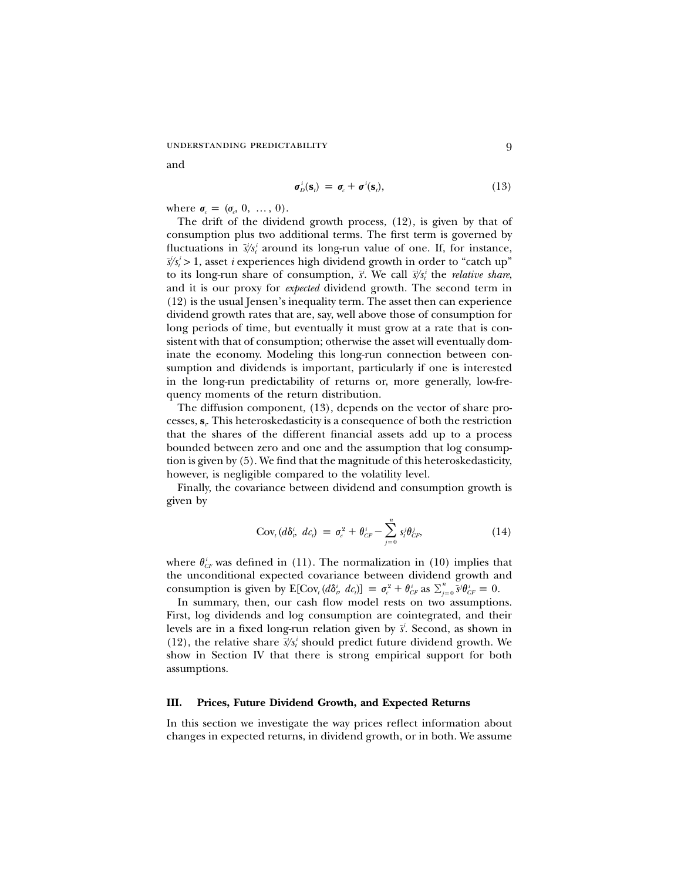and

$$
\sigma^i_D(\mathbf{s}_i) = \sigma_c + \sigma^i(\mathbf{s}_i), \tag{13}
$$

where  $\sigma_c = (\sigma_c, 0, \ldots, 0)$ .

The drift of the dividend growth process, (12), is given by that of consumption plus two additional terms. The first term is governed by fluctuations in  $\vec{s}/s_t^i$  around its long-run value of one. If, for instance,  $\bar{s}/s_i^i > 1$ , asset *i* experiences high dividend growth in order to "catch up" to its long-run share of consumption,  $\bar{s}$ <sup>*i*</sup>. We call  $\bar{s}$ <sup>*i*</sup> $s$ <sup>*i*</sup><sub>*i*</sub> the *relative share*, and it is our proxy for *expected* dividend growth. The second term in (12) is the usual Jensen's inequality term. The asset then can experience dividend growth rates that are, say, well above those of consumption for long periods of time, but eventually it must grow at a rate that is consistent with that of consumption; otherwise the asset will eventually dominate the economy. Modeling this long-run connection between consumption and dividends is important, particularly if one is interested in the long-run predictability of returns or, more generally, low-frequency moments of the return distribution.

The diffusion component, (13), depends on the vector of share processes,  $s<sub>r</sub>$ . This heteroskedasticity is a consequence of both the restriction that the shares of the different financial assets add up to a process bounded between zero and one and the assumption that log consumption is given by (5). We find that the magnitude of this heteroskedasticity, however, is negligible compared to the volatility level.

Finally, the covariance between dividend and consumption growth is given by

$$
Cov_t(d\delta_v^i \ d c_i) = \sigma_c^2 + \theta_{CF}^i - \sum_{j=0}^n s_i^j \theta_{CF}^j,
$$
 (14)

where  $\theta_{CF}^i$  was defined in (11). The normalization in (10) implies that the unconditional expected covariance between dividend growth and consumption is given by  $E[Cor_{i} (d\delta_{r}^{i} d\epsilon_{i})] = \sigma_{c}^{2} + \theta_{CF}^{i}$  as  $\sum_{i=0}^{n} \bar{s}^{i} \theta_{CF}^{i} = 0$ .

In summary, then, our cash flow model rests on two assumptions. First, log dividends and log consumption are cointegrated, and their levels are in a fixed long-run relation given by  $\bar{s}^i$ . Second, as shown in (12), the relative share  $\vec{s}/s_i^i$  should predict future dividend growth. We show in Section IV that there is strong empirical support for both assumptions.

# **III. Prices, Future Dividend Growth, and Expected Returns**

In this section we investigate the way prices reflect information about changes in expected returns, in dividend growth, or in both. We assume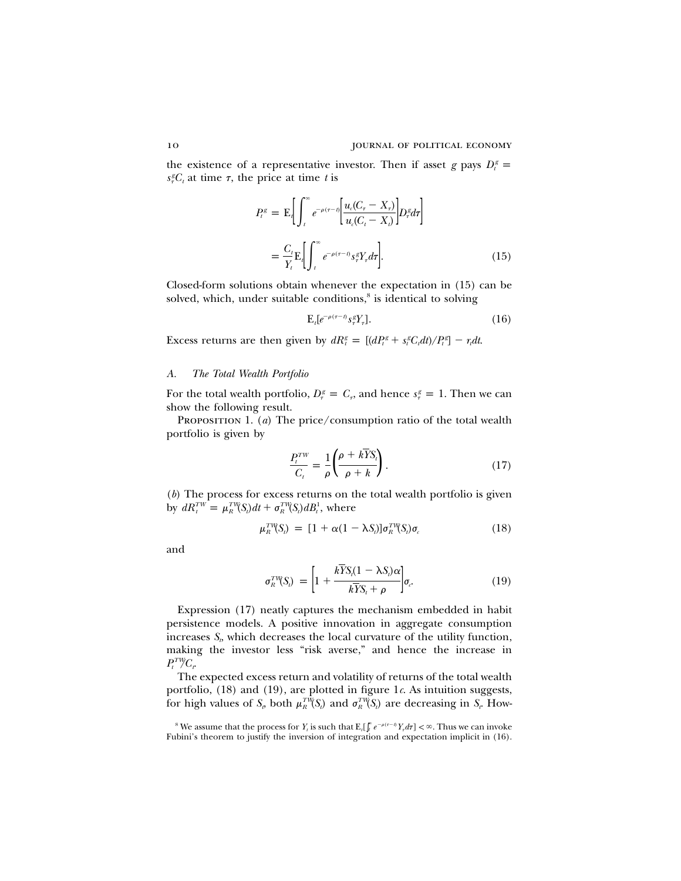the existence of a representative investor. Then if asset *g* pays  $D_t^g$  =  $s^g_\tau C_t$  at time  $\tau$ , the price at time t is

$$
P_t^{\varepsilon} = \mathcal{E}_t \left[ \int_t^{\infty} e^{-\rho(\tau - \theta)} \left[ \frac{u_c(C_{\tau} - X_{\tau})}{u_c(C_t - X_t)} \right] D_{\tau}^{\varepsilon} d\tau \right]
$$
  
= 
$$
\frac{C_t}{Y_t} \mathcal{E}_t \left[ \int_t^{\infty} e^{-\rho(\tau - \theta)} s_{\tau}^{\varepsilon} Y_{\tau} d\tau \right].
$$
 (15)

Closed-form solutions obtain whenever the expectation in (15) can be solved, which, under suitable conditions, $\delta$  is identical to solving

$$
\mathbf{E}_{t}[e^{-\rho(\tau-t)}s_{\tau}^{s}Y_{\tau}].
$$
\n(16)

Excess returns are then given by  $dR_t^g = [(dP_t^g + s_t^g C_t dt)/P_t^g] - r_t dt$ .

# *A. The Total Wealth Portfolio*

For the total wealth portfolio,  $D_{\tau}^{g} = C_{\tau}$ , and hence  $s_{\tau}^{g} = 1$ . Then we can show the following result.

PROPOSITION 1. (*a*) The price/consumption ratio of the total wealth portfolio is given by

$$
\frac{P_t^{TW}}{C_t} = \frac{1}{\rho} \left( \frac{\rho + k \overline{Y} S_t}{\rho + k} \right). \tag{17}
$$

(*b*) The process for excess returns on the total wealth portfolio is given by  $dR_t^{TW} = \mu_R^{TW}(S_i)dt + \sigma_R^{TW}(S_i)dB_t^1$ , where

$$
\mu_R^{TW}(S_i) = [1 + \alpha (1 - \lambda S_i)] \sigma_R^{TW}(S_i) \sigma_c \qquad (18)
$$

and

$$
\sigma_{R}^{TW}(S_{i}) = \left[1 + \frac{kYS_{i}(1 - \lambda S_{i})\alpha}{kYS_{i} + \rho}\right]\sigma_{c}.
$$
\n(19)

Expression (17) neatly captures the mechanism embedded in habit persistence models. A positive innovation in aggregate consumption increases  $S_p$ , which decreases the local curvature of the utility function, making the investor less "risk averse," and hence the increase in  $P_t^{T}\mathcal{V}C_t$ .

The expected excess return and volatility of returns of the total wealth portfolio, (18) and (19), are plotted in figure 1*c*. As intuition suggests, for high values of  $S_p$  both  $\mu_R^{TW}(S_p)$  and  $\sigma_R^{TW}(S_p)$  are decreasing in  $S_p$ . How-

<sup>&</sup>lt;sup>8</sup> We assume that the process for  $Y_t$  is such that  $\mathbb{E}_t \left[ \int_t^{\infty} e^{-\rho(\tau-t)} Y_t d\tau \right] < \infty$ . Thus we can invoke Fubini's theorem to justify the inversion of integration and expectation implicit in (16).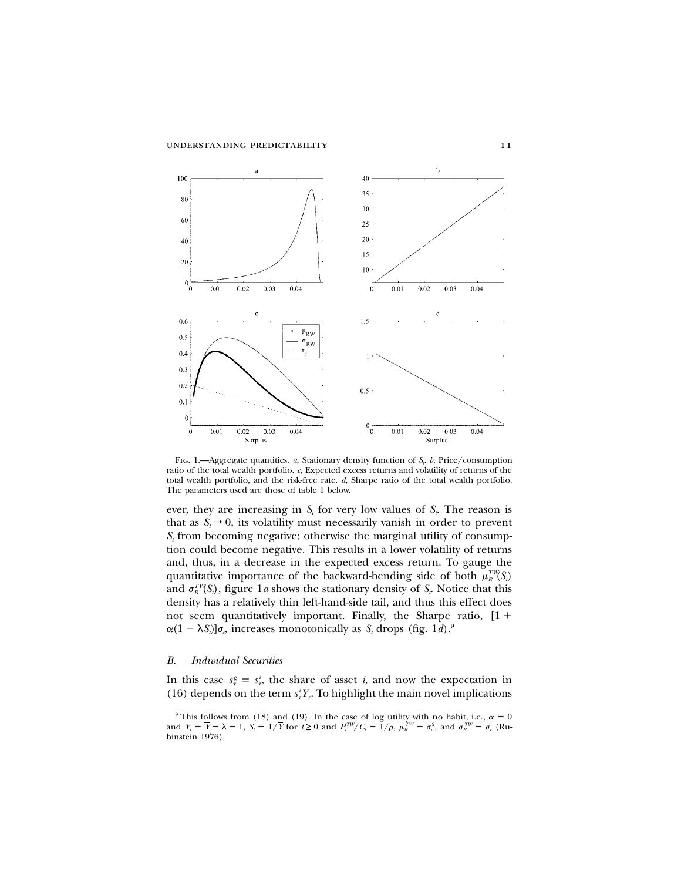

Fig. 1.—Aggregate quantities. *a*, Stationary density function of  $S_t$ , *b*, Price/consumption ratio of the total wealth portfolio. *c*, Expected excess returns and volatility of returns of the total wealth portfolio, and the risk-free rate. *d*, Sharpe ratio of the total wealth portfolio. The parameters used are those of table 1 below.

ever, they are increasing in  $S_t$  for very low values of  $S_t$ . The reason is that as  $S_t \rightarrow 0$ , its volatility must necessarily vanish in order to prevent  $S<sub>t</sub>$  from becoming negative; otherwise the marginal utility of consumption could become negative. This results in a lower volatility of returns and, thus, in a decrease in the expected excess return. To gauge the quantitative importance of the backward-bending side of both  $\mu_R^{TW}(S_i)$ and  $\sigma_R^{TW}(S_i)$ , figure 1*a* shows the stationary density of S<sub>*r*</sub>. Notice that this density has a relatively thin left-hand-side tail, and thus this effect does not seem quantitatively important. Finally, the Sharpe ratio,  $[1 +$  $\alpha(1 - \lambda S_i) \sigma$ , increases monotonically as  $S_i$  drops (fig. 1*d*).<sup>9</sup>

# *B. Individual Securities*

In this case  $s^g_\tau = s^i_\tau$ , the share of asset *i*, and now the expectation in (16) depends on the term  $s^i Y_t$ . To highlight the main novel implications

<sup>&</sup>lt;sup>9</sup> This follows from (18) and (19). In the case of log utility with no habit, i.e.,  $\alpha = 0$ and  $Y_t = \overline{Y} = \lambda = 1$ ,  $S_t = 1/\overline{Y}$  for  $t \ge 0$  and  $P_t^{\text{TW}}/C_t = 1/\rho$ ,  $\mu_R^{\text{TW}} = \sigma_c^2$ , and  $\sigma_R^{\text{TW}} = \sigma_c$  (Rubinstein 1976).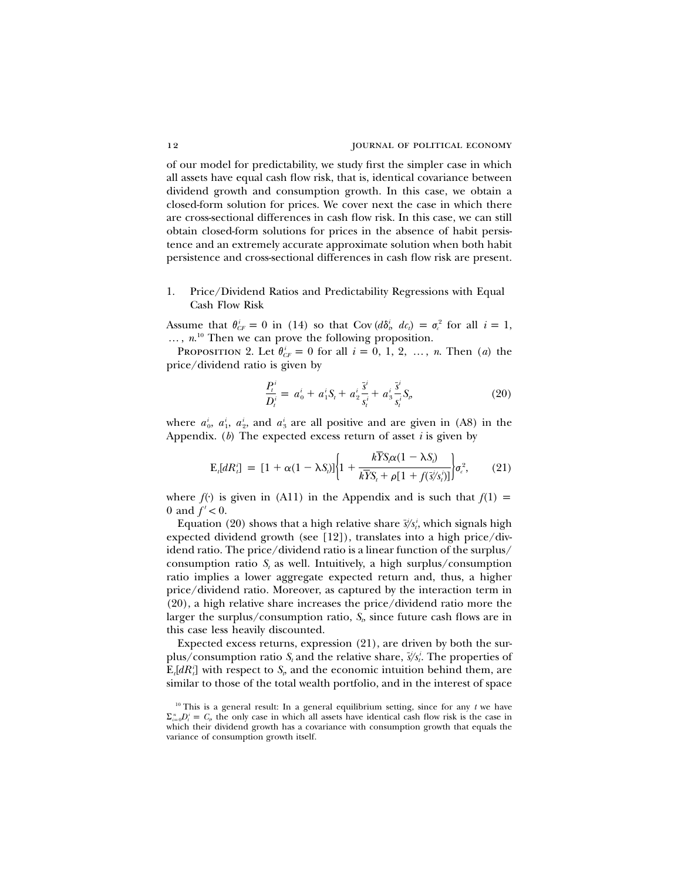of our model for predictability, we study first the simpler case in which all assets have equal cash flow risk, that is, identical covariance between dividend growth and consumption growth. In this case, we obtain a closed-form solution for prices. We cover next the case in which there are cross-sectional differences in cash flow risk. In this case, we can still obtain closed-form solutions for prices in the absence of habit persistence and an extremely accurate approximate solution when both habit persistence and cross-sectional differences in cash flow risk are present.

# 1. Price/Dividend Ratios and Predictability Regressions with Equal Cash Flow Risk

Assume that  $\theta_{CF}^i = 0$  in (14) so that Cov ( $d\delta_{P}^i$  dc<sub>i</sub>) =  $\sigma_c^2$  for all  $i = 1$ , ..., *n*.<sup>10</sup> Then we can prove the following proposition.

**PROPOSITION** 2. Let  $\theta_{CF}^i = 0$  for all  $i = 0, 1, 2, ..., n$ . Then (*a*) the price/dividend ratio is given by

$$
\frac{P_t^i}{D_t^i} = a_0^i + a_1^i S_t + a_2^i \frac{\bar{s}^i}{s_t^i} + a_3^i \frac{\bar{s}^i}{s_t^i} S_t, \tag{20}
$$

where  $a_0^i$ ,  $a_1^i$ ,  $a_2^i$ , and  $a_3^i$  are all positive and are given in (A8) in the Appendix. (*b*) The expected excess return of asset *i* is given by

$$
\mathrm{E}_{i}[dR'_{i}] = [1 + \alpha(1 - \lambda S_{i})] \bigg\{ 1 + \frac{k \overline{Y} S_{i} \alpha (1 - \lambda S_{i})}{k \overline{Y} S_{i} + \rho [1 + f(\overline{s}' S_{i}^{i})]} \bigg\} \sigma_{c}^{2}, \quad (21)
$$

where  $f(\cdot)$  is given in (A11) in the Appendix and is such that  $f(1)$  = 0 and  $f' < 0$ .

Equation (20) shows that a high relative share  $\vec{s}/s_i^i$ , which signals high expected dividend growth (see [12]), translates into a high price/dividend ratio. The price/dividend ratio is a linear function of the surplus/ consumption ratio  $S_t$  as well. Intuitively, a high surplus/consumption ratio implies a lower aggregate expected return and, thus, a higher price/dividend ratio. Moreover, as captured by the interaction term in (20), a high relative share increases the price/dividend ratio more the larger the surplus/consumption ratio,  $S<sub>p</sub>$  since future cash flows are in this case less heavily discounted.

Expected excess returns, expression (21), are driven by both the surplus/consumption ratio S<sub>i</sub> and the relative share,  $\bar{s}/s$ <sup>*i*</sup>, The properties of  $E_i[dR_i^i]$  with respect to  $S_p$  and the economic intuition behind them, are similar to those of the total wealth portfolio, and in the interest of space

<sup>&</sup>lt;sup>10</sup> This is a general result: In a general equilibrium setting, since for any *t* we have  $\Sigma_{i=0}^{n}D_{i}^{i} = C_{p}$  the only case in which all assets have identical cash flow risk is the case in which their dividend growth has a covariance with consumption growth that equals the variance of consumption growth itself.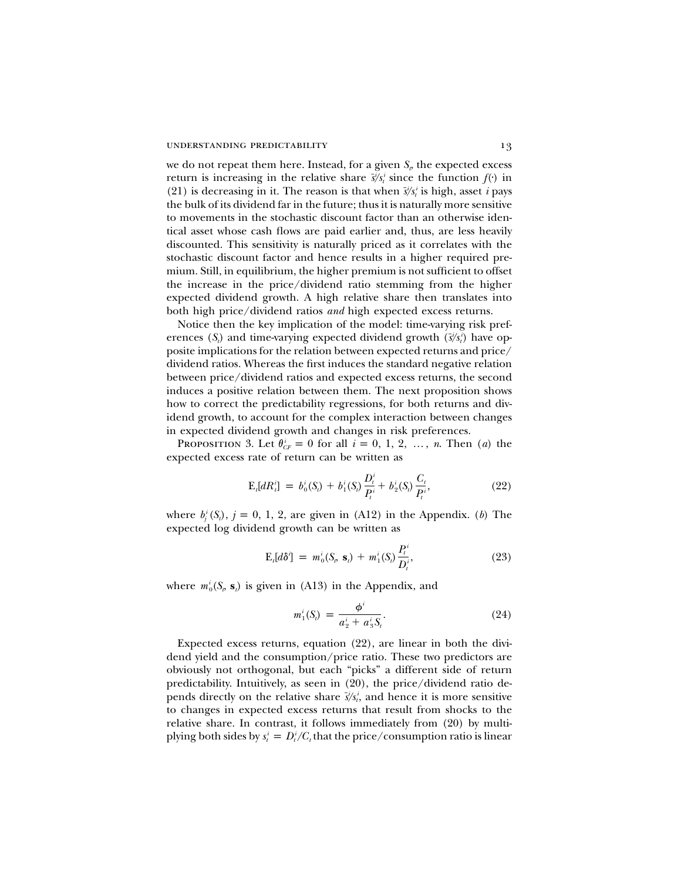we do not repeat them here. Instead, for a given  $S<sub>p</sub>$ , the expected excess return is increasing in the relative share  $\vec{s}/s_i^i$  since the function  $f(\cdot)$  in (21) is decreasing in it. The reason is that when  $\bar{s}/s_t^i$  is high, asset *i* pays the bulk of its dividend far in the future; thus it is naturally more sensitive to movements in the stochastic discount factor than an otherwise identical asset whose cash flows are paid earlier and, thus, are less heavily discounted. This sensitivity is naturally priced as it correlates with the stochastic discount factor and hence results in a higher required premium. Still, in equilibrium, the higher premium is not sufficient to offset the increase in the price/dividend ratio stemming from the higher expected dividend growth. A high relative share then translates into both high price/dividend ratios *and* high expected excess returns.

Notice then the key implication of the model: time-varying risk preferences  $(S_i)$  and time-varying expected dividend growth  $(\bar{s}/s_i)$  have opposite implications for the relation between expected returns and price/ dividend ratios. Whereas the first induces the standard negative relation between price/dividend ratios and expected excess returns, the second induces a positive relation between them. The next proposition shows how to correct the predictability regressions, for both returns and dividend growth, to account for the complex interaction between changes in expected dividend growth and changes in risk preferences.

**PROPOSITION** 3. Let  $\theta_{CF}^i = 0$  for all  $i = 0, 1, 2, ..., n$ . Then (*a*) the expected excess rate of return can be written as

$$
\mathcal{E}_t[dR_t^i] = b_0^i(S_t) + b_1^i(S_t) \frac{D_t^i}{P_t^i} + b_2^i(S_t) \frac{C_t}{P_t^i},
$$
\n(22)

where  $b_i^i(S_i)$ ,  $j = 0, 1, 2$ , are given in (A12) in the Appendix. (*b*) The expected log dividend growth can be written as

$$
\mathcal{E}_{i}[d\delta^{i}] = m_{0}^{i}(S_{\rho} \mathbf{s}_{i}) + m_{1}^{i}(S_{i}) \frac{P_{i}^{i}}{D_{i}^{i}}, \qquad (23)
$$

where  $m_0^i(S, s)$  is given in (A13) in the Appendix, and

$$
m_1^i(S_i) = \frac{\phi^i}{a_2^i + a_3^i S_i}.
$$
\n(24)

Expected excess returns, equation (22), are linear in both the dividend yield and the consumption/price ratio. These two predictors are obviously not orthogonal, but each "picks" a different side of return predictability. Intuitively, as seen in (20), the price/dividend ratio depends directly on the relative share  $\vec{s}/s_i^i$ , and hence it is more sensitive to changes in expected excess returns that result from shocks to the relative share. In contrast, it follows immediately from (20) by multiplying both sides by  $s_t^i = D_t^i / C_t$  that the price/consumption ratio is linear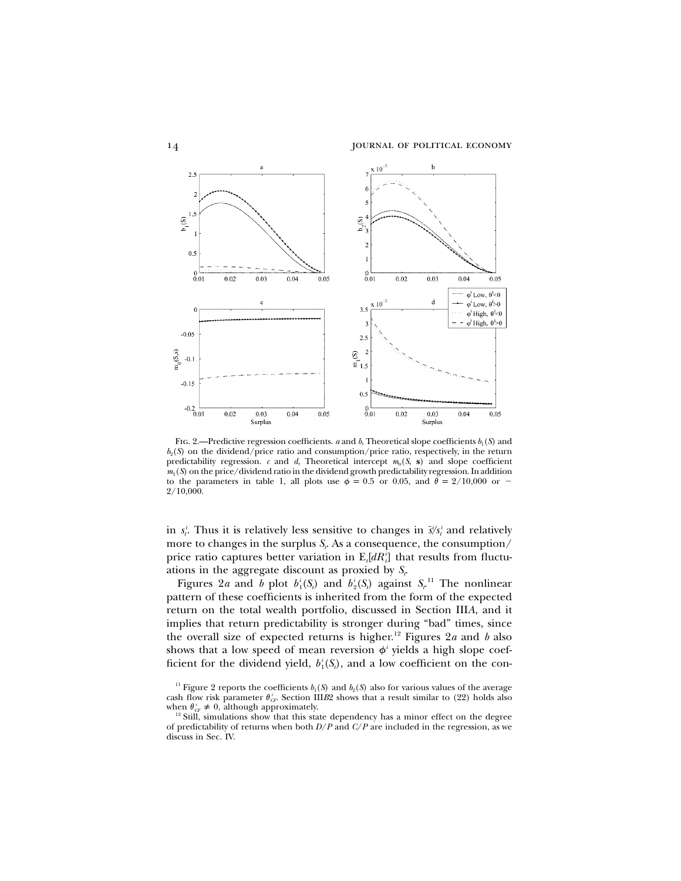

FIG. 2.—Predictive regression coefficients. *a* and *b*, Theoretical slope coefficients  $b_1(S)$  and  $b<sub>2</sub>(S)$  on the dividend/price ratio and consumption/price ratio, respectively, in the return predictability regression. *c* and *d*, Theoretical intercept  $m_0(S, s)$  and slope coefficient *m*1(*S*) on the price/dividend ratio in the dividend growth predictability regression. In addition to the parameters in table 1, all plots use  $\phi = 0.5$  or 0.05, and  $\theta = 2/10,000$  or  $2/10,000$ .

in  $s_i^i$ . Thus it is relatively less sensitive to changes in  $\bar{s}_i^i s_i^i$  and relatively more to changes in the surplus  $S_r$ . As a consequence, the consumption/ price ratio captures better variation in  $E<sub>i</sub>[dR<sub>i</sub><sup>i</sup>]$  that results from fluctuations in the aggregate discount as proxied by  $S_t$ .

Figures 2*a* and *b* plot  $b_1^i(S_i)$  and  $b_2^i(S_i)$  against  $S_i$ <sup>11</sup> The nonlinear pattern of these coefficients is inherited from the form of the expected return on the total wealth portfolio, discussed in Section III*A*, and it implies that return predictability is stronger during "bad" times, since the overall size of expected returns is higher.<sup>12</sup> Figures  $2a$  and *b* also shows that a low speed of mean reversion  $\phi^i$  yields a high slope coefficient for the dividend yield,  $b_1^i(S_i)$ , and a low coefficient on the con-

<sup>&</sup>lt;sup>11</sup> Figure 2 reports the coefficients  $b<sub>1</sub>(S)$  and  $b<sub>2</sub>(S)$  also for various values of the average cash flow risk parameter  $\theta_{cr}^i$ . Section III*B*2 shows that a result similar to (22) holds also when  $\theta_{cr}^i \neq 0$ , although approximately.

<sup>&</sup>lt;sup>12</sup> Still, simulations show that this state dependency has a minor effect on the degree of predictability of returns when both  $D/P$  and  $C/P$  are included in the regression, as we discuss in Sec. IV.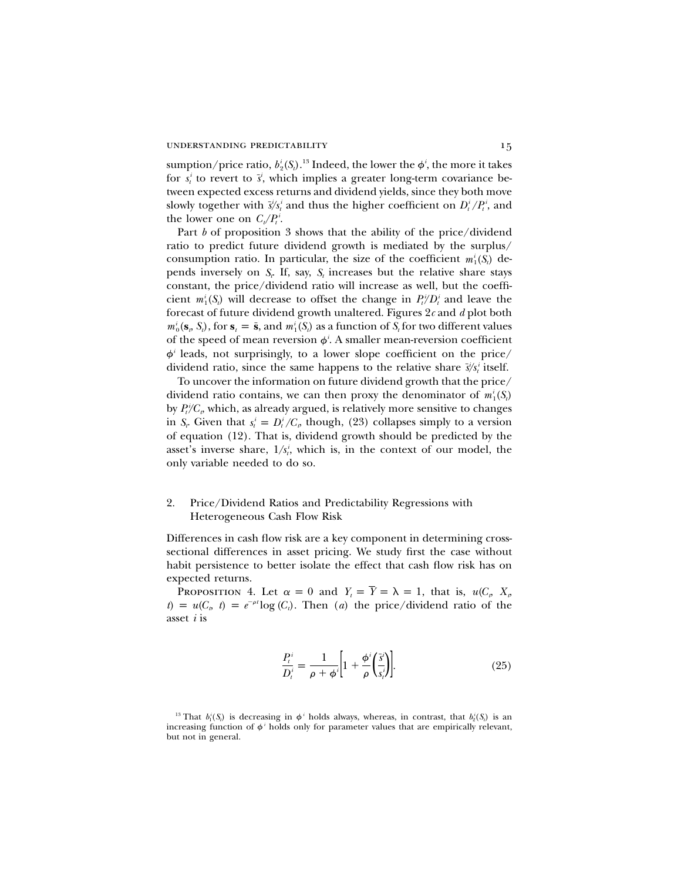$\mathrm{sumption/price}$  ratio,  $b^i_2(S_i)$ . $^{13}$   $\mathrm{Indeed,}$  the lower the  $\phi^i$ , the more it takes for  $s_i^i$  to revert to  $\bar{s}^i$ , which implies a greater long-term covariance between expected excess returns and dividend yields, since they both move slowly together with  $\bar{s}/s_i^i$  and thus the higher coefficient on  $D_t^i/P_t^i$ , and the lower one on  $C_i/P_i^i$ .

Part *b* of proposition 3 shows that the ability of the price/dividend ratio to predict future dividend growth is mediated by the surplus/ consumption ratio. In particular, the size of the coefficient  $m_1^i(S_i)$  depends inversely on S<sub>r</sub>. If, say, S<sub>c</sub> increases but the relative share stays constant, the price/dividend ratio will increase as well, but the coefficient  $m_i^i(S_i)$  will decrease to offset the change in  $P_i^i/D_i^i$  and leave the forecast of future dividend growth unaltered. Figures 2*c* and *d* plot both  $m_0^i(\mathbf{s}_i, \mathbf{s}_i)$ , for  $\mathbf{s}_i = \bar{\mathbf{s}}$ , and  $m_1^i(\mathbf{s}_i)$  as a function of  $\mathbf{s}_i$  for two different values of the speed of mean reversion  $\phi$ <sup>*i*</sup>. A smaller mean-reversion coefficient  $\phi^i$  leads, not surprisingly, to a lower slope coefficient on the price/ dividend ratio, since the same happens to the relative share  $\bar{s}/s_t^i$  itself.

To uncover the information on future dividend growth that the price/ dividend ratio contains, we can then proxy the denominator of  $m_1^i(S)$ by  $P_t/C_p$ , which, as already argued, is relatively more sensitive to changes in  $S_t$ . Given that  $s_t = D_t^i / C_t$ , though, (23) collapses simply to a version of equation (12). That is, dividend growth should be predicted by the asset's inverse share,  $1/s<sub>i</sub>$ , which is, in the context of our model, the only variable needed to do so.

# 2. Price/Dividend Ratios and Predictability Regressions with Heterogeneous Cash Flow Risk

Differences in cash flow risk are a key component in determining crosssectional differences in asset pricing. We study first the case without habit persistence to better isolate the effect that cash flow risk has on expected returns.

PROPOSITION 4. Let  $\alpha = 0$  and  $Y_t = \overline{Y} = \lambda = 1$ , that is,  $u(C_p, X_p)$  $t = u(C_t, t) = e^{-\rho t} \log(C_t)$ . Then (*a*) the price/dividend ratio of the asset *i* is

$$
\frac{P_i^i}{D_i^i} = \frac{1}{\rho + \phi^i} \left[ 1 + \frac{\phi^i}{\rho} \left( \frac{\vec{s}^i}{s_i^i} \right) \right].
$$
\n(25)

<sup>&</sup>lt;sup>13</sup> That  $b_i^i(S_i)$  is decreasing in  $\phi^i$  holds always, whereas, in contrast, that  $b_2^i(S_i)$  is an increasing function of  $\phi^i$  holds only for parameter values that are empirically relevant, but not in general.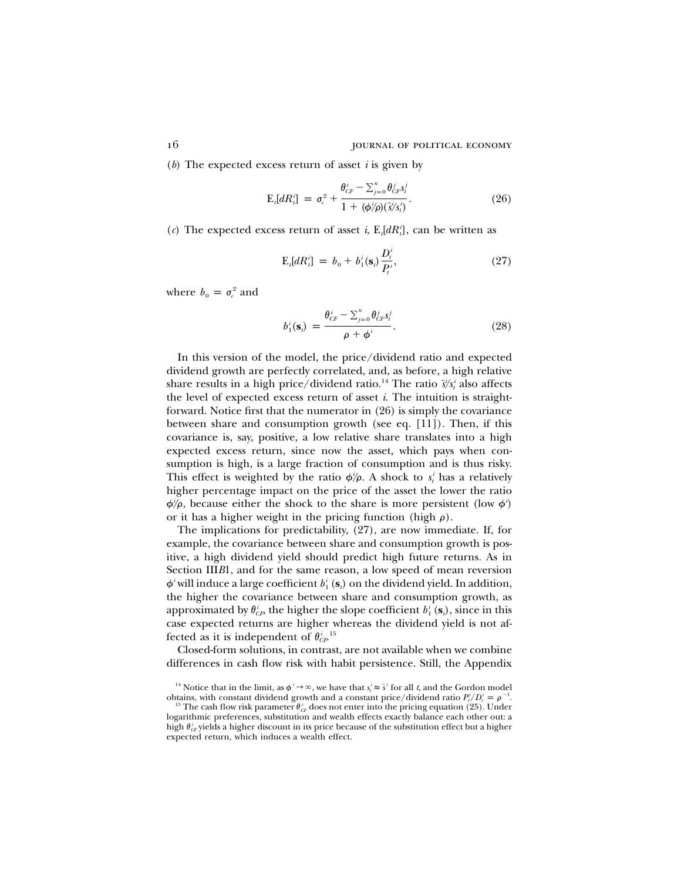(*b*) The expected excess return of asset *i* is given by

$$
E_{t}[dR_{t}^{i}] = \sigma_{c}^{2} + \frac{\theta_{CF}^{i} - \sum_{j=0}^{n} \theta_{CF}^{j} s_{t}^{j}}{1 + (\phi^{j}/\rho)(\bar{s}^{j}/s_{t}^{i})}.
$$
 (26)

(*c*) The expected excess return of asset *i*,  $E_i[dR_i^i]$ , can be written as

$$
\mathcal{E}_i[dR_i^i] = b_0 + b_1^i(\mathbf{s}_i) \frac{D_i^i}{P_i^i},\tag{27}
$$

where  $b_0 = \sigma_c^2$  and

$$
b_1^i(\mathbf{s}_i) = \frac{\theta_{CF}^i - \sum_{j=0}^n \theta_{CF}^j s_i^j}{\rho + \phi^i}.
$$
 (28)

In this version of the model, the price/dividend ratio and expected dividend growth are perfectly correlated, and, as before, a high relative share results in a high price/dividend ratio.<sup>14</sup> The ratio  $\vec{s}/s_t^i$  also affects the level of expected excess return of asset *i*. The intuition is straightforward. Notice first that the numerator in (26) is simply the covariance between share and consumption growth (see eq. [11]). Then, if this covariance is, say, positive, a low relative share translates into a high expected excess return, since now the asset, which pays when consumption is high, is a large fraction of consumption and is thus risky. This effect is weighted by the ratio  $\phi/\rho$ . A shock to  $s_i^i$  has a relatively higher percentage impact on the price of the asset the lower the ratio  $\phi/\rho$ , because either the shock to the share is more persistent (low  $\phi'$ ) or it has a higher weight in the pricing function (high  $\rho$ ).

The implications for predictability, (27), are now immediate. If, for example, the covariance between share and consumption growth is positive, a high dividend yield should predict high future returns. As in Section III*B*1, and for the same reason, a low speed of mean reversion  $\phi^i$  will induce a large coefficient  $b_1^i$  ( $\mathbf{s}_i$ ) on the dividend yield. In addition, the higher the covariance between share and consumption growth, as approximated by  $\theta_{\scriptscriptstyle{CB}}^i$  the higher the slope coefficient  $b_1^i$  ( $\mathbf{s}_i$ ), since in this case expected returns are higher whereas the dividend yield is not affected as it is independent of  $\theta_{\text{CP}}^{i}$ <sup>15</sup>

Closed-form solutions, in contrast, are not available when we combine differences in cash flow risk with habit persistence. Still, the Appendix

<sup>&</sup>lt;sup>14</sup> Notice that in the limit, as  $\phi^i \rightarrow \infty$ , we have that  $s^i \approx \bar{s}^i$  for all *t*, and the Gordon model obtains, with constant dividend growth and a constant price/dividend ratio  $P_t/D_t^i = \rho^{-1}$ .<br><sup>15</sup> The cash flow risk parameter  $\theta_{cR}^i$  does not enter into the pricing equation (25). Under

logarithmic preferences, substitution and wealth effects exactly balance each other out: a high  $\theta_{CF}^i$  yields a higher discount in its price because of the substitution effect but a higher expected return, which induces a wealth effect.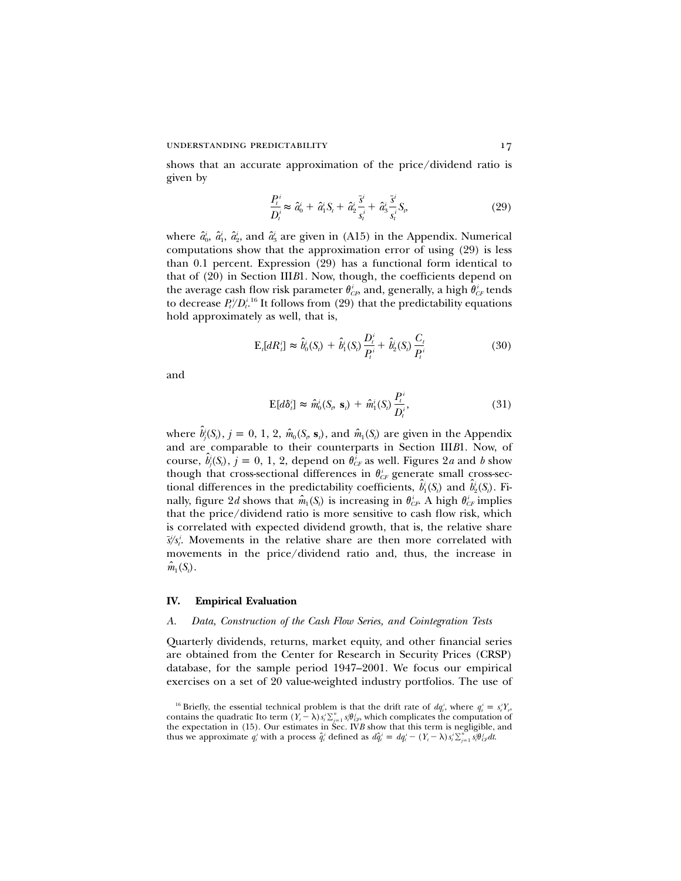shows that an accurate approximation of the price/dividend ratio is given by

$$
\frac{P_i^i}{D_i^i} \approx \hat{a}_0^i + \hat{a}_1^i S_i + \hat{a}_2^i \frac{\bar{s}^i}{s_i^i} + \hat{a}_3^i \frac{\bar{s}^i}{s_i^i} S_\rho \tag{29}
$$

where  $\hat{a}_0^i$ ,  $\hat{a}_1^i$ ,  $\hat{a}_2^i$ , and  $\hat{a}_3^i$  are given in (A15) in the Appendix. Numerical computations show that the approximation error of using (29) is less than 0.1 percent. Expression (29) has a functional form identical to that of (20) in Section III*B*1. Now, though, the coefficients depend on the average cash flow risk parameter  $\theta_{CP}^i$  and, generally, a high  $\theta_{CF}^i$  tends to decrease  $P_i/D_i^{i}$ <sup>16</sup> It follows from (29) that the predictability equations hold approximately as well, that is,

$$
\mathcal{E}_{i}[dR_{i}^{i}] \approx \hat{b}_{0}^{i}(S_{i}) + \hat{b}_{1}^{i}(S_{i})\frac{D_{i}^{i}}{P_{i}^{i}} + \hat{b}_{2}^{i}(S_{i})\frac{C_{i}}{P_{i}^{i}}
$$
(30)

and

$$
\mathbb{E}[d\delta_i^i] \approx \hat{m}_0^i(S_\rho \ \mathbf{s}_i) + \hat{m}_1^i(S_i) \frac{P_i^i}{D_i^i},\tag{31}
$$

where  $\hat{\theta}_j^i(S_i)$ ,  $j = 0, 1, 2, \hat{m}_0(S_i, \mathbf{s}_i)$ , and  $\hat{m}_1(S_i)$  are given in the Appendix and are comparable to their counterparts in Section III*B*1. Now, of course,  $b_i^i(S_i)$ ,  $j = 0, 1, 2$ , depend on  $\theta_{CF}^i$  as well. Figures 2*a* and *b* show though that cross-sectional differences in  $\theta_{CF}^i$  generate small cross-sectional differences in the predictability coefficients,  $\hat{b}_1^i(S_i)$  and  $\hat{b}_2^i(S_i)$ . Finally, figure 2*d* shows that  $\hat{m}_1(S_i)$  is increasing in  $\theta_{CF}^i$ . A high  $\theta_{CF}^i$  implies that the price/dividend ratio is more sensitive to cash flow risk, which is correlated with expected dividend growth, that is, the relative share  $\bar{s}/s_i$ <sup>*i*</sup>. Movements in the relative share are then more correlated with movements in the price/dividend ratio and, thus, the increase in  $\hat{m}_1(S_t)$ .

#### **IV. Empirical Evaluation**

#### *A. Data, Construction of the Cash Flow Series, and Cointegration Tests*

Quarterly dividends, returns, market equity, and other financial series are obtained from the Center for Research in Security Prices (CRSP) database, for the sample period 1947–2001. We focus our empirical exercises on a set of 20 value-weighted industry portfolios. The use of

<sup>&</sup>lt;sup>16</sup> Briefly, the essential technical problem is that the drift rate of  $dq_t^i$ , where  $q_t^i = s_t^i Y_t$ , contains the quadratic Ito term  $(Y_t - \lambda) s_t^i \sum_{j=1}^n s_t^i \theta_{CP}^j$ , which complicates the computation of the expectation in (15). Our estimates in Sec. IVB show that this term is negligible, and thus we approximate  $q_i^i$  with a process  $\hat{q}_i^i$  defined as  $d\hat{q}_i^i = dq_i^i - (Y_i - \lambda)s_i^i \sum_{j=1}^n s_i^i \theta_{i\sigma}^i dt$ .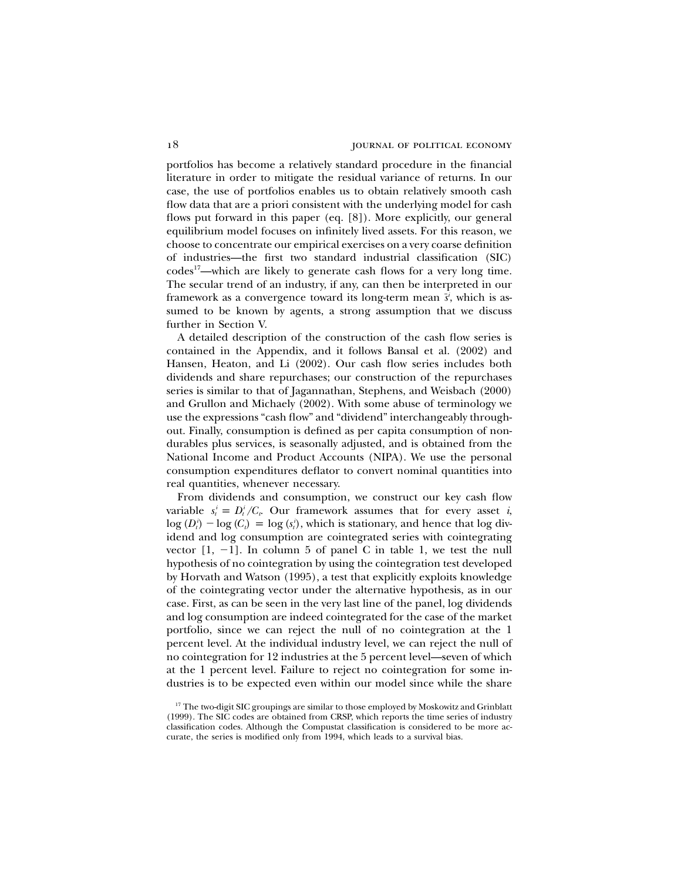portfolios has become a relatively standard procedure in the financial literature in order to mitigate the residual variance of returns. In our case, the use of portfolios enables us to obtain relatively smooth cash flow data that are a priori consistent with the underlying model for cash flows put forward in this paper (eq. [8]). More explicitly, our general equilibrium model focuses on infinitely lived assets. For this reason, we choose to concentrate our empirical exercises on a very coarse definition of industries—the first two standard industrial classification (SIC) codes<sup>17</sup>—which are likely to generate cash flows for a very long time. The secular trend of an industry, if any, can then be interpreted in our framework as a convergence toward its long-term mean  $\bar{s}^i$ , which is assumed to be known by agents, a strong assumption that we discuss further in Section V.

A detailed description of the construction of the cash flow series is contained in the Appendix, and it follows Bansal et al. (2002) and Hansen, Heaton, and Li (2002). Our cash flow series includes both dividends and share repurchases; our construction of the repurchases series is similar to that of Jagannathan, Stephens, and Weisbach (2000) and Grullon and Michaely (2002). With some abuse of terminology we use the expressions "cash flow" and "dividend" interchangeably throughout. Finally, consumption is defined as per capita consumption of nondurables plus services, is seasonally adjusted, and is obtained from the National Income and Product Accounts (NIPA). We use the personal consumption expenditures deflator to convert nominal quantities into real quantities, whenever necessary.

From dividends and consumption, we construct our key cash flow variable  $s_i^i = D_i^i / C_i$ . Our framework assumes that for every asset *i*,  $log (D_t^i) - log (C_t) = log (s_t^i)$ , which is stationary, and hence that  $log$  dividend and log consumption are cointegrated series with cointegrating vector  $[1, -1]$ . In column 5 of panel C in table 1, we test the null hypothesis of no cointegration by using the cointegration test developed by Horvath and Watson (1995), a test that explicitly exploits knowledge of the cointegrating vector under the alternative hypothesis, as in our case. First, as can be seen in the very last line of the panel, log dividends and log consumption are indeed cointegrated for the case of the market portfolio, since we can reject the null of no cointegration at the 1 percent level. At the individual industry level, we can reject the null of no cointegration for 12 industries at the 5 percent level—seven of which at the 1 percent level. Failure to reject no cointegration for some industries is to be expected even within our model since while the share

<sup>&</sup>lt;sup>17</sup> The two-digit SIC groupings are similar to those employed by Moskowitz and Grinblatt (1999). The SIC codes are obtained from CRSP, which reports the time series of industry classification codes. Although the Compustat classification is considered to be more accurate, the series is modified only from 1994, which leads to a survival bias.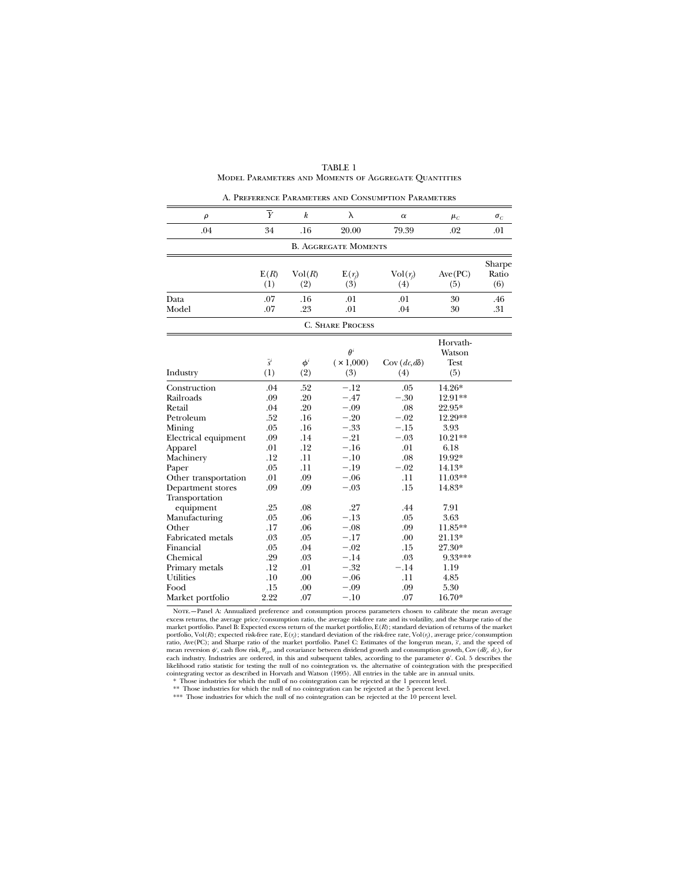| TABLE 1                                              |  |
|------------------------------------------------------|--|
| MODEL PARAMETERS AND MOMENTS OF AGGREGATE QUANTITIES |  |

| $\rho$                              | $\overline{Y}$     | $\boldsymbol{k}$             | λ                              | $\alpha$                                                     | $\mu_c$                                  | $\sigma_C$             |
|-------------------------------------|--------------------|------------------------------|--------------------------------|--------------------------------------------------------------|------------------------------------------|------------------------|
| .04                                 | 34                 | .16                          | 20.00                          | 79.39                                                        | .02                                      | .01                    |
|                                     |                    |                              | <b>B. AGGREGATE MOMENTS</b>    |                                                              |                                          |                        |
|                                     | E(R)<br>(1)        | Vol(R)<br>(2)                | E(r)<br>(3)                    | $Vol(r_{\theta})$<br>(4)                                     | Ave(PC)<br>(5)                           | Sharpe<br>Ratio<br>(6) |
| Data<br>Model                       | .07<br>.07         | .16<br>.23                   | .01<br>.01                     | .01<br>.04                                                   | 30<br>30                                 | .46<br>.31             |
|                                     |                    |                              | <b>C. SHARE PROCESS</b>        |                                                              |                                          |                        |
| Industry                            | $\bar{s}^i$<br>(1) | $\boldsymbol{\phi}^i$<br>(2) | $\theta^i$<br>(x 1,000)<br>(3) | $\text{Cov}\left(\textit{dc},\textit{d}\delta\right)$<br>(4) | Horvath-<br>Watson<br><b>Test</b><br>(5) |                        |
| Construction                        | .04                | .52                          | $-.12$                         | .05                                                          | 14.26*                                   |                        |
| Railroads                           | .09                | .20                          | $-.47$                         | $-.30$                                                       | 12.91**                                  |                        |
| Retail                              | .04                | .20                          | $-.09$                         | .08                                                          | 22.95*                                   |                        |
| Petroleum                           | .52                | .16                          | $-.20$                         | $-.02$                                                       | 12.29**                                  |                        |
| Mining                              | .05                | .16                          | $-.33$                         | $-.15$                                                       | 3.93                                     |                        |
| Electrical equipment                | .09                | .14                          | $-.21$                         | $-.03$                                                       | $10.21**$                                |                        |
| Apparel                             | .01                | .12                          | $-.16$                         | .01                                                          | 6.18                                     |                        |
| Machinery                           | .12                | .11                          | $-.10$                         | .08                                                          | 19.92*                                   |                        |
| Paper                               | .05                | .11                          | $-.19$                         | $-.02$                                                       | 14.13*                                   |                        |
| Other transportation                | .01                | .09                          | $-.06$                         | .11                                                          | $11.03**$                                |                        |
| Department stores<br>Transportation | .09                | .09                          | $-.03$                         | .15                                                          | 14.83*                                   |                        |
| equipment                           | .25                | .08                          | .27                            | .44                                                          | 7.91                                     |                        |
| Manufacturing                       | .05                | .06                          | $-.13$                         | .05                                                          | 3.63                                     |                        |
| Other                               | .17                | .06                          | $-.08$                         | .09                                                          | 11.85**                                  |                        |
| <b>Fabricated</b> metals            | .03                | .05                          | $-.17$                         | .00                                                          | 21.13*                                   |                        |
| Financial                           | .05                | .04                          | $-.02$                         | .15                                                          | 27.30*                                   |                        |
| Chemical                            | .29                | .03                          | $-.14$                         | .03                                                          | 9.33***                                  |                        |
| Primary metals                      | .12                | .01                          | $-.32$                         | $-.14$                                                       | 1.19                                     |                        |
| Utilities                           | .10                | .00                          | $-.06$                         | .11                                                          | 4.85                                     |                        |
| Food                                | .15                | .00                          | $-.09$                         | .09                                                          | 5.30                                     |                        |
| Market portfolio                    | 2.22               | .07                          | $-.10$                         | .07                                                          | 16.70*                                   |                        |

A. Preference Parameters and Consumption Parameters

Norr.—Panel A: Annualized preference and consumption process parameters chosen to calibrate the mean average<br>excess returns, the average price/consumption ratio, the average risk-free rate and its volatility, and the Shar ratio, Ave(PC); and Sharpe ratio of the market portfolio. Panel C: Estimates of the long-run mean, 5', and the speed of<br>mean reversion  $\phi'$ , cash flow risk,  $\theta'_{C,r}$ , and covariance between dividend growth and consumptio likelihood ratio statistic for testing the null of no cointegration vs. the alternative of cointegration with the prespecified<br>cointegrating vector as described in Horvath and Watson (1995). All entries in the table are in

\*\* Those industries for which the null of no cointegration can be rejected at the 5 percent level. \*\*\* Those industries for which the null of no cointegration can be rejected at the 10 percent level.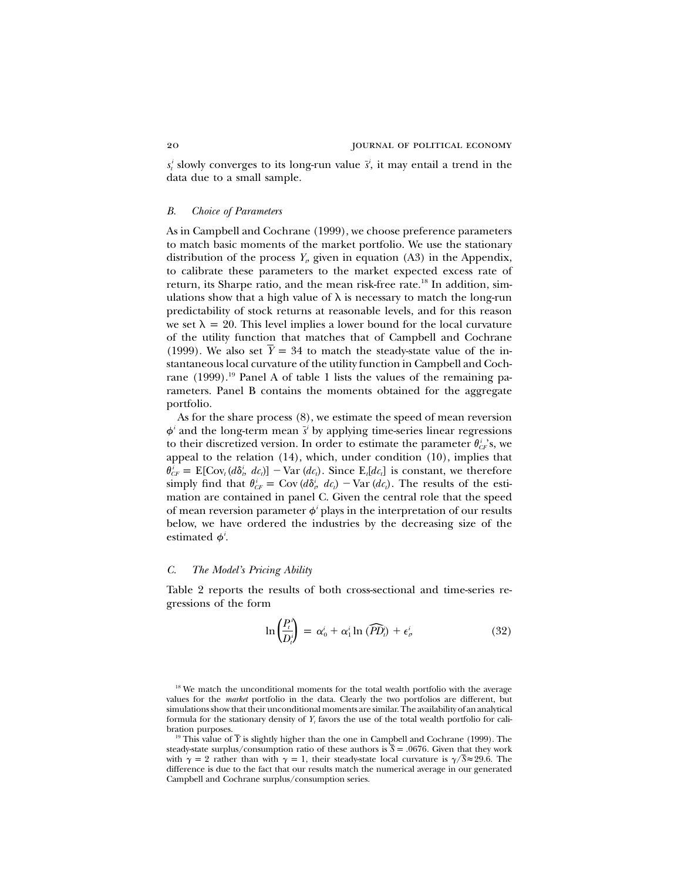$s_i^i$  slowly converges to its long-run value  $\bar{s}^i$ , it may entail a trend in the data due to a small sample.

#### *B. Choice of Parameters*

As in Campbell and Cochrane (1999), we choose preference parameters to match basic moments of the market portfolio. We use the stationary distribution of the process  $Y_p$  given in equation (A3) in the Appendix, to calibrate these parameters to the market expected excess rate of return, its Sharpe ratio, and the mean risk-free rate.<sup>18</sup> In addition, simulations show that a high value of  $\lambda$  is necessary to match the long-run predictability of stock returns at reasonable levels, and for this reason we set  $\lambda = 20$ . This level implies a lower bound for the local curvature of the utility function that matches that of Campbell and Cochrane (1999). We also set  $\overline{Y} = 34$  to match the steady-state value of the instantaneous local curvature of the utility function in Campbell and Cochrane (1999).<sup>19</sup> Panel A of table 1 lists the values of the remaining parameters. Panel B contains the moments obtained for the aggregate portfolio.

As for the share process (8), we estimate the speed of mean reversion  $\phi^i$  and the long-term mean  $\bar{s}^i$  by applying time-series linear regressions to their discretized version. In order to estimate the parameter  $\theta_{CF}^{i}$ 's, we appeal to the relation (14), which, under condition (10), implies that  $\theta_{CF}^i = \mathbb{E}[\text{Cov}_t(d\delta_{\rho}^i d c_i)] - \text{Var}(dc_i)$ . Since  $\mathbb{E}_t[dc_i]$  is constant, we therefore simply find that  $\theta_{CF}^i = \text{Cov}(d\delta_t^i, dc_i) - \text{Var}(dc_i)$ . The results of the estimation are contained in panel C. Given the central role that the speed of mean reversion parameter  $\phi^i$  plays in the interpretation of our results below, we have ordered the industries by the decreasing size of the estimated  $\phi^i$ .

# *C. The Model's Pricing Ability*

Table 2 reports the results of both cross-sectional and time-series regressions of the form

$$
\ln\left(\frac{P_i^i}{D_i^j}\right) = \alpha_0^i + \alpha_1^i \ln\left(\widehat{PD}_i^i\right) + \epsilon_p^i \tag{32}
$$

<sup>&</sup>lt;sup>18</sup> We match the unconditional moments for the total wealth portfolio with the average values for the *market* portfolio in the data. Clearly the two portfolios are different, but simulations show that their unconditional moments are similar. The availability of ananalytical formula for the stationary density of  $Y_t$  favors the use of the total wealth portfolio for calibration purposes.

<sup>&</sup>lt;sup>19</sup> This value of  $\overline{Y}$  is slightly higher than the one in Campbell and Cochrane (1999). The steady-state surplus/consumption ratio of these authors is  $S = .0676$ . Given that they work with  $\gamma = 2$  rather than with  $\gamma = 1$ , their steady-state local curvature is  $\gamma / S \approx 29.6$ . The difference is due to the fact that our results match the numerical average in our generated Campbell and Cochrane surplus/consumption series.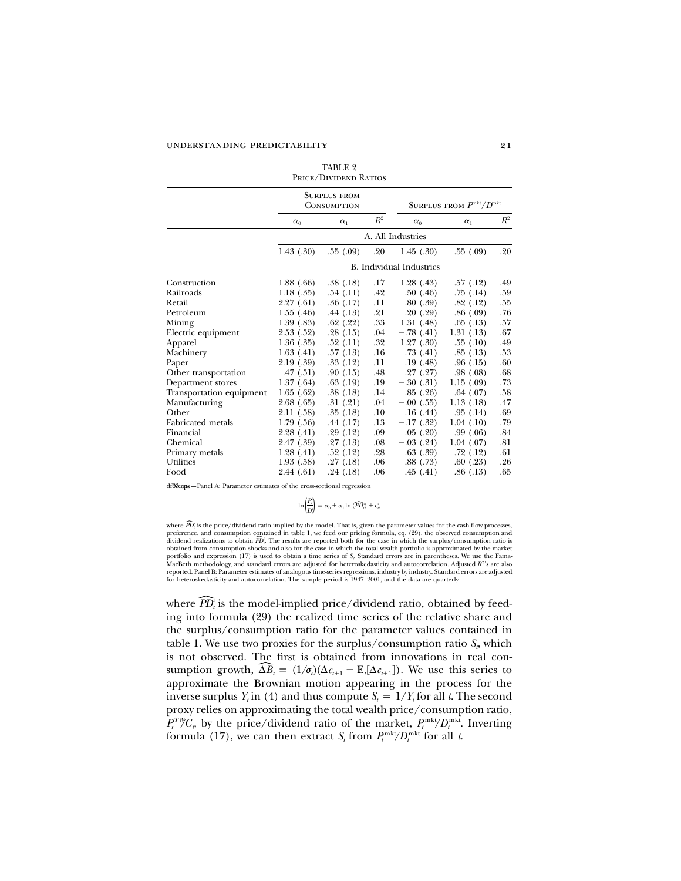TABLE 2 Price/Dividend Ratios

|                          |            | <b>SURPLUS FROM</b> |       |                                 |                                        |       |
|--------------------------|------------|---------------------|-------|---------------------------------|----------------------------------------|-------|
|                          |            | <b>CONSUMPTION</b>  |       |                                 | SURPLUS FROM $P^{\rm nkt}/D^{\rm mkt}$ |       |
|                          | $\alpha_0$ | $\alpha_1$          | $R^2$ | $\alpha_0$                      | $\alpha_1$                             | $R^2$ |
|                          |            |                     |       | A. All Industries               |                                        |       |
|                          | 1.43(0.30) | .55(.09)            | .20   | 1.45(0.30)                      | .55(.09)                               | .20   |
|                          |            |                     |       | <b>B.</b> Individual Industries |                                        |       |
| Construction             | 1.88(0.66) | .38(.18)            | .17   | 1.28(0.43)                      | .57(.12)                               | .49   |
| Railroads                | 1.18(0.35) | .54(.11)            | .42   | .50(.46)                        | .75(0.14)                              | .59   |
| Retail                   | 2.27(.61)  | .36(.17)            | .11   | .80(.39)                        | .82(.12)                               | .55   |
| Petroleum                | 1.55(0.46) | .44(.13)            | .21   | .20(.29)                        | .86(.09)                               | .76   |
| Mining                   | 1.39(0.83) | .62(.22)            | .33   | 1.31(48)                        | .65(.13)                               | .57   |
| Electric equipment       | 2.53(.52)  | .28(.15)            | .04   | $-.78(.41)$                     | 1.31(0.13)                             | .67   |
| Apparel                  | 1.36(0.35) | .52(.11)            | .32   | 1.27(0.30)                      | .55(.10)                               | .49   |
| Machinery                | 1.63(41)   | .57(.13)            | .16   | .73(.41)                        | .85(.13)                               | .53   |
| Paper                    | 2.19(0.39) | .33(.12)            | .11   | .19(.48)                        | .96(0.15)                              | .60   |
| Other transportation     | .47(.51)   | .90(0.15)           | .48   | .27(.27)                        | .98(0.08)                              | .68   |
| Department stores        | 1.37(0.64) | .63(.19)            | .19   | $-.30(.31)$                     | 1.15(0.09)                             | .73   |
| Transportation equipment | 1.65(0.62) | .38(.18)            | .14   | .85(0.26)                       | .64(07)                                | .58   |
| Manufacturing            | 2.68(0.65) | .31(.21)            | .04   | $-.00(.55)$                     | 1.13(0.18)                             | .47   |
| Other                    | 2.11 (.58) | .35(.18)            | .10   | .16(.44)                        | .95( .14)                              | .69   |
| <b>Fabricated metals</b> | 1.79(0.56) | .44(.17)            | .13   | $-.17(.32)$                     | 1.04(0.10)                             | .79   |
| Financial                | 2.28(41)   | .29(.12)            | .09   | .05(0.20)                       | .99(0.06)                              | .84   |
| Chemical                 | 2.47(0.39) | .27(.13)            | .08   | $-.03$ (.24)                    | 1.04(07)                               | .81   |
| Primary metals           | 1.28(41)   | .52(.12)            | .28   | .63(.39)                        | .72(.12)                               | .61   |
| <b>Utilities</b>         | 1.93(0.58) | .27(.18)            | .06   | .88(.73)                        | .60(0.23)                              | .26   |
| Food                     | 2.44(0.61) | .24(.18)            | .06   | .45(.41)                        | .86(.13)                               | .65   |

df<sup>63</sup>.ceps - Panel A: Parameter estimates of the cross-sectional regression

$$
\ln\left(\!\frac{P^i_t}{D^i_t}\!\right)=\alpha_0+\alpha_1\ln\left(\widehat{PD}^i_t\right)+\epsilon^i_p
$$

where  $\widehat{PD}^i_i$  is the price/dividend ratio implied by the model. That is, given the parameter values for the cash flow processes, preference, and consumption contained in table 1, we feed our pricing formula, eq. (29), the observed consumption and<br>dividend realizations to obtain  $\widetilde{P\!D^{\cdot}}$ . The results are reported both for the case in which the obtained from consumption shocks and also for the case in which the total wealth portfolio is approximated by the market portfolio and expression (17) is used to obtain a time series of S<sub>c</sub> Standard errors are in parentheses. We use the Fama-MacBeth methodology, and standard errors are adjusted for heteroskedasticity and autocorrelation. Adjusted  $R^2$ 's are also reported. Panel B: Parameter estimates of analogous time-series regressions, industry by industry. Standard errors are adjusted<br>for heteroskedasticity and autocorrelation. The sample period is 1947–2001, and the data are q

where  $\widehat{PD}_t^i$  is the model-implied price/dividend ratio, obtained by feeding into formula (29) the realized time series of the relative share and the surplus/consumption ratio for the parameter values contained in table 1. We use two proxies for the surplus/consumption ratio  $S_n$ , which is not observed. The first is obtained from innovations in real consumption growth,  $\widehat{\Delta B}_t = (1/\sigma_c)(\Delta c_{t+1} - \mathbb{E}_t[\Delta c_{t+1}])$ . We use this series to approximate the Brownian motion appearing in the process for the inverse surplus  $Y_t$  in (4) and thus compute  $S_t = 1/Y_t$  for all *t*. The second proxy relies on approximating the total wealth price/consumption ratio,  $P_t^{TW}C_p$  by the price/dividend ratio of the market,  $P_t^{mkt}/D_t^{mk}$ . Inverting formula (17), we can then extract  $S_t$  from  $P_t^{\text{mk}}/D_t^{\text{mk}t}$  for all *t*.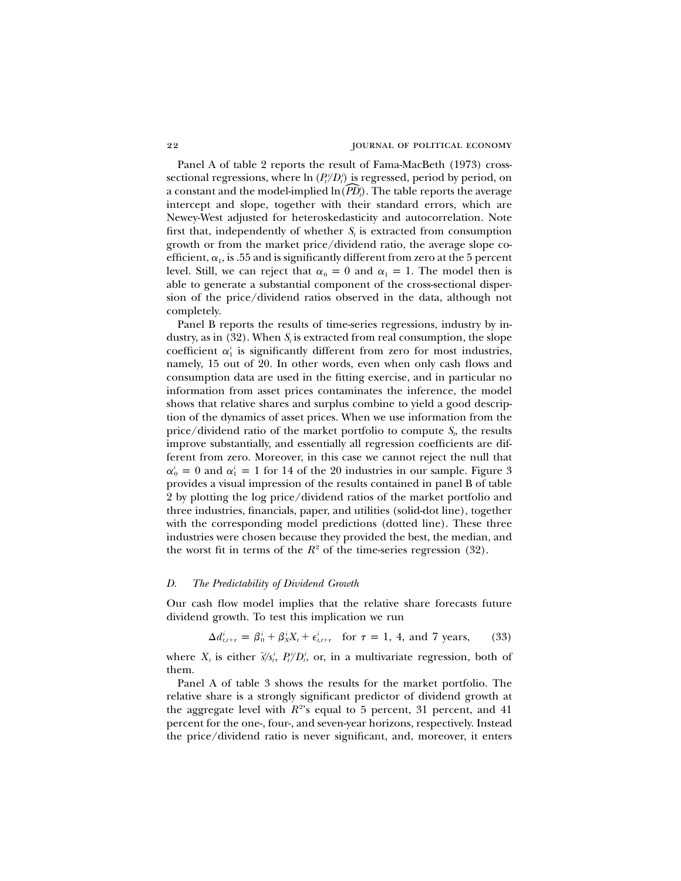Panel A of table 2 reports the result of Fama-MacBeth (1973) crosssectional regressions, where  $\ln (P_t / D_t)$  is regressed, period by period, on a constant and the model-implied  $\ln(\widehat{PD}_i)$ . The table reports the average intercept and slope, together with their standard errors, which are Newey-West adjusted for heteroskedasticity and autocorrelation. Note first that, independently of whether  $S<sub>i</sub>$  is extracted from consumption growth or from the market price/dividend ratio, the average slope coefficient,  $\alpha_1$ , is .55 and is significantly different from zero at the 5 percent level. Still, we can reject that  $\alpha_0 = 0$  and  $\alpha_1 = 1$ . The model then is able to generate a substantial component of the cross-sectional dispersion of the price/dividend ratios observed in the data, although not completely.

Panel B reports the results of time-series regressions, industry by industry, as in (32). When S<sub>t</sub> is extracted from real consumption, the slope coefficient  $\alpha_1^i$  is significantly different from zero for most industries, namely, 15 out of 20. In other words, even when only cash flows and consumption data are used in the fitting exercise, and in particular no information from asset prices contaminates the inference, the model shows that relative shares and surplus combine to yield a good description of the dynamics of asset prices. When we use information from the price/dividend ratio of the market portfolio to compute  $S<sub>r</sub>$ , the results improve substantially, and essentially all regression coefficients are different from zero. Moreover, in this case we cannot reject the null that  $\alpha_0^i = 0$  and  $\alpha_1^i = 1$  for 14 of the 20 industries in our sample. Figure 3 provides a visual impression of the results contained in panel B of table 2 by plotting the log price/dividend ratios of the market portfolio and three industries, financials, paper, and utilities (solid-dot line), together with the corresponding model predictions (dotted line). These three industries were chosen because they provided the best, the median, and the worst fit in terms of the  $R^2$  of the time-series regression (32).

#### *D. The Predictability of Dividend Growth*

Our cash flow model implies that the relative share forecasts future dividend growth. To test this implication we run

$$
\Delta d_{t,t+\tau}^i = \beta_0^i + \beta_X^i X_t + \epsilon_{t,t+\tau}^i \quad \text{for } \tau = 1, 4, \text{ and 7 years,} \tag{33}
$$

where  $X_t$  is either  $\bar{s}/s_t^i$ ,  $P_t^i/D_t^i$ , or, in a multivariate regression, both of them.

Panel A of table 3 shows the results for the market portfolio. The relative share is a strongly significant predictor of dividend growth at the aggregate level with  $R^2$ 's equal to 5 percent, 31 percent, and 41 percent for the one-, four-, and seven-year horizons, respectively. Instead the price/dividend ratio is never significant, and, moreover, it enters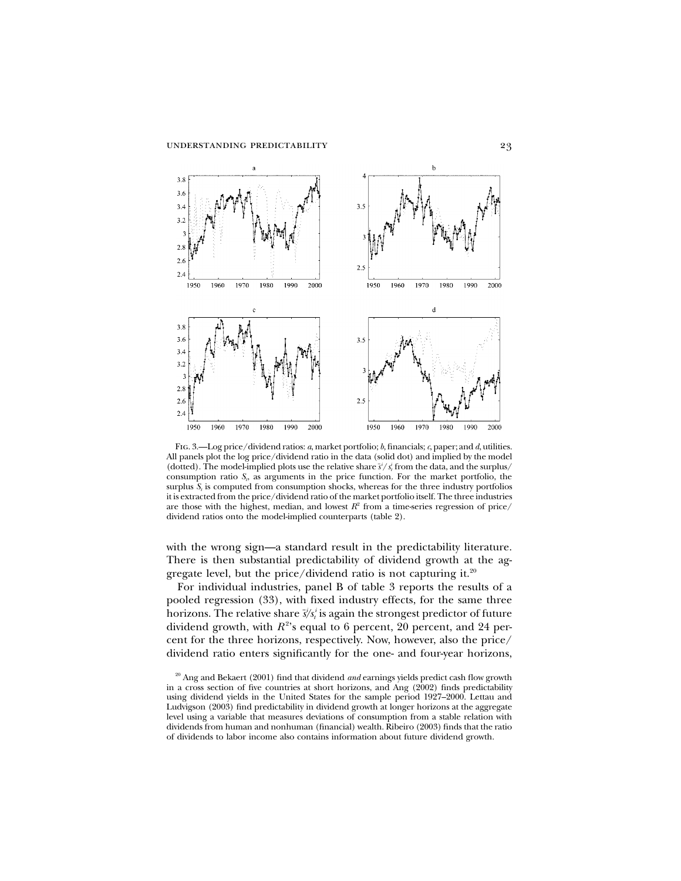

Fig. 3.—Log price/dividend ratios: *a*, market portfolio; *b*, financials;*c*, paper; and *d*, utilities. All panels plot the log price/dividend ratio in the data (solid dot) and implied by the model (dotted). The model-implied plots use the relative share  $\bar{s}^i / s^i$  from the data, and the surplus/ consumption ratio  $S_p$  as arguments in the price function. For the market portfolio, the surplus  $S_t$  is computed from consumption shocks, whereas for the three industry portfolios it is extracted from the price/dividend ratio of the market portfolio itself. The three industries are those with the highest, median, and lowest  $R^2$  from a time-series regression of price/ dividend ratios onto the model-implied counterparts (table 2).

with the wrong sign—a standard result in the predictability literature. There is then substantial predictability of dividend growth at the aggregate level, but the price/dividend ratio is not capturing it.<sup>20</sup>

For individual industries, panel B of table 3 reports the results of a pooled regression (33), with fixed industry effects, for the same three horizons. The relative share  $\bar{s}/s_t^i$  is again the strongest predictor of future dividend growth, with  $R^2$ 's equal to 6 percent, 20 percent, and 24 percent for the three horizons, respectively. Now, however, also the price/ dividend ratio enters significantly for the one- and four-year horizons,

<sup>&</sup>lt;sup>20</sup> Ang and Bekaert (2001) find that dividend *and* earnings yields predict cash flow growth in a cross section of five countries at short horizons, and Ang (2002) finds predictability using dividend yields in the United States for the sample period 1927–2000. Lettau and Ludvigson (2003) find predictability in dividend growth at longer horizons at the aggregate level using a variable that measures deviations of consumption from a stable relation with dividends from human and nonhuman (financial) wealth. Ribeiro (2003) finds that the ratio of dividends to labor income also contains information about future dividend growth.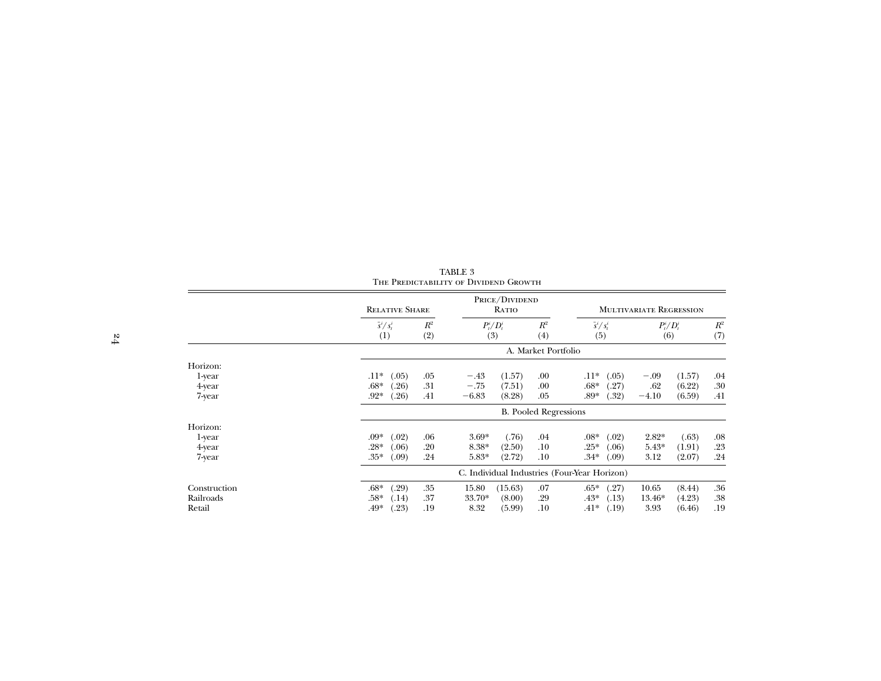|              |                   | PRICE/DIVIDEND<br><b>RELATIVE SHARE</b><br>RATIO |                                              |                                      |                              |                          | <b>MULTIVARIATE REGRESSION</b> |               |        |       |  |
|--------------|-------------------|--------------------------------------------------|----------------------------------------------|--------------------------------------|------------------------------|--------------------------|--------------------------------|---------------|--------|-------|--|
|              | $\bar{s}^i/s_t^i$ | $R^2$<br>(1)<br>(2)                              |                                              | $R^2$<br>$P_t^i/D_t^i$<br>(3)<br>(4) |                              | $\bar{s}^i/s_t^i$<br>(5) |                                | $P_t^i/D_t^i$ |        | $R^2$ |  |
|              |                   |                                                  |                                              |                                      |                              |                          |                                | (6)           |        | (7)   |  |
|              |                   |                                                  |                                              |                                      | A. Market Portfolio          |                          |                                |               |        |       |  |
| Horizon:     |                   |                                                  |                                              |                                      |                              |                          |                                |               |        |       |  |
| 1-year       | $.11*$<br>(.05)   | .05                                              | $-.43$                                       | (1.57)                               | .00.                         | $.11*$                   | (.05)                          | $-.09$        | (1.57) | .04   |  |
| 4-year       | $.68*$<br>(.26)   | .31                                              | $-.75$                                       | (7.51)                               | .00.                         | $.68*$                   | (.27)                          | .62           | (6.22) | .30   |  |
| 7-year       | $.92*$<br>(.26)   | .41                                              | $-6.83$                                      | (8.28)                               | .05                          | $.89*$                   | (.32)                          | $-4.10$       | (6.59) | .41   |  |
|              |                   |                                                  |                                              |                                      | <b>B.</b> Pooled Regressions |                          |                                |               |        |       |  |
| Horizon:     |                   |                                                  |                                              |                                      |                              |                          |                                |               |        |       |  |
| 1-year       | $.09*$<br>(.02)   | .06                                              | $3.69*$                                      | (.76)                                | .04                          | $.08*$                   | (.02)                          | $2.82*$       | (.63)  | .08   |  |
| 4-year       | .28*<br>(.06)     | .20                                              | 8.38*                                        | (2.50)                               | $.10\,$                      | $.25*$                   | (.06)                          | $5.43*$       | (1.91) | .23   |  |
| 7-year       | $.35*$<br>(.09)   | .24                                              | $5.83*$                                      | (2.72)                               | $.10\,$                      | $.34*$                   | (.09)                          | 3.12          | (2.07) | .24   |  |
|              |                   |                                                  | C. Individual Industries (Four-Year Horizon) |                                      |                              |                          |                                |               |        |       |  |
| Construction | $.68*$<br>(.29)   | .35                                              | 15.80                                        | (15.63)                              | .07                          | $.65*$                   | (.27)                          | 10.65         | (8.44) | .36   |  |
| Railroads    | $.58*$<br>(.14)   | .37                                              | 33.70*                                       | (8.00)                               | .29                          | $.43*$                   | (.13)                          | 13.46*        | (4.23) | .38   |  |
| Retail       | (.23)<br>.49*     | .19                                              | 8.32                                         | (5.99)                               | .10                          | $.41*$                   | (.19)                          | 3.93          | (6.46) | .19   |  |

TABLE 3 The Predictability of Dividend Growth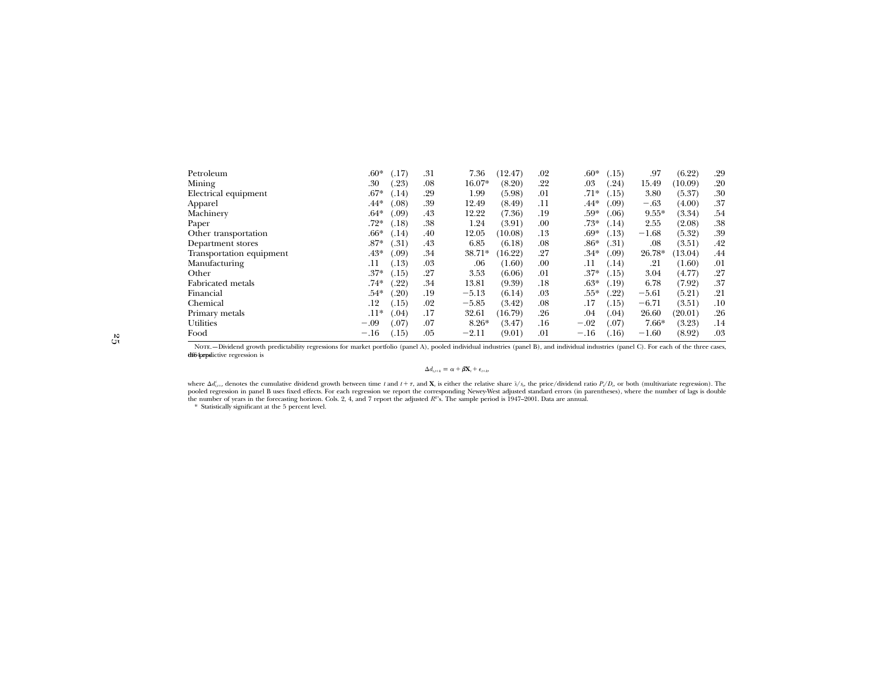| Petroleum                | $.60*$ | (.17)  | .31 | 7.36     | (12.47) | .02      | $.60*$ | (.15)  | .97      | (6.22)  | .29 |
|--------------------------|--------|--------|-----|----------|---------|----------|--------|--------|----------|---------|-----|
| Mining                   | .30    | .23)   | .08 | $16.07*$ | (8.20)  | .22      | .03    | (0.24) | 15.49    | (10.09) | .20 |
| Electrical equipment     | $.67*$ | (14)   | .29 | 1.99     | (5.98)  | .01      | $.71*$ | (.15)  | 3.80     | (5.37)  | .30 |
| Apparel                  | $.44*$ | 0.08   | .39 | 12.49    | (8.49)  | .11      | .44*   | (.09)  | $-.63$   | (4.00)  | .37 |
| Machinery                | $.64*$ | .09)   | .43 | 12.22    | (7.36)  | .19      | .59*   | (.06)  | $9.55*$  | (3.34)  | .54 |
| Paper                    | .72*   | (.18)  | .38 | 1.24     | (3.91)  | .00      | .73*   | (.14)  | 2.55     | (2.08)  | .38 |
| Other transportation     | $.66*$ | (.14)  | .40 | 12.05    | (10.08) | .13      | .69*   | (.13)  | $-1.68$  | (5.32)  | .39 |
| Department stores        | $.87*$ | (.31)  | .43 | 6.85     | (6.18)  | .08      | $.86*$ | (.31)  | .08      | (3.51)  | .42 |
| Transportation equipment | $.43*$ | (0.09) | .34 | $38.71*$ | (16.22) | .27      | .34*   | (.09)  | $26.78*$ | (13.04) | .44 |
| Manufacturing            | .11    | .13)   | .03 | .06      | (1.60)  | $_{.00}$ | .11    | (.14)  | .21      | (1.60)  | .01 |
| Other                    | $.37*$ | (15)   | .27 | 3.53     | (6.06)  | .01      | $.37*$ | (.15)  | 3.04     | (4.77)  | .27 |
| Fabricated metals        | .74*   | .22)   | .34 | 13.81    | (9.39)  | .18      | $.63*$ | (.19)  | 6.78     | (7.92)  | .37 |
| Financial                | $.54*$ | .20)   | .19 | $-5.13$  | (6.14)  | .03      | $.55*$ | (.22)  | $-5.61$  | (5.21)  | .21 |
| Chemical                 | .12    | (15)   | .02 | $-5.85$  | (3.42)  | .08      | .17    | (.15)  | $-6.71$  | (3.51)  | .10 |
| Primary metals           | .11*   | .04)   | .17 | 32.61    | (16.79) | .26      | .04    | (0.04) | 26.60    | (20.01) | .26 |
| <b>Utilities</b>         | $-.09$ | .07)   | .07 | $8.26*$  | (3.47)  | .16      | $-.02$ | (.07)  | $7.66*$  | (3.23)  | .14 |
| Food                     | $-.16$ | (15)   | .05 | $-2.11$  | (9.01)  | .01      | $-.16$ | (.16)  | $-1.60$  | (8.92)  | .03 |

Nore. - Dividend growth predictability regressions for market portfolio (panel A), pooled individual industries (panel B), and individual industries (panel C). For each of the three cases, df64prpslictive regression is

#### $\Delta d_{i,t+k} = \alpha + \beta \mathbf{X}_t + \epsilon_{i+k}$

where  $\Delta d'_{i,\iota,\iota}$  denotes the cumulative dividend growth between time *t* and *t* + *r*, and **X**, is either the relative share š/s, the price/dividend ratio P<sub>/</sub>D, or both (multivariate regression). The<br>pooled regressi

\* Statistically significant at the 5 percen<sup>t</sup> level.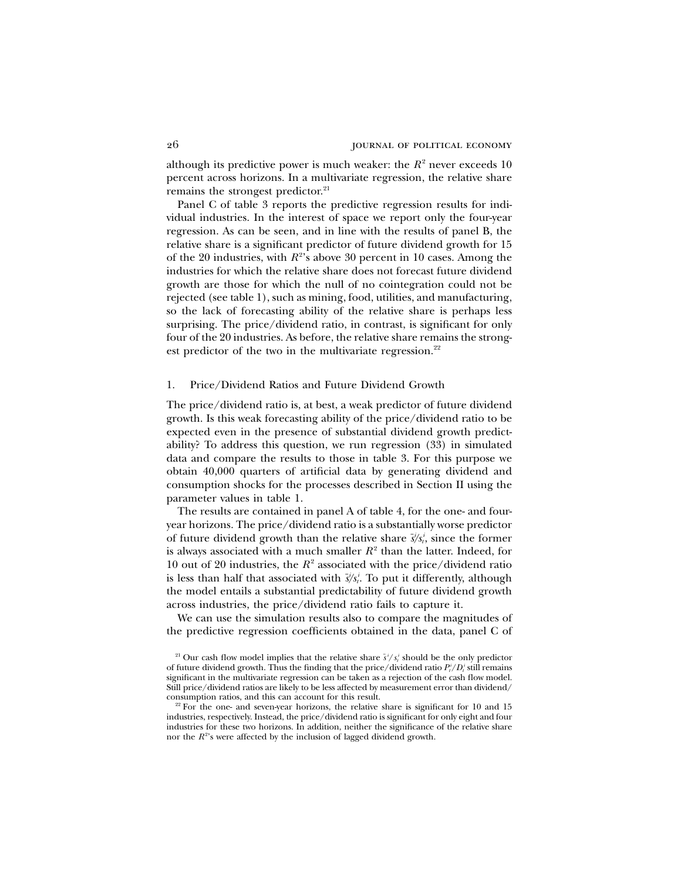although its predictive power is much weaker: the  $R^2$  never exceeds 10 percent across horizons. In a multivariate regression, the relative share remains the strongest predictor.<sup>21</sup>

Panel C of table 3 reports the predictive regression results for individual industries. In the interest of space we report only the four-year regression. As can be seen, and in line with the results of panel B, the relative share is a significant predictor of future dividend growth for 15 of the 20 industries, with  $R^2$ 's above 30 percent in 10 cases. Among the industries for which the relative share does not forecast future dividend growth are those for which the null of no cointegration could not be rejected (see table 1), such as mining, food, utilities, and manufacturing, so the lack of forecasting ability of the relative share is perhaps less surprising. The price/dividend ratio, in contrast, is significant for only four of the 20 industries. As before, the relative share remains the strongest predictor of the two in the multivariate regression.<sup>22</sup>

### 1. Price/Dividend Ratios and Future Dividend Growth

The price/dividend ratio is, at best, a weak predictor of future dividend growth. Is this weak forecasting ability of the price/dividend ratio to be expected even in the presence of substantial dividend growth predictability? To address this question, we run regression (33) in simulated data and compare the results to those in table 3. For this purpose we obtain 40,000 quarters of artificial data by generating dividend and consumption shocks for the processes described in Section II using the parameter values in table 1.

The results are contained in panel A of table 4, for the one- and fouryear horizons. The price/dividend ratio is a substantially worse predictor of future dividend growth than the relative share  $\vec{s}/s_i^i$ , since the former is always associated with a much smaller  $R^2$  than the latter. Indeed, for 10 out of 20 industries, the  $R^2$  associated with the price/dividend ratio is less than half that associated with  $\bar{s}'$ , To put it differently, although the model entails a substantial predictability of future dividend growth across industries, the price/dividend ratio fails to capture it.

We can use the simulation results also to compare the magnitudes of the predictive regression coefficients obtained in the data, panel C of

<sup>&</sup>lt;sup>21</sup> Our cash flow model implies that the relative share  $\bar{s}^i / s^i$  should be the only predictor of future dividend growth. Thus the finding that the price/dividend ratio  $P_t^i/D_t^i$  still remains significant in the multivariate regression can be taken as a rejection of the cash flow model. Still price/dividend ratios are likely to be less affected by measurement error than dividend/ consumption ratios, and this can account for this result.

 $22$  For the one- and seven-year horizons, the relative share is significant for 10 and 15 industries, respectively. Instead, the price/dividend ratio is significant for only eight and four industries for these two horizons. In addition, neither the significance of the relative share nor the  $R^2$ 's were affected by the inclusion of lagged dividend growth.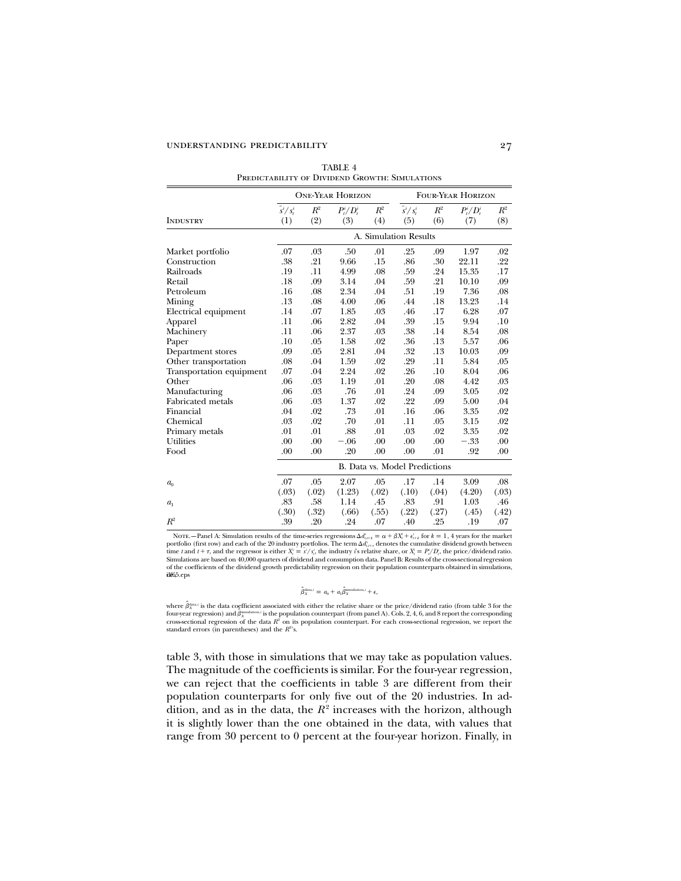TABLE 4 Predictability of Dividend Growth: Simulations

|                          |                               |                       | <b>ONE-YEAR HORIZON</b> |              |                                                 | <b>FOUR-YEAR HORIZON</b> |                      |              |  |  |  |
|--------------------------|-------------------------------|-----------------------|-------------------------|--------------|-------------------------------------------------|--------------------------|----------------------|--------------|--|--|--|
| INDUSTRY                 | $\bar{s}^i / s^i_t$<br>(1)    | $R^2$<br>(2)          | $P_t^i/D_t^i$<br>(3)    | $R^2$<br>(4) | $\bar{\mathcal{S}}^i/\, \mathcal{S}^i_t$<br>(5) | $R^2$<br>(6)             | $P_t^i/D_t^i$<br>(7) | $R^2$<br>(8) |  |  |  |
|                          |                               | A. Simulation Results |                         |              |                                                 |                          |                      |              |  |  |  |
| Market portfolio         | .07                           | .03                   | .50                     | .01          | .25                                             | .09                      | 1.97                 | .02          |  |  |  |
| Construction             | .38                           | .21                   | 9.66                    | .15          | .86                                             | .30                      | 22.11                | .22          |  |  |  |
| Railroads                | .19                           | .11                   | 4.99                    | .08          | .59                                             | .24                      | 15.35                | .17          |  |  |  |
| Retail                   | .18                           | .09                   | 3.14                    | .04          | .59                                             | .21                      | 10.10                | .09          |  |  |  |
| Petroleum                | .16                           | .08                   | 2.34                    | .04          | .51                                             | .19                      | 7.36                 | .08          |  |  |  |
| Mining                   | .13                           | .08                   | 4.00                    | .06          | .44                                             | .18                      | 13.23                | .14          |  |  |  |
| Electrical equipment     | .14                           | .07                   | 1.85                    | .03          | .46                                             | .17                      | 6.28                 | .07          |  |  |  |
| Apparel                  | .11                           | .06                   | 2.82                    | .04          | .39                                             | .15                      | 9.94                 | .10          |  |  |  |
| Machinery                | .11                           | .06                   | 2.37                    | .03          | .38                                             | .14                      | 8.54                 | .08          |  |  |  |
| Paper                    | .10                           | .05                   | 1.58                    | .02          | .36                                             | .13                      | 5.57                 | .06          |  |  |  |
| Department stores        | .09                           | .05                   | 2.81                    | .04          | .32                                             | .13                      | 10.03                | .09          |  |  |  |
| Other transportation     | .08                           | .04                   | 1.59                    | .02          | .29                                             | .11                      | 5.84                 | .05          |  |  |  |
| Transportation equipment | .07                           | .04                   | 2.24                    | .02          | .26                                             | .10                      | 8.04                 | .06          |  |  |  |
| Other                    | .06                           | .03                   | 1.19                    | .01          | .20                                             | .08                      | 4.42                 | .03          |  |  |  |
| Manufacturing            | .06                           | .03                   | .76                     | .01          | .24                                             | .09                      | 3.05                 | .02          |  |  |  |
| Fabricated metals        | .06                           | .03                   | 1.37                    | .02          | .22                                             | .09                      | 5.00                 | .04          |  |  |  |
| Financial                | .04                           | .02                   | .73                     | .01          | .16                                             | .06                      | 3.35                 | .02          |  |  |  |
| Chemical                 | .03                           | .02                   | .70                     | .01          | .11                                             | .05                      | 3.15                 | .02          |  |  |  |
| Primary metals           | .01                           | .01                   | .88                     | .01          | .03                                             | .02                      | 3.35                 | .02          |  |  |  |
| Utilities                | .00                           | .00                   | $-.06$                  | .00          | .00                                             | .00                      | $-.33$               | .00          |  |  |  |
| Food                     | .00                           | .00                   | .20                     | .00          | .00                                             | .01                      | .92                  | .00          |  |  |  |
|                          | B. Data vs. Model Predictions |                       |                         |              |                                                 |                          |                      |              |  |  |  |
| a <sub>0</sub>           | .07                           | .05                   | 2.07                    | .05          | .17                                             | .14                      | 3.09                 | .08          |  |  |  |
|                          | (.03)                         | (.02)                 | (1.23)                  | (.02)        | (.10)                                           | (.04)                    | (4.20)               | (.03)        |  |  |  |
| a <sub>1</sub>           | .83                           | .58                   | 1.14                    | .45          | .83                                             | .91                      | 1.03                 | .46          |  |  |  |
|                          | (.30)                         | (.32)                 | (.66)                   | (.55)        | (.22)                                           | (.27)                    | (.45)                | (.42)        |  |  |  |
| $R^2$                    | .39                           | .20                   | .24                     | .07          | .40                                             | .25                      | .19                  | .07          |  |  |  |

Nore.—Panel A: Simulation results of the time-series regressions  $\Delta d_{i,t+k}^i = \alpha + \beta X_i^i + \epsilon_{i+k}^i$  for  $k = 1$ , 4 years for the market<br>portfolio (first row) and each of the 20 industry portfolios. The term  $\Delta d_{i,t+}^i$ , deno ile65.eps

# $\label{eq:Gaussian} \hat{\beta}_\mathrm{X}^\mathrm{data,\it i} = \, a_\mathrm{0} + \, a_\mathrm{i} \hat{\beta}_\mathrm{X}^\mathrm{simulation,\it i} + \epsilon,$

where  $\hat{\beta}_x^{\text{data}}$  is the data coefficient associated with either the relative share or the price/dividend ratio (from table 3 for the four-year regression) and  $\hat{\beta}_x^{\text{initial}}$  is the population counterpart (from panel A cross-sectional regression of the data  $R^2$  on its population counterpart. For each cross-sectional regression, we report the standard errors (in parentheses) and the  $R^2$ 's.

table 3, with those in simulations that we may take as population values. The magnitude of the coefficients is similar. For the four-year regression, we can reject that the coefficients in table 3 are different from their population counterparts for only five out of the 20 industries. In addition, and as in the data, the  $R^2$  increases with the horizon, although it is slightly lower than the one obtained in the data, with values that range from 30 percent to 0 percent at the four-year horizon. Finally, in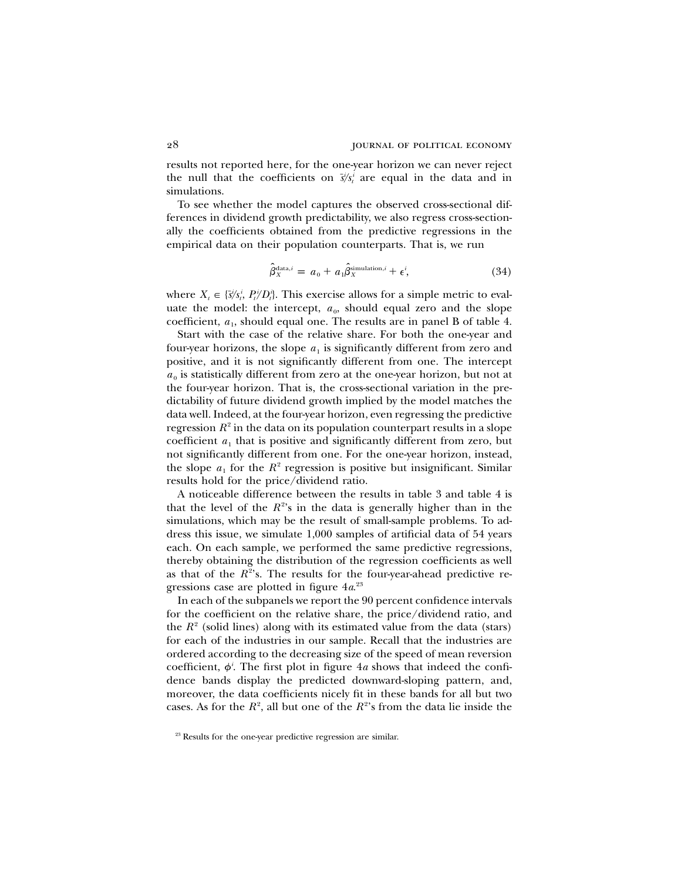results not reported here, for the one-year horizon we can never reject the null that the coefficients on  $\bar{s}/s_t^i$  are equal in the data and in simulations.

To see whether the model captures the observed cross-sectional differences in dividend growth predictability, we also regress cross-sectionally the coefficients obtained from the predictive regressions in the empirical data on their population counterparts. That is, we run

$$
\hat{\beta}_X^{\text{data},i} = a_0 + a_1 \hat{\beta}_X^{\text{simulation},i} + \epsilon^i,
$$
\n(34)

where  $X_t \in \{ \bar{s}_i \ s_i, P_i / D_i^i \}$ . This exercise allows for a simple metric to evaluate the model: the intercept,  $a_0$ , should equal zero and the slope coefficient,  $a_1$ , should equal one. The results are in panel B of table 4.

Start with the case of the relative share. For both the one-year and four-year horizons, the slope  $a_1$  is significantly different from zero and positive, and it is not significantly different from one. The intercept  $a<sub>o</sub>$  is statistically different from zero at the one-year horizon, but not at the four-year horizon. That is, the cross-sectional variation in the predictability of future dividend growth implied by the model matches the data well. Indeed, at the four-year horizon, even regressing the predictive regression  $R^2$  in the data on its population counterpart results in a slope coefficient  $a_1$  that is positive and significantly different from zero, but not significantly different from one. For the one-year horizon, instead, the slope  $a_1$  for the  $R^2$  regression is positive but insignificant. Similar results hold for the price/dividend ratio.

A noticeable difference between the results in table 3 and table 4 is that the level of the  $R^2$ 's in the data is generally higher than in the simulations, which may be the result of small-sample problems. To address this issue, we simulate 1,000 samples of artificial data of 54 years each. On each sample, we performed the same predictive regressions, thereby obtaining the distribution of the regression coefficients as well as that of the  $R^2$ 's. The results for the four-year-ahead predictive regressions case are plotted in figure 4*a*. 23

In each of the subpanels we report the 90 percent confidence intervals for the coefficient on the relative share, the price/dividend ratio, and the  $R^2$  (solid lines) along with its estimated value from the data (stars) for each of the industries in our sample. Recall that the industries are ordered according to the decreasing size of the speed of mean reversion coefficient,  $\phi^i$ . The first plot in figure 4*a* shows that indeed the confidence bands display the predicted downward-sloping pattern, and, moreover, the data coefficients nicely fit in these bands for all but two cases. As for the  $R^2$ , all but one of the  $R^2$ 's from the data lie inside the

<sup>&</sup>lt;sup>23</sup> Results for the one-year predictive regression are similar.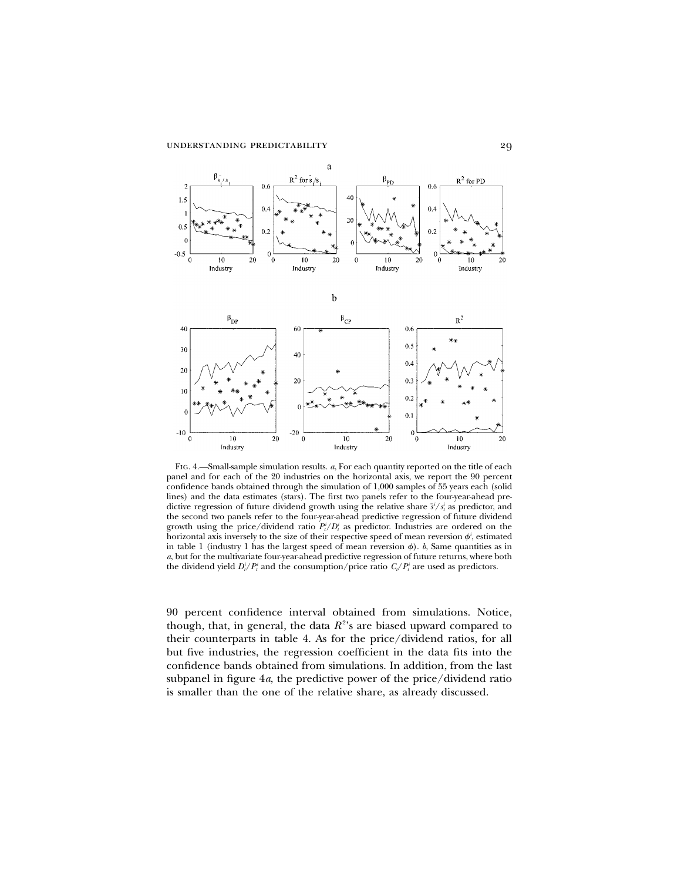

Fig. 4.—Small-sample simulation results. *a*, For each quantity reported on the title of each panel and for each of the 20 industries on the horizontal axis, we report the 90 percent confidence bands obtained through the simulation of 1,000 samples of 55 years each (solid lines) and the data estimates (stars). The first two panels refer to the four-year-ahead predictive regression of future dividend growth using the relative share  $\bar{s}^i/s^i_t$  as predictor, and the second two panels refer to the four-year-ahead predictive regression of future dividend growth using the price/dividend ratio  $P_t^i/D_t^i$  as predictor. Industries are ordered on the horizontal axis inversely to the size of their respective speed of mean reversion  $\phi^i$ , estimated in table 1 (industry 1 has the largest speed of mean reversion  $\phi$ ). *b*, Same quantities as in *a*, but for the multivariate four-year-ahead predictive regression of future returns, where both the dividend yield  $D_i^i/P_i^i$  and the consumption/price ratio  $C_i/P_i^i$  are used as predictors.

90 percent confidence interval obtained from simulations. Notice, though, that, in general, the data  $R^2$ 's are biased upward compared to their counterparts in table 4. As for the price/dividend ratios, for all but five industries, the regression coefficient in the data fits into the confidence bands obtained from simulations. In addition, from the last subpanel in figure 4*a*, the predictive power of the price/dividend ratio is smaller than the one of the relative share, as already discussed.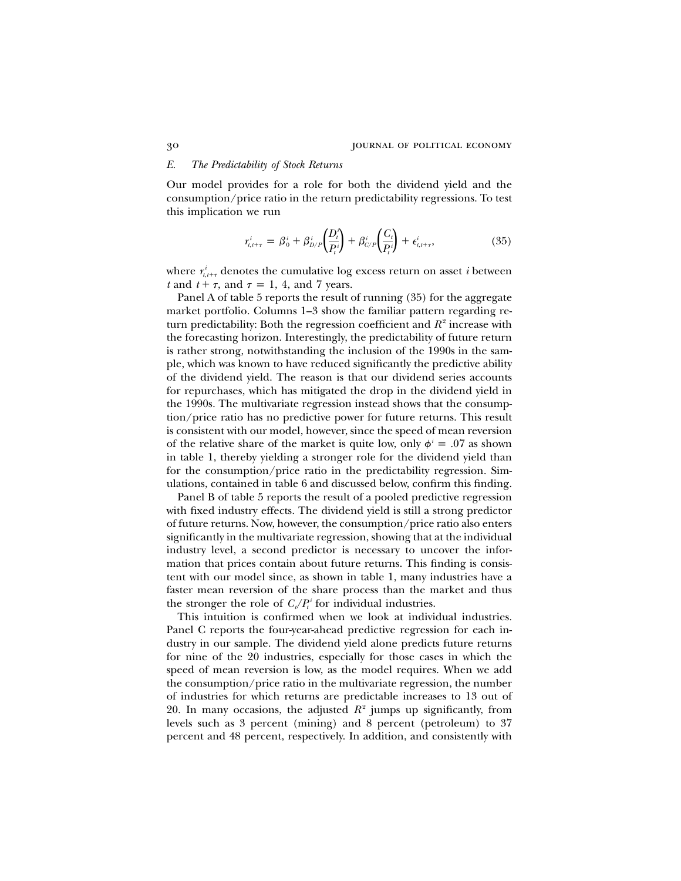# *E. The Predictability of Stock Returns*

Our model provides for a role for both the dividend yield and the consumption/price ratio in the return predictability regressions. To test this implication we run

$$
r_{t,t+\tau}^{i} = \beta_{0}^{i} + \beta_{D/P}^{i} \left( \frac{D_{t}^{i}}{P_{t}^{i}} \right) + \beta_{C/P}^{i} \left( \frac{C_{t}}{P_{t}^{i}} \right) + \epsilon_{t,t+\tau}^{i}, \qquad (35)
$$

where  $r_{t,t+\tau}^i$  denotes the cumulative log excess return on asset *i* between *t* and  $t + \tau$ , and  $\tau = 1$ , 4, and 7 years.

Panel A of table 5 reports the result of running (35) for the aggregate market portfolio. Columns 1–3 show the familiar pattern regarding return predictability: Both the regression coefficient and  $R^2$  increase with the forecasting horizon. Interestingly, the predictability of future return is rather strong, notwithstanding the inclusion of the 1990s in the sample, which was known to have reduced significantly the predictive ability of the dividend yield. The reason is that our dividend series accounts for repurchases, which has mitigated the drop in the dividend yield in the 1990s. The multivariate regression instead shows that the consumption/price ratio has no predictive power for future returns. This result is consistent with our model, however, since the speed of mean reversion of the relative share of the market is quite low, only  $\phi^i = .07$  as shown in table 1, thereby yielding a stronger role for the dividend yield than for the consumption/price ratio in the predictability regression. Simulations, contained in table 6 and discussed below, confirm this finding.

Panel B of table 5 reports the result of a pooled predictive regression with fixed industry effects. The dividend yield is still a strong predictor of future returns. Now, however, the consumption/price ratio also enters significantly in the multivariate regression, showing that at the individual industry level, a second predictor is necessary to uncover the information that prices contain about future returns. This finding is consistent with our model since, as shown in table 1, many industries have a faster mean reversion of the share process than the market and thus the stronger the role of  $C_{\ell}/P_i$  for individual industries.

This intuition is confirmed when we look at individual industries. Panel C reports the four-year-ahead predictive regression for each industry in our sample. The dividend yield alone predicts future returns for nine of the 20 industries, especially for those cases in which the speed of mean reversion is low, as the model requires. When we add the consumption/price ratio in the multivariate regression, the number of industries for which returns are predictable increases to 13 out of 20. In many occasions, the adjusted  $R^2$  jumps up significantly, from levels such as 3 percent (mining) and 8 percent (petroleum) to 37 percent and 48 percent, respectively. In addition, and consistently with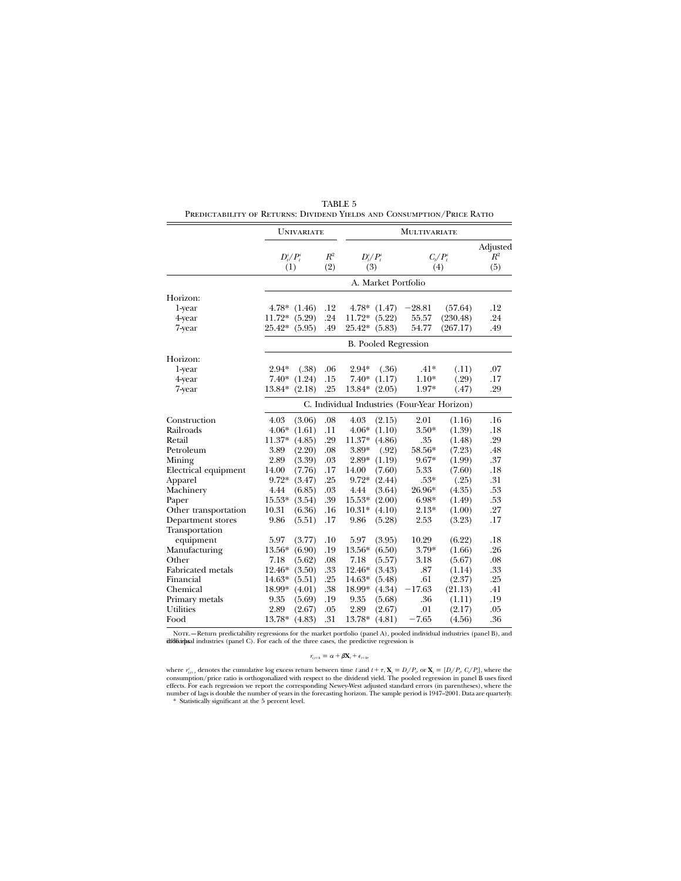|                      | UNIVARIATE                                   |                             |               |                     | MULTIVARIATE |             |          |  |  |  |  |
|----------------------|----------------------------------------------|-----------------------------|---------------|---------------------|--------------|-------------|----------|--|--|--|--|
|                      |                                              |                             |               |                     |              |             | Adjusted |  |  |  |  |
|                      | $D_i^i/P_i^i$                                | $R^2$                       | $D_t^i/P_t^i$ |                     |              | $C_i/P_i^i$ | $R^2$    |  |  |  |  |
|                      | (1)                                          | (2)                         | (3)           |                     |              | (4)         | (5)      |  |  |  |  |
|                      |                                              |                             |               | A. Market Portfolio |              |             |          |  |  |  |  |
| Horizon:             |                                              |                             |               |                     |              |             |          |  |  |  |  |
| 1-year               | $4.78*$<br>(1.46)                            | .12                         | $4.78*$       | (1.47)              | $-28.81$     | (57.64)     | .12      |  |  |  |  |
| 4-year               | 11.72*<br>(5.29)                             | .24                         | 11.72*        | (5.22)              | 55.57        | (230.48)    | .24      |  |  |  |  |
| 7-year               | 25.42*<br>(5.95)                             | .49                         | $25.42*$      | (5.83)              | 54.77        | (267.17)    | .49      |  |  |  |  |
|                      |                                              | <b>B.</b> Pooled Regression |               |                     |              |             |          |  |  |  |  |
| Horizon:             |                                              |                             |               |                     |              |             |          |  |  |  |  |
| 1-year               | $2.94*$<br>(.38)                             | .06                         | $2.94*$       | (.36)               | $.41*$       | (.11)       | .07      |  |  |  |  |
| 4-year               | $7.40*$<br>(1.24)                            | .15                         | $7.40*$       | (1.17)              | $1.10*$      | (.29)       | .17      |  |  |  |  |
| 7-year               | 13.84*<br>(2.18)                             | .25                         | 13.84*        | (2.05)              | $1.97*$      | (.47)       | .29      |  |  |  |  |
|                      | C. Individual Industries (Four-Year Horizon) |                             |               |                     |              |             |          |  |  |  |  |
| Construction         | 4.03<br>(3.06)                               | .08                         | 4.03          | (2.15)              | 2.01         | (1.16)      | .16      |  |  |  |  |
| Railroads            | $4.06*$<br>(1.61)                            | .11                         | $4.06*$       | (1.10)              | $3.50*$      | (1.39)      | .18      |  |  |  |  |
| Retail               | $11.37*$<br>(4.85)                           | .29                         | $11.37*$      | (4.86)              | .35          | (1.48)      | .29      |  |  |  |  |
| Petroleum            | 3.89<br>(2.20)                               | .08                         | 3.89*         | (.92)               | 58.56*       | (7.23)      | .48      |  |  |  |  |
| Mining               | 2.89<br>(3.39)                               | .03                         | $2.89*$       | (1.19)              | $9.67*$      | (1.99)      | .37      |  |  |  |  |
| Electrical equipment | 14.00<br>(7.76)                              | .17                         | 14.00         | (7.60)              | 5.33         | (7.60)      | .18      |  |  |  |  |
| Apparel              | 9.72*<br>(3.47)                              | .25                         | 9.72*         | (2.44)              | $.53*$       | (.25)       | .31      |  |  |  |  |
| Machinery            | 4.44<br>(6.85)                               | .03                         | 4.44          | (3.64)              | 26.96*       | (4.35)      | .53      |  |  |  |  |
| Paper                | 15.53*<br>(3.54)                             | .39                         | $15.53*$      | (2.00)              | 6.98*        | (1.49)      | .53      |  |  |  |  |
| Other transportation | 10.31<br>(6.36)                              | .16                         | $10.31*$      | (4.10)              | $2.13*$      | (1.00)      | .27      |  |  |  |  |
| Department stores    | 9.86<br>(5.51)                               | .17                         | 9.86          | (5.28)              | 2.53         | (3.23)      | .17      |  |  |  |  |
| Transportation       |                                              |                             |               |                     |              |             |          |  |  |  |  |
| equipment            | 5.97<br>(3.77)                               | .10                         | 5.97          | (3.95)              | 10.29        | (6.22)      | .18      |  |  |  |  |
| Manufacturing        | 13.56*<br>(6.90)                             | .19                         | 13.56*        | (6.50)              | $3.79*$      | (1.66)      | .26      |  |  |  |  |
| Other                | 7.18<br>(5.62)                               | .08                         | 7.18          | (5.57)              | 3.18         | (5.67)      | .08      |  |  |  |  |
| Fabricated metals    | 12.46*<br>(3.50)                             | .33                         | 12.46*        | (3.43)              | .87          | (1.14)      | .33      |  |  |  |  |
| Financial            | 14.63*<br>(5.51)                             | .25                         | $14.63*$      | (5.48)              | .61          | (2.37)      | .25      |  |  |  |  |
| Chemical             | 18.99*<br>(4.01)                             | .38                         | 18.99*        | (4.34)              | $-17.63$     | (21.13)     | .41      |  |  |  |  |
| Primary metals       | 9.35<br>(5.69)                               | .19                         | 9.35          | (5.68)              | .36          | (1.11)      | .19      |  |  |  |  |
| Utilities            | 2.89<br>(2.67)                               | .05                         | 2.89          | (2.67)              | .01          | (2.17)      | .05      |  |  |  |  |
| Food                 | 13.78*<br>(4.83)                             | .31                         | 13.78*        | (4.81)              | $-7.65$      | (4.56)      | .36      |  |  |  |  |
|                      |                                              |                             |               |                     |              |             |          |  |  |  |  |

TABLE 5 Predictability of Returns: Dividend Yields and Consumption/Price Ratio

Nore.—Return predictability regressions for the market portfolio (panel A), pooled individual industries (panel B), and<br>**iffdivips**al industries (panel C). For each of the three cases, the predictive regression is

# $r_{_{t,t+k}} = \alpha + \beta \mathbf{X}_{_{t}} + \epsilon_{_{t+k}},$

where  $r'_{i,i+1}$  denotes the cumulative log excess return between time  $t$  and  $t + \tau$ ,  $\mathbf{X}_i = D_i/P_p$  or  $\mathbf{X}_i = [D_i/P_p, C_i/P_s]$ , where the consumption/price ratio is orthogonalized with respect to the dividend yield. The p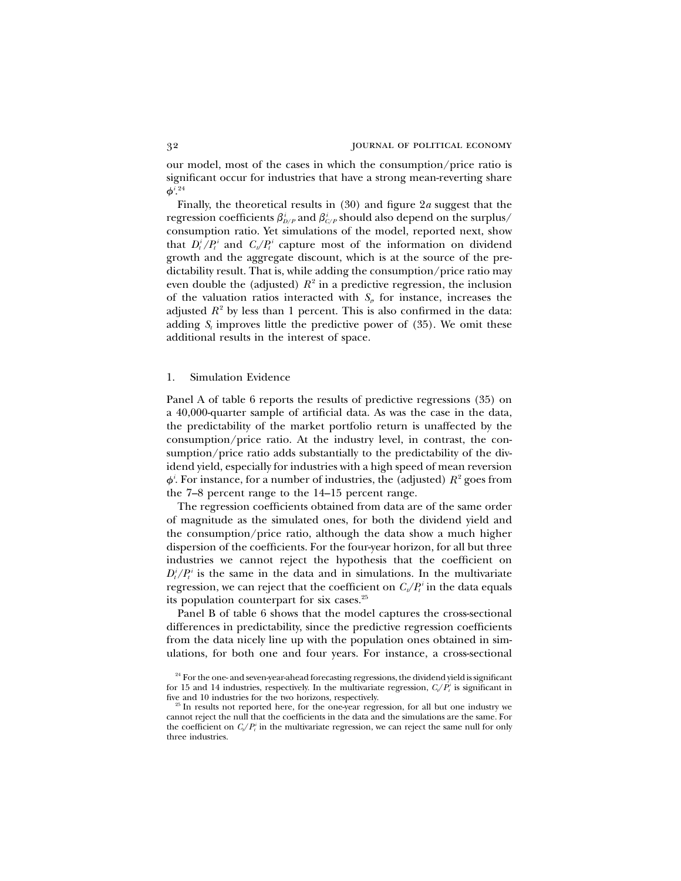our model, most of the cases in which the consumption/price ratio is significant occur for industries that have a strong mean-reverting share  $\boldsymbol{\phi}^{i,24}$ 

Finally, the theoretical results in (30) and figure 2*a* suggest that the regression coefficients  $\beta_{D/P}^i$  and  $\beta_{C/P}^i$  should also depend on the surplus/ consumption ratio. Yet simulations of the model, reported next, show that  $D_t^i / P_t^i$  and  $C_t / P_t^i$  capture most of the information on dividend growth and the aggregate discount, which is at the source of the predictability result. That is, while adding the consumption/price ratio may even double the (adjusted)  $R^2$  in a predictive regression, the inclusion of the valuation ratios interacted with  $S<sub>p</sub>$  for instance, increases the adjusted  $R^2$  by less than 1 percent. This is also confirmed in the data: adding  $S_t$  improves little the predictive power of (35). We omit these additional results in the interest of space.

# 1. Simulation Evidence

Panel A of table 6 reports the results of predictive regressions (35) on a 40,000-quarter sample of artificial data. As was the case in the data, the predictability of the market portfolio return is unaffected by the consumption/price ratio. At the industry level, in contrast, the consumption/price ratio adds substantially to the predictability of the dividend yield, especially for industries with a high speed of mean reversion  $\phi^i$ . For instance, for a number of industries, the (adjusted)  $R^2$  goes from the 7–8 percent range to the 14–15 percent range.

The regression coefficients obtained from data are of the same order of magnitude as the simulated ones, for both the dividend yield and the consumption/price ratio, although the data show a much higher dispersion of the coefficients. For the four-year horizon, for all but three industries we cannot reject the hypothesis that the coefficient on  $D_t^i/P_t^i$  is the same in the data and in simulations. In the multivariate regression, we can reject that the coefficient on  $C/P_i$  in the data equals its population counterpart for six cases.<sup>25</sup>

Panel B of table 6 shows that the model captures the cross-sectional differences in predictability, since the predictive regression coefficients from the data nicely line up with the population ones obtained in simulations, for both one and four years. For instance, a cross-sectional

<sup>&</sup>lt;sup>24</sup> For the one- and seven-year-ahead forecasting regressions, the dividend yield is significant for 15 and 14 industries, respectively. In the multivariate regression,  $C/P_i$  is significant in five and 10 industries for the two horizons, respectively.

 $25$  In results not reported here, for the one-year regression, for all but one industry we cannot reject the null that the coefficients in the data and the simulations are the same. For the coefficient on  $C_i/P_i^i$  in the multivariate regression, we can reject the same null for only three industries.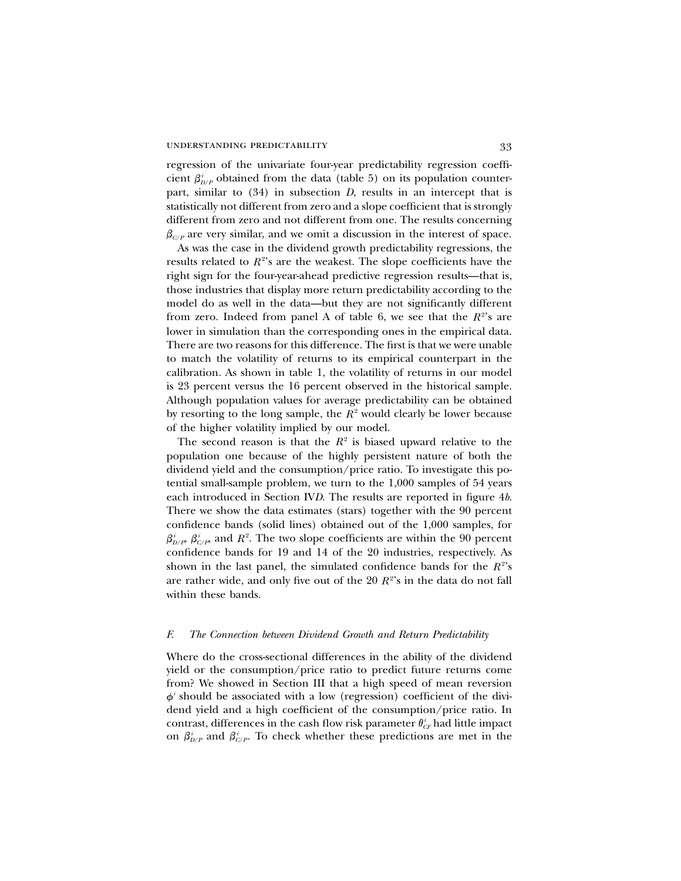regression of the univariate four-year predictability regression coefficient  $\beta_{D/P}^i$  obtained from the data (table 5) on its population counterpart, similar to (34) in subsection *D*, results in an intercept that is statistically not different from zero and a slope coefficient that is strongly different from zero and not different from one. The results concerning  $\beta_{C/P}$  are very similar, and we omit a discussion in the interest of space.

As was the case in the dividend growth predictability regressions, the results related to  $R^2$ 's are the weakest. The slope coefficients have the right sign for the four-year-ahead predictive regression results—that is, those industries that display more return predictability according to the model do as well in the data—but they are not significantly different from zero. Indeed from panel A of table 6, we see that the  $R^2$ 's are lower in simulation than the corresponding ones in the empirical data. There are two reasons for this difference. The first is that we were unable to match the volatility of returns to its empirical counterpart in the calibration. As shown in table 1, the volatility of returns in our model is 23 percent versus the 16 percent observed in the historical sample. Although population values for average predictability can be obtained by resorting to the long sample, the  $R^2$  would clearly be lower because of the higher volatility implied by our model.

The second reason is that the  $R^2$  is biased upward relative to the population one because of the highly persistent nature of both the dividend yield and the consumption/price ratio. To investigate this potential small-sample problem, we turn to the 1,000 samples of 54 years each introduced in Section IV*D*. The results are reported in figure 4*b*. There we show the data estimates (stars) together with the 90 percent confidence bands (solid lines) obtained out of the 1,000 samples, for  $\beta_{D/P}^i$ ,  $\beta_{C/P}^i$  and  $R^2$ . The two slope coefficients are within the 90 percent confidence bands for 19 and 14 of the 20 industries, respectively. As shown in the last panel, the simulated confidence bands for the  $R^2$ 's are rather wide, and only five out of the 20  $R^2$ 's in the data do not fall within these bands.

### *F. The Connection between Dividend Growth and Return Predictability*

Where do the cross-sectional differences in the ability of the dividend yield or the consumption/price ratio to predict future returns come from? We showed in Section III that a high speed of mean reversion  $\phi^i$  should be associated with a low (regression) coefficient of the dividend yield and a high coefficient of the consumption/price ratio. In contrast, differences in the cash flow risk parameter  $\theta_{CF}^i$  had little impact on  $\beta_{D/P}^i$  and  $\beta_{C/P}^i$ . To check whether these predictions are met in the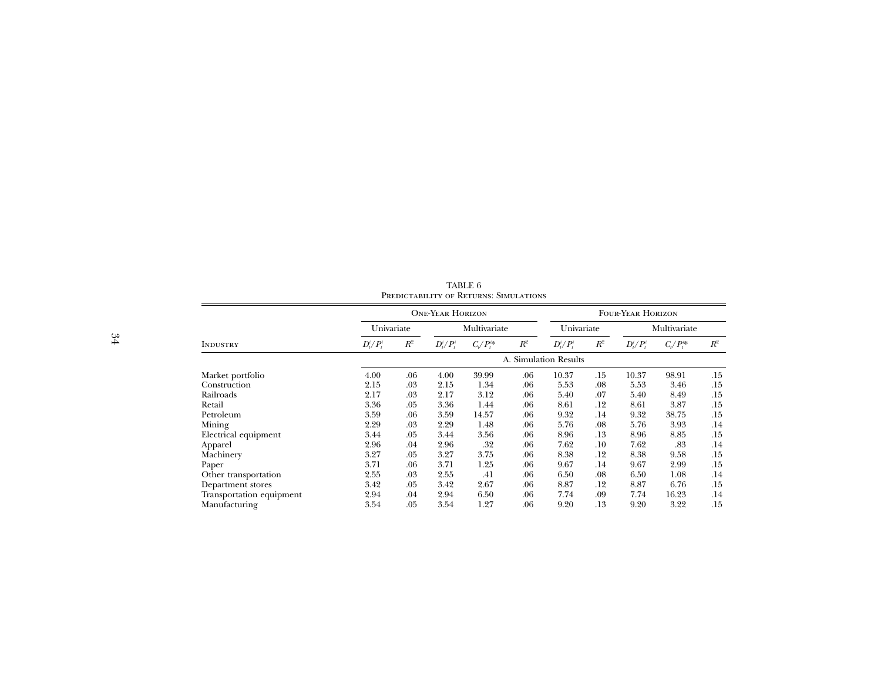|                          |                       |            | <b>ONE-YEAR HORIZON</b> |                     |       | <b>FOUR-YEAR HORIZON</b> |            |               |                    |       |  |
|--------------------------|-----------------------|------------|-------------------------|---------------------|-------|--------------------------|------------|---------------|--------------------|-------|--|
|                          |                       | Univariate |                         | Multivariate        |       |                          | Univariate |               | Multivariate       |       |  |
| INDUSTRY                 | $D_t^i/P_t^i$         | $R^2$      | $D_i^i/P_i^i$           | $C_{\ell}/P_t^{i*}$ | $R^2$ | $D_t^i/P_t^i$            | $R^2$      | $D_t^i/P_t^i$ | $C_{t}/P_{t}^{i*}$ | $R^2$ |  |
|                          | A. Simulation Results |            |                         |                     |       |                          |            |               |                    |       |  |
| Market portfolio         | 4.00                  | .06        | 4.00                    | 39.99               | .06   | 10.37                    | .15        | 10.37         | 98.91              | .15   |  |
| Construction             | 2.15                  | .03        | 2.15                    | 1.34                | .06   | 5.53                     | .08        | 5.53          | 3.46               | .15   |  |
| Railroads                | 2.17                  | .03        | 2.17                    | 3.12                | .06   | 5.40                     | .07        | 5.40          | 8.49               | .15   |  |
| Retail                   | 3.36                  | .05        | 3.36                    | 1.44                | .06   | 8.61                     | .12        | 8.61          | 3.87               | .15   |  |
| Petroleum                | 3.59                  | .06        | 3.59                    | 14.57               | .06   | 9.32                     | .14        | 9.32          | 38.75              | .15   |  |
| Mining                   | 2.29                  | .03        | 2.29                    | 1.48                | .06   | 5.76                     | .08        | 5.76          | 3.93               | .14   |  |
| Electrical equipment     | 3.44                  | .05        | 3.44                    | 3.56                | .06   | 8.96                     | .13        | 8.96          | 8.85               | .15   |  |
| Apparel                  | 2.96                  | .04        | 2.96                    | .32                 | .06   | 7.62                     | .10        | 7.62          | .83                | .14   |  |
| Machinery                | 3.27                  | .05        | 3.27                    | 3.75                | .06   | 8.38                     | .12        | 8.38          | 9.58               | .15   |  |
| Paper                    | 3.71                  | .06        | 3.71                    | 1.25                | .06   | 9.67                     | .14        | 9.67          | 2.99               | .15   |  |
| Other transportation     | 2.55                  | .03        | 2.55                    | .41                 | .06   | 6.50                     | .08        | 6.50          | 1.08               | .14   |  |
| Department stores        | 3.42                  | .05        | 3.42                    | 2.67                | .06   | 8.87                     | .12        | 8.87          | 6.76               | .15   |  |
| Transportation equipment | 2.94                  | .04        | 2.94                    | 6.50                | .06   | 7.74                     | .09        | 7.74          | 16.23              | .14   |  |
| Manufacturing            | 3.54                  | .05        | 3.54                    | 1.27                | .06   | 9.20                     | .13        | 9.20          | 3.22               | .15   |  |

TABLE 6Predictability of Returns: Simulations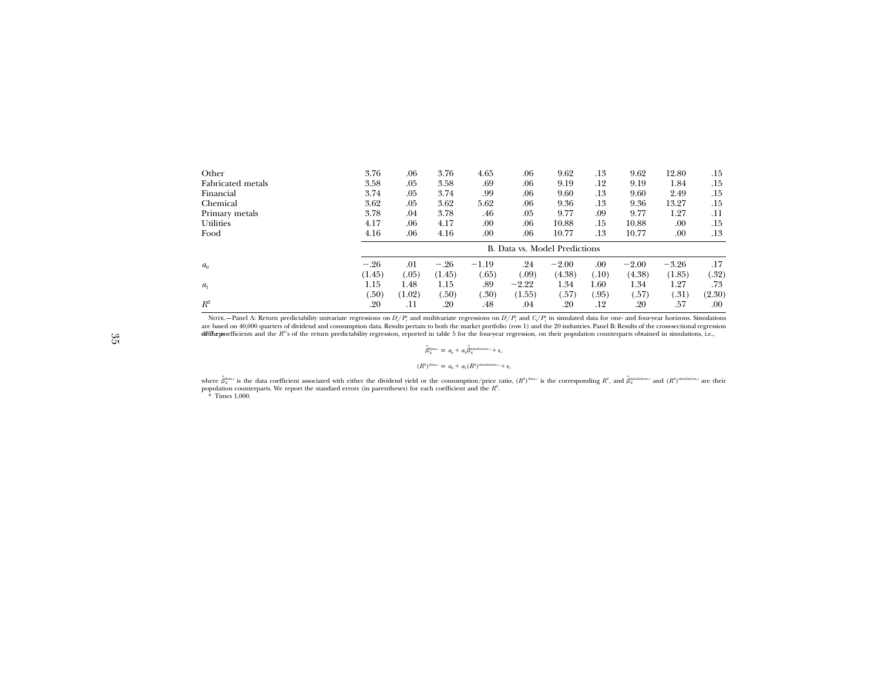| Other             | 3.76   | .06                           | 3.76   | 4.65    | .06     | 9.62    | .13    | 9.62    | 12.80   | .15    |  |
|-------------------|--------|-------------------------------|--------|---------|---------|---------|--------|---------|---------|--------|--|
| Fabricated metals | 3.58   | .05                           | 3.58   | .69     | .06     | 9.19    | .12    | 9.19    | 1.84    | .15    |  |
| Financial         | 3.74   | .05                           | 3.74   | .99     | .06     | 9.60    | .13    | 9.60    | 2.49    | .15    |  |
| Chemical          | 3.62   | .05                           | 3.62   | 5.62    | .06     | 9.36    | .13    | 9.36    | 13.27   | .15    |  |
| Primary metals    | 3.78   | .04                           | 3.78   | .46     | .05     | 9.77    | .09    | 9.77    | 1.27    | .11    |  |
| <b>Utilities</b>  | 4.17   | .06                           | 4.17   | .00     | .06     | 10.88   | .15    | 10.88   | .00     | .15    |  |
| Food              | 4.16   | .06                           | 4.16   | .00     | .06     | 10.77   | .13    | 10.77   | .00     | .13    |  |
|                   |        | B. Data vs. Model Predictions |        |         |         |         |        |         |         |        |  |
| a <sub>0</sub>    | $-.26$ | .01                           | $-.26$ | $-1.19$ | .24     | $-2.00$ | .00    | $-2.00$ | $-3.26$ | .17    |  |
|                   | (1.45) | (.05)                         | (1.45) | (.65)   | (.09)   | (4.38)  | (0.10) | (4.38)  | (1.85)  | (32)   |  |
| a <sub>1</sub>    | 1.15   | 1.48                          | 1.15   | .89     | $-2.22$ | 1.34    | 1.60   | 1.34    | 1.27    | .73    |  |
|                   | .50)   | (1.02)                        | .50)   | .30)    | (1.55)  | .57)    | (95)   | .57)    | (.31)   | (2.30) |  |
| $R^2$             | .20    | .11                           | .20    | .48     | .04     | .20     | .12    | .20     | .57     | .00.   |  |

NOTE.—Panel A: Return predictability univariate regressions on  $D_i^i/P_i^i$  and multivariate regressions on  $D_i^i/P_i^i$  and  $C_i/P_i^i$  in simulated data for one- and four-year horizons. Simulations are based on 40,000 quarters of dividend and consumption data. Results pertain to both the market portfolio (row 1) and the 20 industries. Panel B: Results of the cross-sectional regression dftine proefficients and the R<sup>e</sup>'s of the return predictability regression, reported in table 5 for the four-year regression, on their population counterparts obtained in simulations, i.e.,

$$
\hat{\beta}_X^{\text{data},i} = a_0 + a_1 \hat{\beta}_X^{\text{simulation},i} + \epsilon,
$$

$$
(R^2)^{\text{data}, i} = a_0 + a_1 (R^2)^{\text{simulation}, i} + \epsilon,
$$

where  $\hat{\beta}_X^{\text{data}}$  is the data coefficient associated with either the dividend yield or the consumption/price ratio,  $(R^2)^{\text{data}}$  is the corresponding  $R^2$ , and  $\hat{\beta}_X^{\text{simulation}}$  and  $(R^2)^{\text{simulation}}$  are their population counte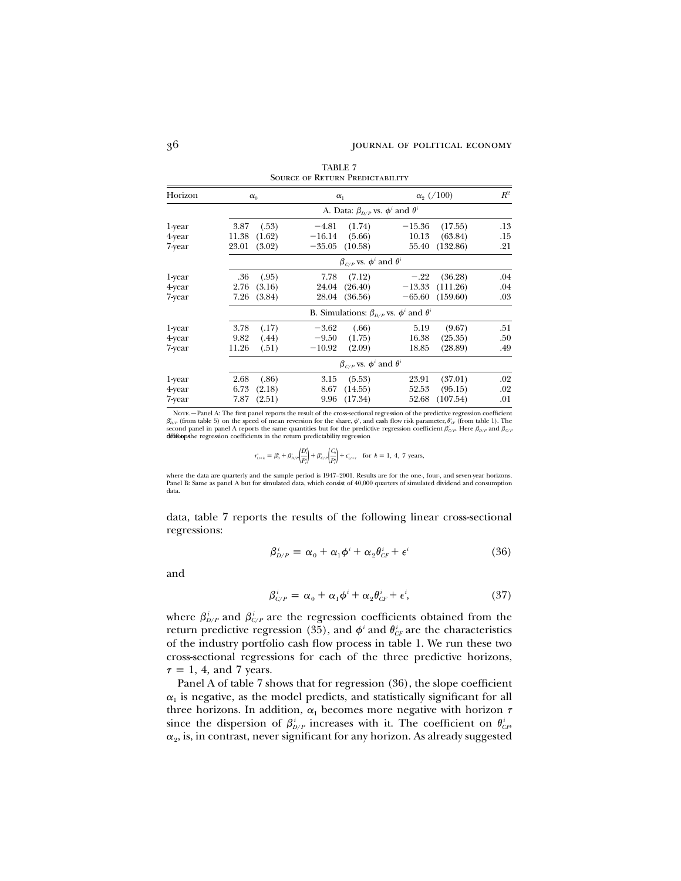|         |       |                                                                  | SOURCE OF RETURN PREDICTABILITY |            |          |                     |       |  |  |  |  |
|---------|-------|------------------------------------------------------------------|---------------------------------|------------|----------|---------------------|-------|--|--|--|--|
| Horizon |       | $\alpha_0$                                                       |                                 | $\alpha_1$ |          | $\alpha_{2}$ (/100) | $R^2$ |  |  |  |  |
|         |       | A. Data: $\beta_{D/P}$ vs. $\phi^i$ and $\theta^i$               |                                 |            |          |                     |       |  |  |  |  |
| 1-year  | 3.87  | (.53)                                                            | $-4.81$                         | (1.74)     | $-15.36$ | (17.55)             | .13   |  |  |  |  |
| 4-year  | 11.38 | (1.62)                                                           | $-16.14$                        | (5.66)     | 10.13    | (63.84)             | .15   |  |  |  |  |
| 7-year  | 23.01 | (3.02)                                                           | $-35.05$                        | (10.58)    | 55.40    | (132.86)            | .21   |  |  |  |  |
|         |       | $\beta_{C/P}$ vs. $\phi^i$ and $\theta^i$                        |                                 |            |          |                     |       |  |  |  |  |
| 1-year  | .36   | (.95)                                                            | 7.78                            | (7.12)     | $-.22$   | (36.28)             | .04   |  |  |  |  |
| 4-year  | 2.76  | (3.16)                                                           | 24.04                           | (26.40)    | $-13.33$ | (111.26)            | .04   |  |  |  |  |
| 7-year  | 7.26  | (3.84)                                                           | 28.04                           | (36.56)    | $-65.60$ | (159.60)            | .03   |  |  |  |  |
|         |       | <b>B.</b> Simulations: $\beta_{D/P}$ vs. $\phi^i$ and $\theta^i$ |                                 |            |          |                     |       |  |  |  |  |
| 1-year  | 3.78  | (.17)                                                            | $-3.62$                         | (.66)      | 5.19     | (9.67)              | .51   |  |  |  |  |
| 4-year  | 9.82  | (.44)                                                            | $-9.50$                         | (1.75)     | 16.38    | (25.35)             | .50   |  |  |  |  |
| 7-year  | 11.26 | (.51)                                                            | $-10.92$                        | (2.09)     | 18.85    | (28.89)             | .49   |  |  |  |  |
|         |       | $\beta_{C/P}$ vs. $\phi^i$ and $\theta^i$                        |                                 |            |          |                     |       |  |  |  |  |
| 1-year  | 2.68  | (.86)                                                            | 3.15                            | (5.53)     | 23.91    | (37.01)             | .02   |  |  |  |  |
| 4-year  | 6.73  | (2.18)                                                           | 8.67                            | (14.55)    | 52.53    | (95.15)             | .02   |  |  |  |  |
| 7-year  | 7.87  | (2.51)                                                           | 9.96                            | (17.34)    | 52.68    | (107.54)            | .01   |  |  |  |  |

TABLE 7

Note.—Panel A: The first panel reports the result of the cross-sectional regression of the predictive regression coefficient  $\beta_{D/P}^i$  (from table 5) on the speed of mean reversion for the share,  $\phi^i$ , and cash flow risk parameter,  $\theta_{CP}^i$  (from table 1). The second panel in panel A reports the same quantities but for the predictive regres df68.btpshe regression coefficients in the return predictability regression

 $\gamma_{t,t+k}^i = \beta_0^i + \beta_{D/P}^i \left| \frac{D_t^i}{P_t^i} \right| + \beta_{C/P}^i \left| \frac{C_t}{P_t^i} \right| + \epsilon_{t,t+\tau}^i \quad \text{for } k = 1, 4, 7 \text{ years},$ 

where the data are quarterly and the sample period is 1947–2001. Results are for the one-, four-, and seven-year horizons. Panel B: Same as panel A but for simulated data, which consist of 40,000 quarters of simulated dividend and consumption data.

data, table 7 reports the results of the following linear cross-sectional regressions:

$$
\beta_{D/P}^i = \alpha_0 + \alpha_1 \phi^i + \alpha_2 \theta_{CF}^i + \epsilon^i \tag{36}
$$

and

$$
\beta_{C/P}^i = \alpha_0 + \alpha_1 \phi^i + \alpha_2 \theta_{CF}^i + \epsilon^i, \qquad (37)
$$

where  $\beta_{D/P}^i$  and  $\beta_{C/P}^i$  are the regression coefficients obtained from the return predictive regression (35), and  $\phi^i$  and  $\theta^i_{CF}$  are the characteristics of the industry portfolio cash flow process in table 1. We run these two cross-sectional regressions for each of the three predictive horizons,  $\tau = 1$ , 4, and 7 years.

Panel A of table 7 shows that for regression (36), the slope coefficient  $\alpha_1$  is negative, as the model predicts, and statistically significant for all three horizons. In addition,  $\alpha_1$  becomes more negative with horizon  $\tau$ since the dispersion of  $\beta_{D/P}^i$  increases with it. The coefficient on  $\theta_{CP}^i$  $\alpha_2$ , is, in contrast, never significant for any horizon. As already suggested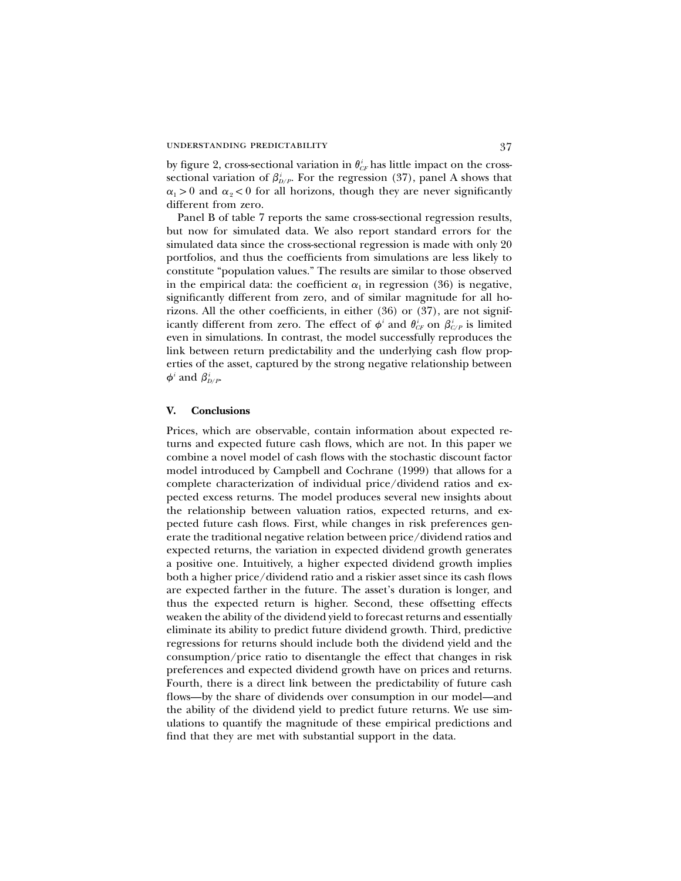by figure 2, cross-sectional variation in  $\theta_{CF}^i$  has little impact on the crosssectional variation of  $\beta_{D/P}^i$ . For the regression (37), panel A shows that  $\alpha_1 > 0$  and  $\alpha_2 < 0$  for all horizons, though they are never significantly different from zero.

Panel B of table 7 reports the same cross-sectional regression results, but now for simulated data. We also report standard errors for the simulated data since the cross-sectional regression is made with only 20 portfolios, and thus the coefficients from simulations are less likely to constitute "population values." The results are similar to those observed in the empirical data: the coefficient  $\alpha_1$  in regression (36) is negative, significantly different from zero, and of similar magnitude for all horizons. All the other coefficients, in either (36) or (37), are not significantly different from zero. The effect of  $\phi^i$  and  $\theta^i_{CF}$  on  $\beta^i_{CP}$  is limited even in simulations. In contrast, the model successfully reproduces the link between return predictability and the underlying cash flow properties of the asset, captured by the strong negative relationship between  $\phi^i$  and  $\beta^i_{D/P}$ 

## **V. Conclusions**

Prices, which are observable, contain information about expected returns and expected future cash flows, which are not. In this paper we combine a novel model of cash flows with the stochastic discount factor model introduced by Campbell and Cochrane (1999) that allows for a complete characterization of individual price/dividend ratios and expected excess returns. The model produces several new insights about the relationship between valuation ratios, expected returns, and expected future cash flows. First, while changes in risk preferences generate the traditional negative relation between price/dividend ratios and expected returns, the variation in expected dividend growth generates a positive one. Intuitively, a higher expected dividend growth implies both a higher price/dividend ratio and a riskier asset since its cash flows are expected farther in the future. The asset's duration is longer, and thus the expected return is higher. Second, these offsetting effects weaken the ability of the dividend yield to forecast returns and essentially eliminate its ability to predict future dividend growth. Third, predictive regressions for returns should include both the dividend yield and the consumption/price ratio to disentangle the effect that changes in risk preferences and expected dividend growth have on prices and returns. Fourth, there is a direct link between the predictability of future cash flows—by the share of dividends over consumption in our model—and the ability of the dividend yield to predict future returns. We use simulations to quantify the magnitude of these empirical predictions and find that they are met with substantial support in the data.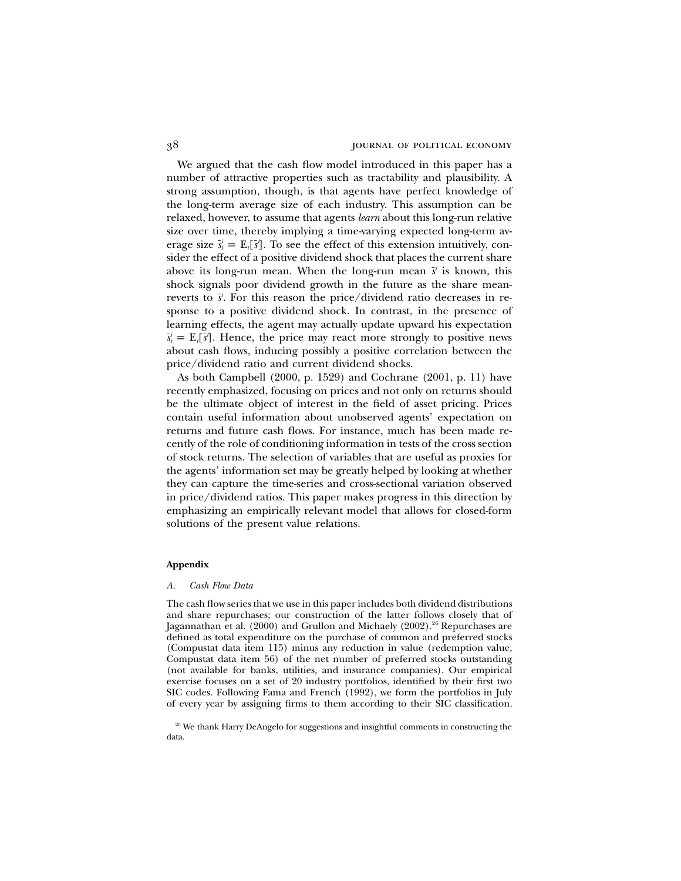We argued that the cash flow model introduced in this paper has a number of attractive properties such as tractability and plausibility. A strong assumption, though, is that agents have perfect knowledge of the long-term average size of each industry. This assumption can be relaxed, however, to assume that agents *learn* about this long-run relative size over time, thereby implying a time-varying expected long-term average size  $\bar{s}_i^i = \mathbf{E}_i[\bar{s}^i]$ . To see the effect of this extension intuitively, consider the effect of a positive dividend shock that places the current share above its long-run mean. When the long-run mean  $\vec{s}^i$  is known, this shock signals poor dividend growth in the future as the share meanreverts to  $\vec{s}$ . For this reason the price/dividend ratio decreases in response to a positive dividend shock. In contrast, in the presence of learning effects, the agent may actually update upward his expectation  $\bar{s}_i^i = \mathbf{E}_i[\bar{s}^i]$ . Hence, the price may react more strongly to positive news about cash flows, inducing possibly a positive correlation between the price/dividend ratio and current dividend shocks.

As both Campbell (2000, p. 1529) and Cochrane (2001, p. 11) have recently emphasized, focusing on prices and not only on returns should be the ultimate object of interest in the field of asset pricing. Prices contain useful information about unobserved agents' expectation on returns and future cash flows. For instance, much has been made recently of the role of conditioning information in tests of the cross section of stock returns. The selection of variables that are useful as proxies for the agents' information set may be greatly helped by looking at whether they can capture the time-series and cross-sectional variation observed in price/dividend ratios. This paper makes progress in this direction by emphasizing an empirically relevant model that allows for closed-form solutions of the present value relations.

#### **Appendix**

#### *A. Cash Flow Data*

The cash flow series that we use in this paper includes both dividend distributions and share repurchases; our construction of the latter follows closely that of Jagannathan et al. (2000) and Grullon and Michaely (2002).<sup>26</sup> Repurchases are defined as total expenditure on the purchase of common and preferred stocks (Compustat data item 115) minus any reduction in value (redemption value, Compustat data item 56) of the net number of preferred stocks outstanding (not available for banks, utilities, and insurance companies). Our empirical exercise focuses on a set of 20 industry portfolios, identified by their first two SIC codes. Following Fama and French (1992), we form the portfolios in July of every year by assigning firms to them according to their SIC classification.

<sup>&</sup>lt;sup>26</sup> We thank Harry DeAngelo for suggestions and insightful comments in constructing the data.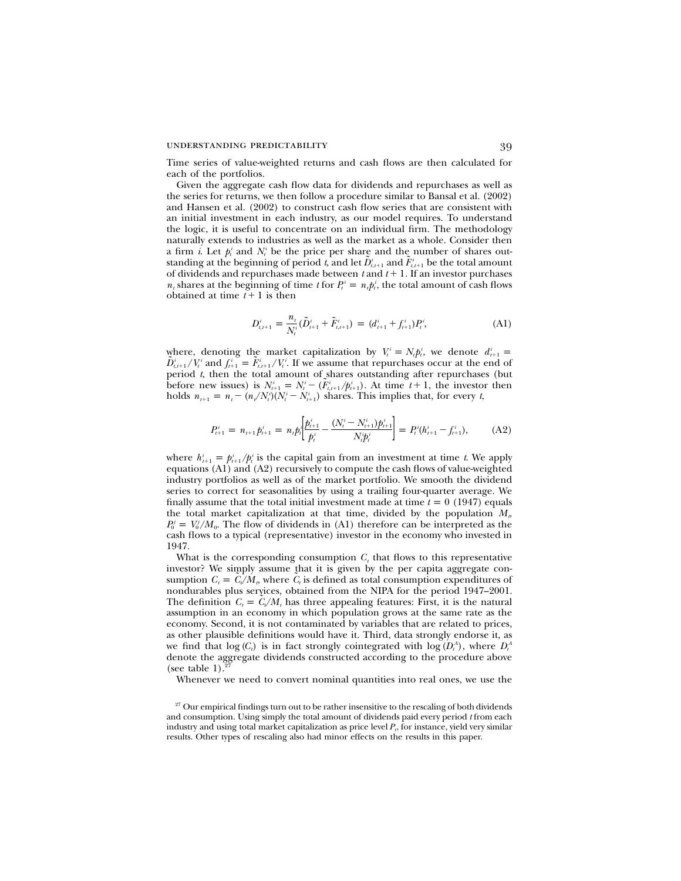Time series of value-weighted returns and cash flows are then calculated for each of the portfolios.

Given the aggregate cash flow data for dividends and repurchases as well as the series for returns, we then follow a procedure similar to Bansal et al. (2002) and Hansen et al. (2002) to construct cash flow series that are consistent with an initial investment in each industry, as our model requires. To understand the logic, it is useful to concentrate on an individual firm. The methodology naturally extends to industries as well as the market as a whole. Consider then a firm *i*. Let  $p_i^i$  and  $N_i^i$  be the price per share and the number of shares outstanding at the beginning of period *t*, and let  $\tilde{D}_{t,t+1}^i$  and  $\tilde{F}_{t,t+1}^i$  be the total amount of dividends and repurchases made between  $t$  and  $t + 1$ . If an investor purchases *n*, shares at the beginning of time *t* for  $P_i^i = n_i p_i^i$ , the total amount of cash flows obtained at time  $t+1$  is then

$$
D_{t,t+1}^i = \frac{n_t}{N_t^i} (\tilde{D}_{t+1}^i + \tilde{F}_{t,t+1}^i) = (d_{t+1}^i + f_{t+1}^i) P_t^i,
$$
\n(A1)

where, denoting the market capitalization by  $V_t^* = N_t p_t^*$ , we denote  $d_{t+1}^* =$  $D_{t,t+1}^i / V_t^i$  and  $f_{t+1}^i = F_{t,t+1}^i / V_t^i$ . If we assume that repurchases occur at the end of period *t*, then the total amount of shares outstanding after repurchases (but before new issues) is  $N_{t+1}^i = N_t^i - (\tilde{F}_{t,t+1}^i / p_{t+1}^i)$ . At time  $t+1$ , the investor then holds  $n_{t+1} = n_t - (n_t/N_t^i)(N_t^i - N_{t+1}^i)$  shares. This implies that, for every *t*,

$$
P_{t+1}^i = n_{t+1} p_{t+1}^i = n_t p_t^i \left[ \frac{p_{t+1}^i}{p_t^i} - \frac{(N_t^i - N_{t+1}^i) p_{t+1}^i}{N_t^i p_t^i} \right] = P_t^i(h_{t+1}^i - f_{t+1}^i), \tag{A2}
$$

where  $h_{t+1}^i = p_{t+1}^i / p_t^i$  is the capital gain from an investment at time *t*. We apply equations (A1) and (A2) recursively to compute the cash flows of value-weighted industry portfolios as well as of the market portfolio. We smooth the dividend series to correct for seasonalities by using a trailing four-quarter average. We finally assume that the total initial investment made at time  $t = 0$  (1947) equals the total market capitalization at that time, divided by the population  $M_{\nu}$  $P_0^j = V_0^j / M_0$ . The flow of dividends in (A1) therefore can be interpreted as the cash flows to a typical (representative) investor in the economy who invested in 1947.

What is the corresponding consumption  $C<sub>t</sub>$  that flows to this representative investor? We simply assume that it is given by the per capita aggregate consumption  $C_t = C_t / M_c$ , where  $C_t$  is defined as total consumption expenditures of nondurables plus services, obtained from the NIPA for the period 1947–2001. The definition  $C_t = C_t/M_t$  has three appealing features: First, it is the natural assumption in an economy in which population grows at the same rate as the economy. Second, it is not contaminated by variables that are related to prices, as other plausible definitions would have it. Third, data strongly endorse it, as we find that  $\log (C_i)$  is in fact strongly cointegrated with  $\log (D_i^A)$ , where  $D_i^A$ denote the aggregate dividends constructed according to the procedure above (see table 1).

Whenever we need to convert nominal quantities into real ones, we use the

<sup>&</sup>lt;sup>27</sup> Our empirical findings turn out to be rather insensitive to the rescaling of both dividends and consumption. Using simply the total amount of dividends paid every period *t* from each industry and using total market capitalization as price level  $P_t$ , for instance, yield very similar results. Other types of rescaling also had minor effects on the results in this paper.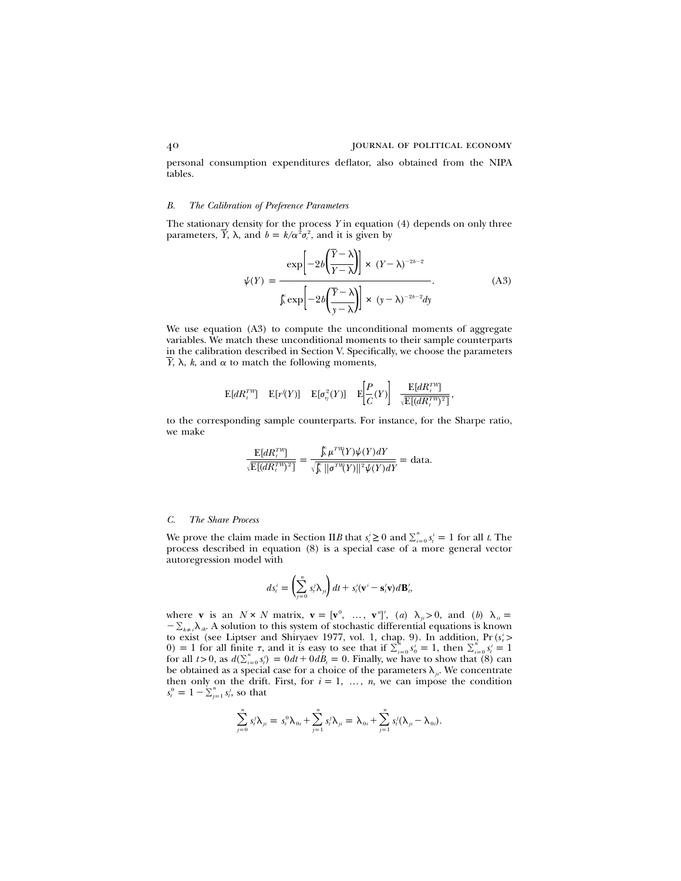personal consumption expenditures deflator, also obtained from the NIPA tables.

#### *B. The Calibration of Preference Parameters*

The stationary density for the process *Y* in equation (4) depends on only three parameters,  $\overline{Y}$ ,  $\lambda$ , and  $b = k/\alpha^2 \sigma_c^2$ , and it is given by

$$
\psi(Y) = \frac{\exp\left[-2b\left(\frac{\overline{Y} - \lambda}{Y - \lambda}\right)\right] \times (Y - \lambda)^{-2b - 2}}{\int_{\lambda}^{\infty} \exp\left[-2b\left(\frac{\overline{Y} - \lambda}{y - \lambda}\right)\right] \times (y - \lambda)^{-2b - 2} dy}.
$$
\n(A3)

We use equation (A3) to compute the unconditional moments of aggregate variables. We match these unconditional moments to their sample counterparts in the calibration described in Section V. Specifically, we choose the parameters  $\overline{Y}$ ,  $\lambda$ ,  $k$ , and  $\alpha$  to match the following moments,

$$
\mathbb{E}[dR_t^{TW}] = \mathbb{E}[r'(Y)] = \mathbb{E}[\sigma_{\eta}^2(Y)] = \mathbb{E}\left[\frac{P}{C}(Y)\right] = \frac{\mathbb{E}[dR_t^{TW}]}{\sqrt{\mathbb{E}[(dR_t^{TW})^2]}},
$$

to the corresponding sample counterparts. For instance, for the Sharpe ratio, we make

$$
\frac{\mathrm{E}[dR_t^{\mathrm{TW}}]}{\sqrt{\mathrm{E}[(dR_t^{\mathrm{TW}})^2]}} = \frac{\int_{\lambda}^{\infty} \mu^{\mathrm{TW}}(Y)\psi(Y)dY}{\sqrt{\int_{\lambda}^{\infty} ||\sigma^{\mathrm{TW}}(Y)||^2\psi(Y)dY}} = \text{data}.
$$

#### *C. The Share Process*

We prove the claim made in Section II*B* that  $s_i \geq 0$  and  $\sum_{i=0}^n s_i^i = 1$  for all *t*. The process described in equation (8) is a special case of a more general vector autoregression model with

$$
ds_t^i = \left(\sum_{j=0}^n s_t^j \lambda_{ji}\right) dt + s_t^i (\mathbf{v}^i - \mathbf{s}_t' \mathbf{v}) d\mathbf{B}_t',
$$

where **v** is an  $N \times N$  matrix,  $\mathbf{v} = [\mathbf{v}^0, \dots, \mathbf{v}^n]'$ , (*a*)  $\lambda_{ji} > 0$ , and (*b*)  $\lambda_{ii} =$  $-\sum_{k\neq i}\lambda_{ik}$ . A solution to this system of stochastic differential equations is known to exist (see Liptser and Shiryaev 1977, vol. 1, chap. 9). In addition, Pr ( $s^i$  >  $f(0) = 1$  for all finite  $\tau$ , and it is easy to see that if  $\sum_{i=0}^{n} s_0^i = 1$ , then  $\sum_{i=0}^{n} s_i^i = 1$ for all  $t > 0$ , as  $d(\sum_{i=0}^{n} s_i^i) = 0 dt + 0 dB_t = 0$ . Finally, we have to show that (8) can be obtained as a special case for a choice of the parameters  $\lambda_{ji}$ . We concentrate then only on the drift. First, for  $i = 1, \ldots, n$ , we can impose the condition  $s_i^0 = 1 - \sum_{j=1}^n s_i^j$ , so that

$$
\sum_{j=0}^{n} s_{i}^{j} \lambda_{ji} = s_{i}^{0} \lambda_{0i} + \sum_{j=1}^{n} s_{i}^{j} \lambda_{ji} = \lambda_{0i} + \sum_{j=1}^{n} s_{i}^{j} (\lambda_{ji} - \lambda_{0i}).
$$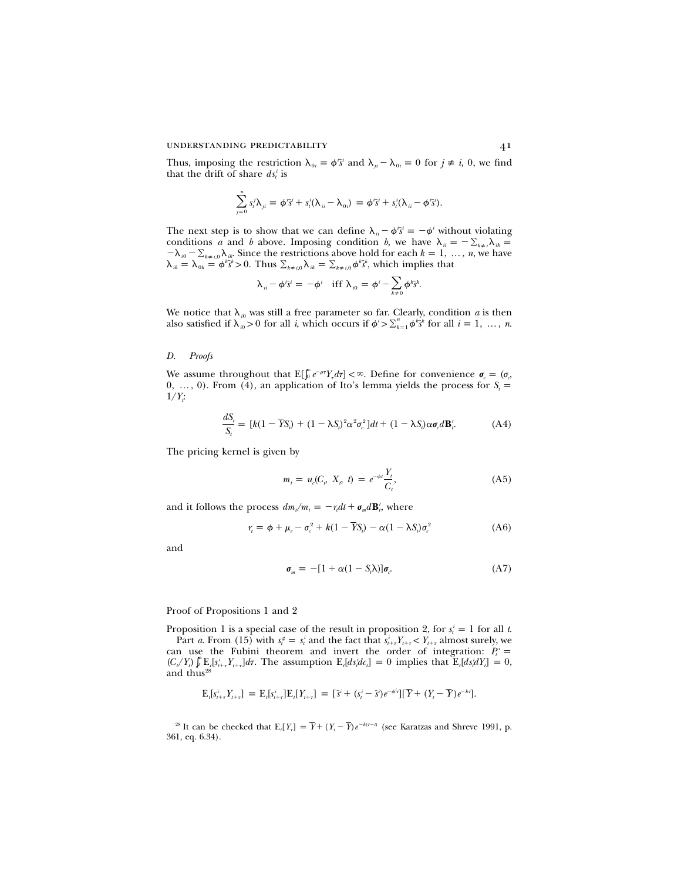Thus, imposing the restriction  $\lambda_{0i} = \phi^{i\pi i}$  and  $\lambda_{ji} - \lambda_{0i} = 0$  for  $j \neq i, 0$ , we find that the drift of share  $ds_i^i$  is

$$
\sum_{j=0}^{n} s_{i}^{j} \lambda_{ji} = \phi^{i} \overline{s}^{i} + s_{i}^{i} (\lambda_{ii} - \lambda_{0i}) = \phi^{i} \overline{s}^{i} + s_{i}^{i} (\lambda_{ii} - \phi^{i} \overline{s}^{i}).
$$

The next step is to show that we can define  $\lambda_{ii} - \phi^{i\pi i} = -\phi^{i}$  without violating conditions *a* and *b* above. Imposing condition *b*, we have  $\lambda_{ii} = -\sum_{k\neq i} \lambda_{ik} =$  $-\lambda_{i0} - \sum_{k \neq i,0} \lambda_{ik}$ . Since the restrictions above hold for each  $k = 1, ..., n$ , we have  $\lambda_{ik} = \lambda_{0k} = \phi^{k} \bar{s}^{k} > 0$ . Thus  $\sum_{k \neq i,0} \lambda_{ik} = \sum_{k \neq i,0} \phi^{k} \bar{s}^{k}$ , which implies that

$$
\lambda_{ii} - \phi^i \vec{s}^i = -\phi^i \quad \text{iff} \quad \lambda_{i0} = \phi^i - \sum_{k \neq 0} \phi^k \vec{s}^k.
$$

We notice that  $\lambda_{i0}$  was still a free parameter so far. Clearly, condition *a* is then also satisfied if  $\lambda_{i0}^{\circ} > 0$  for all *i*, which occurs if  $\phi^i > \sum_{k=1}^n \phi^{k-k}$  for all  $i = 1, \ldots, n$ .

### *D. Proofs*

We assume throughout that  $E[\int_0^{\infty} e^{-\rho \tau} Y_{\tau} d\tau] < \infty$ . Define for convenience  $\sigma_c = (\sigma_c)$ 0, ..., 0). From (4), an application of Ito's lemma yields the process for  $S_t =$  $1/Y_i$ 

$$
\frac{dS_t}{S_t} = [k(1 - \overline{Y}S_t) + (1 - \lambda S_t)^2 \alpha^2 \sigma_c^2]dt + (1 - \lambda S_t) \alpha \sigma_c d\mathbf{B}_t'.
$$
 (A4)

The pricing kernel is given by

$$
m_t = u_e(C_p \ X_p \ t) = e^{-\phi t} \frac{Y_t}{C_t},\tag{A5}
$$

and it follows the process  $dm_i/m_i = -r_i dt + \sigma_m d\mathbf{B}'_i$ , where

$$
r_{\iota} = \phi + \mu_{c} - \sigma_{c}^{2} + k(1 - \overline{Y}S_{\iota}) - \alpha(1 - \lambda S_{\iota})\sigma_{c}^{2}
$$
 (A6)

and

$$
\sigma_m = -[1 + \alpha(1 - S_t \lambda)]\sigma_c.
$$
 (A7)

Proof of Propositions 1 and 2

Proposition 1 is a special case of the result in proposition 2, for  $s_i^i = 1$  for all *t*. Part *a*. From (15) with  $s_i^g = s_i^i$  and the fact that  $s_{i+\tau}^i Y_{i+\tau} < Y_{i+\tau}$  almost surely, we can use the Fubini theorem and invert the order of integration:  $P_i^i$  $(C_{\ell}/Y_{\ell}) \int_{t}^{\infty} E_{\ell}[s_{t+\tau}^{i} Y_{t+\tau}] d\tau$ . The assumption  $E_{\ell}[ds_{\ell}^{i} d\mathcal{C}_{\ell}] = 0$  implies that  $E_{\ell}[ds_{\ell}^{i} dY_{\ell}] = 0$ , and thus<sup>28</sup>

$$
\mathbf{E}_{t}[s_{t+\tau}^{i}Y_{t+\tau}] = \mathbf{E}_{t}[s_{t+\tau}^{i}]\mathbf{E}_{t}[Y_{t+\tau}] = [\bar{s}^{i} + (s_{t}^{i} - \bar{s}^{i})e^{-\phi^{i}\tau}][\bar{Y} + (Y_{t} - \bar{Y})e^{-k\tau}].
$$

<sup>28</sup> It can be checked that  $E_t[Y_t] = \overline{Y} + (Y_t - \overline{Y})e^{-k(\tau-t)}$  (see Karatzas and Shreve 1991, p. 361, eq. 6.34).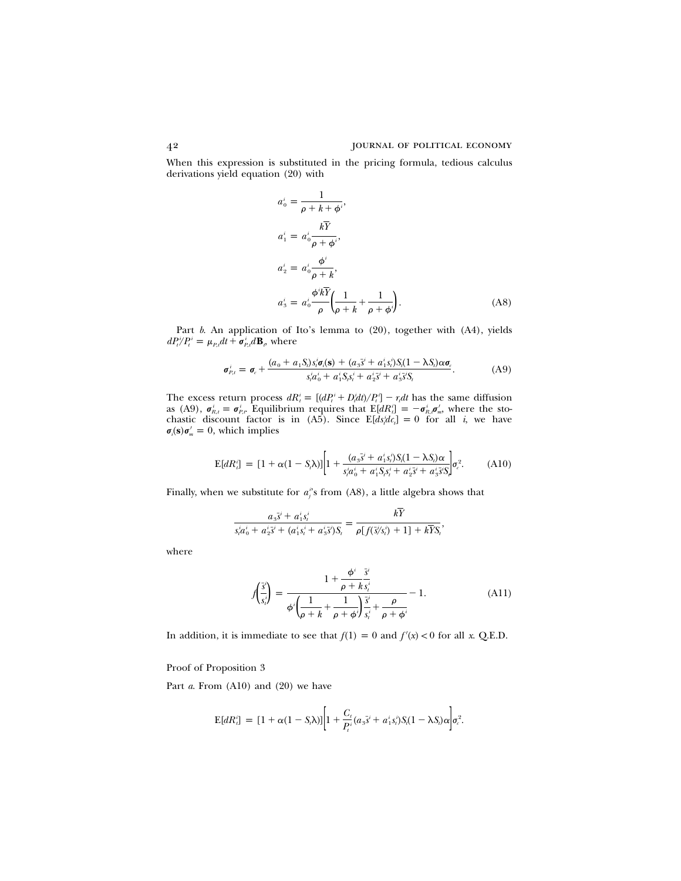When this expression is substituted in the pricing formula, tedious calculus derivations yield equation (20) with

$$
a_0^i = \frac{1}{\rho + k + \phi^i},
$$
  
\n
$$
a_1^i = a_0^i \frac{k \overline{Y}}{\rho + \phi^i},
$$
  
\n
$$
a_2^i = a_0^i \frac{\phi^i}{\rho + k},
$$
  
\n
$$
a_3^i = a_0^i \frac{\phi^i k \overline{Y}}{\rho} \left(\frac{1}{\rho + k} + \frac{1}{\rho + \phi^i}\right).
$$
\n(A8)

Part *b*. An application of Ito's lemma to (20), together with (A4), yields  $dP_t^i/P_t^i = \mu_{P,t} dt + \hat{\sigma}_{P,t}^i d\mathbf{B}_t$ , where

$$
\sigma_{P,t}^{i} = \sigma_{c} + \frac{(a_{0} + a_{1}S_{t})s_{t}^{i}\sigma_{t}(\mathbf{s}) + (a_{3}\bar{s}^{i} + a_{1}^{i}s_{t}^{i})S_{t}(\mathbf{1} - \lambda S_{t})\alpha\sigma_{c}}{s_{t}^{i}a_{0}^{i} + a_{1}^{i}S_{t}s_{t}^{i} + a_{2}^{i}\bar{s}^{i} + a_{3}^{i}\bar{s}^{i}S_{t}}.
$$
 (A9)

The excess return process  $dR_i^i = [(dP_i^i + D_i^i dt)/P_i^i] - r_i dt$  has the same diffusion as (A9),  $\sigma_{R,t}^i = \sigma_{R,t}^i$  Equilibrium requires that  $E[dR_t^i] = -\sigma_{R,t}^i \sigma_{m}^i$ , where the stochastic discount factor is in (A5). Since  $E[d s_i d c_i] = 0$  for all *i*, we have  $\sigma_i(\mathbf{s}) \sigma'_m = 0$ , which implies

$$
\mathcal{E}[dR'_i] = [1 + \alpha(1 - S_i\lambda)] \bigg[ 1 + \frac{(a_3\bar{s}^i + a_1^i s_i^i)S_i(1 - \lambda S_i)\alpha}{s_i^i a_0^i + a_1^i S_i^i + a_2^i \bar{s}^i + a_3^i \bar{s}^i S_i} \bigg] \sigma_\epsilon^2.
$$
 (A10)

Finally, when we substitute for  $a_i^s$  from (A8), a little algebra shows that

$$
\frac{a_3\vec{s} + a_1^i s_t^i}{s_t^i a_0^i + a_2^i \vec{s}^i + (a_1^i s_t^i + a_3^i \vec{s}^i) S_t} = \frac{kY}{\rho[f(\vec{s}/s_t^i) + 1] + k\overline{Y}S_t},
$$

where

$$
f\left(\frac{\bar{s}^{i}}{s_{i}^{j}}\right) = \frac{1 + \frac{\phi^{i}}{\rho + k s_{i}^{j}}}{\phi^{i}\left(\frac{1}{\rho + k} + \frac{1}{\rho + \phi^{j}}\right) \frac{\bar{s}^{i}}{s_{i}^{i}} + \frac{\rho}{\rho + \phi^{i}}} - 1.
$$
 (A11)

In addition, it is immediate to see that  $f(1) = 0$  and  $f'(x) < 0$  for all *x*. Q.E.D.

Proof of Proposition 3

Part *a*. From (A10) and (20) we have

$$
\mathbb{E}[dR_i^i] = [1 + \alpha(1 - S_i\lambda)] \bigg[ 1 + \frac{C_i}{P_i^i} (a_s \bar{s}^i + a_1^i s_i^i) S_i (1 - \lambda S_i) \alpha \bigg] \sigma_c^2.
$$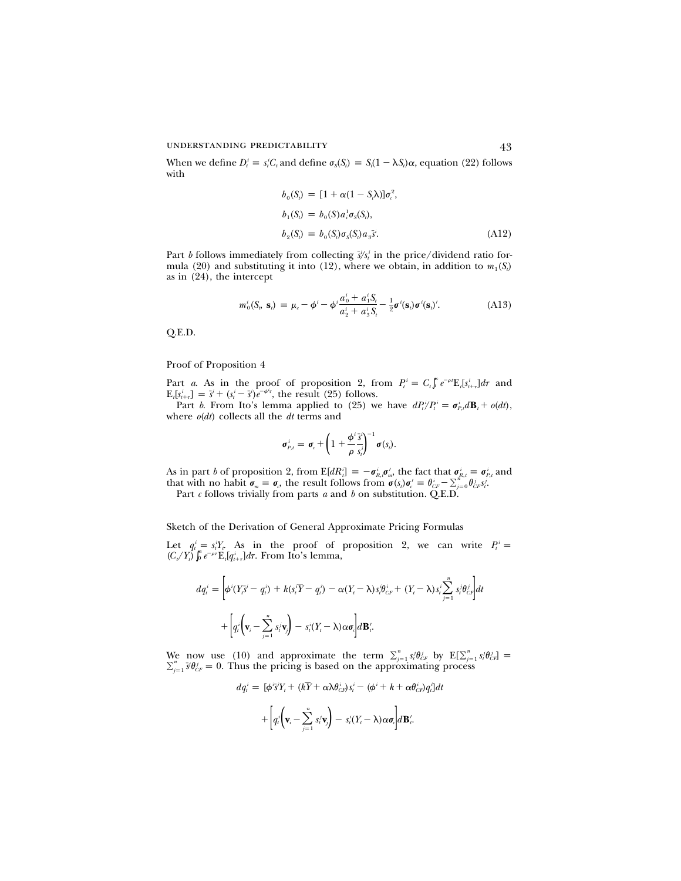When we define  $D_t^i = s_t^i C_t$  and define  $\sigma_s(S_t) = S_t (1 - \lambda S_t) \alpha$ , equation (22) follows with

$$
b_0(S_i) = [1 + \alpha(1 - S_i\lambda)]\sigma_\epsilon^2,
$$
  
\n
$$
b_1(S_i) = b_0(S)a_i^1\sigma_S(S_i),
$$
  
\n
$$
b_2(S_i) = b_0(S_i)\sigma_S(S_i)a_3\vec{s}.
$$
\n(A12)

Part *b* follows immediately from collecting  $\vec{s}/s_t^i$  in the price/dividend ratio formula (20) and substituting it into (12), where we obtain, in addition to  $m_1(S)$ as in (24), the intercept

$$
m_0^i(S_\rho \mathbf{s}_i) = \mu_c - \phi^i - \phi^i \frac{a_0^i + a_1^i S_t}{a_2^i + a_3^i S_t} - \frac{1}{2} \sigma^i(\mathbf{s}_i) \sigma^i(\mathbf{s}_i). \tag{A13}
$$

Q.E.D.

#### Proof of Proposition 4

Part *a*. As in the proof of proposition 2, from  $P_t^i = C_t \int_t^{\infty} e^{-\rho t} E_t[s_{t+\tau}^i] d\tau$  and  $E_t[s_{t+\tau}^i] = \bar{s}^i + (s_t^i - \bar{s}^i)e^{-\phi^i\tau}$ , the result (25) follows.

Part *b*. From Ito's lemma applied to (25) we have  $dP_t^i/P_t^i = \sigma_{P_t}^i d\mathbf{B}_t + o(dt)$ , where  $o(dt)$  collects all the  $dt$  terms and

$$
\pmb{\sigma}_{P,t}^i = \pmb{\sigma}_c + \left(1 + \frac{\boldsymbol{\phi}^i \bar{s}^i}{\rho} \right)^{-1} \pmb{\sigma}(s_t).
$$

As in part *b* of proposition 2, from  $\mathbb{E}[dR_i^i] = -\sigma_{R_i}^i \sigma_n^i$ , the fact that  $\sigma_{R_i}^i = \sigma_{P_i}^i$  and that with no habit  $\sigma_m = \sigma_c$ , the result follows from  $\sigma(s_i)\sigma_c' = \theta_{cr}^i - \sum_{j=0}^{n} \theta_{cr}^i s_i'$ . Part *c* follows trivially from parts *a* and *b* on substitution. Q.E.D.

Sketch of the Derivation of General Approximate Pricing Formulas

Let  $q_{i}^{i} = s_{i}^{i} Y_{i}$  As in the proof of proposition 2, we can write  $P_{i}^{i} =$  $(C_{\ell}/Y_i)$   $\int_0^{\infty} e^{-\rho \tau} \vec{E}_i[q_{i+\tau}^i] d\tau$ . From Ito's lemma,

$$
dq_i^i = \left[ \phi^i (Y_i \overline{s}^i - q_i^i) + k(s_i^i \overline{Y} - q_i^i) - \alpha (Y_i - \lambda) s_i^i \theta_{CF}^i + (Y_i - \lambda) s_i^i \sum_{j=1}^n s_i^i \theta_{CF}^j \right] dt
$$

$$
+ \left[ q_i^j \left( \mathbf{v}_i - \sum_{j=1}^n s_i^j \mathbf{v}_j \right) - s_i^i (Y_i - \lambda) \alpha \mathbf{v}_c \right] d\mathbf{B}_i^i.
$$

We now use (10) and approximate the term  $\sum_{j=1}^{n} s_{i}^{j} \theta_{CF}^{j}$  by  $E[\sum_{j=1}^{n} s_{i}^{j} \theta_{CF}^{j}]$  =  $\sum_{j=1}^{n} \bar{s}^{j} \theta_{CF}^{j} = 0$ . Thus the pricing is based on the approximating process

$$
dq_i^i = [\phi^i \vec{\mathbf{x}} Y_t + (k\overline{Y} + \alpha \lambda \theta_{CP}^i) s_t^i - (\phi^i + k + \alpha \theta_{CP}^i) q_i^i] dt
$$

$$
+ \left[ q_i^i \left( \mathbf{v}_i - \sum_{j=1}^n s_i^j \mathbf{v}_j \right) - s_i^i (Y_t - \lambda) \alpha \sigma_c \right] d\mathbf{B}_t^i.
$$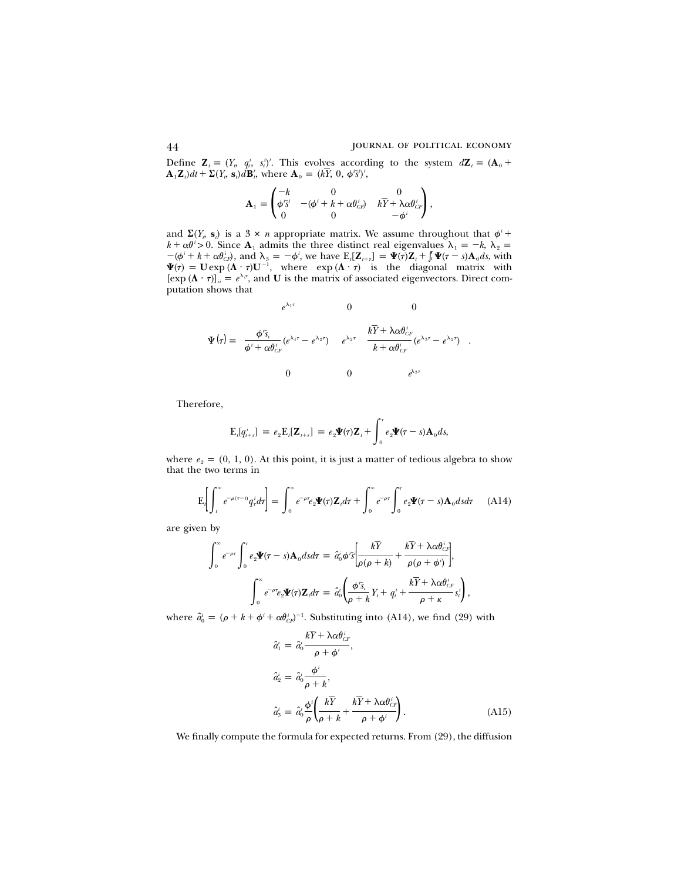Define  $\mathbf{Z}_t = (Y_p, q_t^i, s_t^i)'$ . This evolves according to the system  $d\mathbf{Z}_t = (\mathbf{A}_0 + \mathbf{A}_t)^T$  $\mathbf{A}_1 \mathbf{Z}_i dt + \mathbf{\Sigma} (Y_\rho \mathbf{s}_i) d\mathbf{B}'_i$ , where  $\mathbf{A}_0 = (k\overline{Y}, 0, \phi^i \overline{s}^i)'$ ,

$$
\mathbf{A}_1 = \begin{pmatrix} -k & 0 & 0 \\ \phi^{i\overline{\mathbf{y}}^i} & -(\phi^i + k + \alpha\theta^i_{\mathit{CF}}) & k\overline{Y} + \lambda\alpha\theta^i_{\mathit{CF}} \\ 0 & 0 & -\phi^i \end{pmatrix},
$$

and  $\Sigma(Y_p, s_n)$  is a 3  $\times$  *n* appropriate matrix. We assume throughout that  $\phi^i$  +  $k + \alpha \theta^i > 0$ . Since  $A_1$  admits the three distinct real eigenvalues  $\lambda_1 = -k$ ,  $\lambda_2 =$  $-(\phi^i + k + \alpha \theta_{CF}^i)$ , and  $\lambda_3 = -\phi^i$ , we have  $\mathbf{E}_i[\mathbf{Z}_{t+\tau}] = \mathbf{\Psi}(\tau)\mathbf{Z}_t + \int_t^{\tau} \mathbf{\Psi}(\tau - s)\mathbf{A}_0 ds$ , with  $\Psi(\tau) = \mathbf{U} \exp((\mathbf{\Lambda} \cdot \tau) \mathbf{U}^{-1})$ , where  $\exp((\mathbf{\Lambda} \cdot \tau))$  is the diagonal matrix with  $[\exp (\mathbf{\Lambda} \cdot \tau)]_{ii} = e^{\lambda \tau}$ , and **U** is the matrix of associated eigenvectors. Direct computation shows that

$$
\Psi(\tau) = \begin{pmatrix} e^{\lambda_1 \tau} & 0 & 0 \\ \frac{\phi^{\tau} \bar{S}_i}{\phi^i + \alpha \theta_{CF}^i} (e^{\lambda_1 \tau} - e^{\lambda_2 \tau}) & e^{\lambda_2 \tau} & \frac{k \overline{Y} + \lambda \alpha \theta_{CF}^i}{k + \alpha \theta_{CF}^i} (e^{\lambda_3 \tau} - e^{\lambda_2 \tau}) \\ 0 & 0 & e^{\lambda_3 \tau} \end{pmatrix}.
$$

Therefore,

$$
\mathrm{E}_{t}[q_{t+\tau}^i] = e_2 \mathrm{E}_{t}[\mathbf{Z}_{t+\tau}] = e_2 \mathbf{\Psi}(\tau) \mathbf{Z}_{t} + \int_0^{\tau} e_2 \mathbf{\Psi}(\tau - s) \mathbf{A}_0 ds,
$$

where  $e_2 = (0, 1, 0)$ . At this point, it is just a matter of tedious algebra to show that the two terms in

$$
\mathbf{E}_{t}\left[\int_{t}^{\infty}e^{-\rho(\tau-t)}q_{\tau}^{i}d\tau\right]=\int_{0}^{\infty}e^{-\rho\tau}e_{2}\Psi(\tau)\mathbf{Z}_{t}d\tau+\int_{0}^{\infty}e^{-\rho\tau}\int_{0}^{\tau}e_{2}\Psi(\tau-s)\mathbf{A}_{0}dsd\tau\qquad(A14)
$$

are given by

$$
\int_0^{\infty} e^{-\rho\tau} \int_0^{\tau} e_2 \Psi(\tau - s) \mathbf{A}_0 ds d\tau = \left. \hat{a}_0^i \phi^i \right|_0^{\infty} \frac{k \overline{Y}}{(\rho(\rho + k)} + \frac{k \overline{Y} + \lambda \alpha \theta_{CF}^i}{\rho(\rho + \phi^i)},
$$

$$
\int_0^{\infty} e^{-\rho\tau} e_2 \Psi(\tau) \mathbf{Z}_i d\tau = \left. \hat{a}_0^i \left( \frac{\phi^i \overline{s}_i}{\rho + k} Y_i + q_i^i + \frac{k \overline{Y} + \lambda \alpha \theta_{CF}^i}{\rho + \kappa} s_i^i \right) \right|,
$$

where  $\hat{a}_0^i = (\rho + k + \phi^i + \alpha \theta_{\text{CP}}^i)^{-1}$ . Substituting into (A14), we find (29) with

$$
\hat{a}_{1}^{i} = \hat{a}_{0}^{i} \frac{\overline{kY} + \lambda \alpha \theta_{CF}^{i}}{\rho + \phi^{i}},
$$
\n
$$
\hat{a}_{2}^{i} = \hat{a}_{0}^{i} \frac{\phi^{i}}{\rho + k},
$$
\n
$$
\hat{a}_{3}^{i} = \hat{a}_{0}^{i} \frac{\phi^{i}}{\rho} \left( \frac{\overline{kY}}{\rho + k} + \frac{\overline{kY} + \lambda \alpha \theta_{CF}^{i}}{\rho + \phi^{i}} \right).
$$
\n(A15)

We finally compute the formula for expected returns. From (29), the diffusion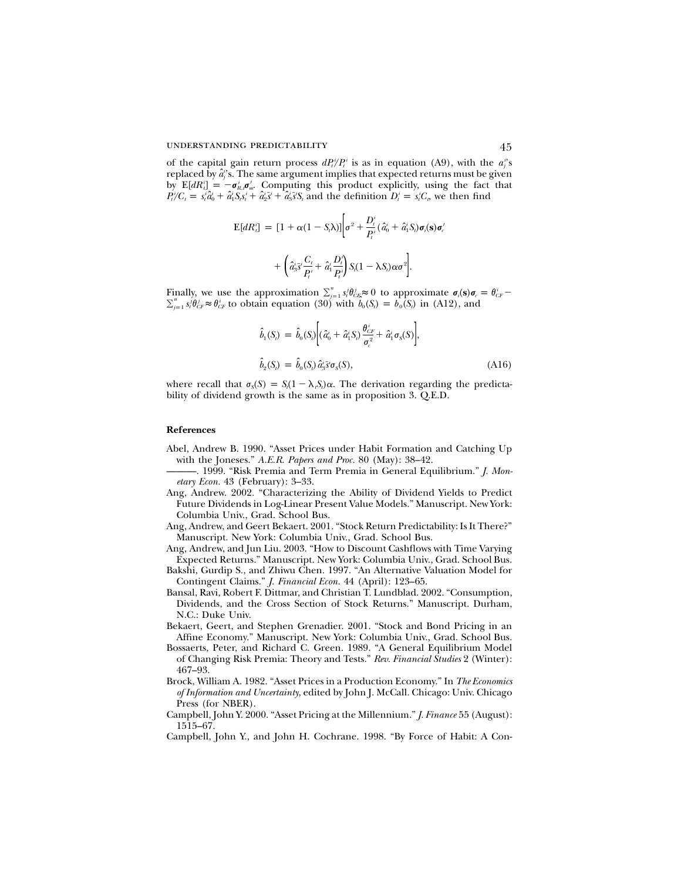of the capital gain return process  $dP_t^i/P_t^i$  is as in equation (A9), with the  $a_i^i$ s replaced by  $\hat{a}^i$ s. The same argument implies that expected returns must be given by  $E[dR_i^i] = -\sigma_{R_i}^i \sigma_{m_i}^i$ . Computing this product explicitly, using the fact that  $P_t^i/C_t = s_t^i \hat{a}_0^i + \hat{a}_1^i S_s s_t^i + \hat{a}_2^i \hat{s}^i + \hat{a}_3^i \hat{s}^i S_t$  and the definition  $D_t^i = s_t^i C_s$ , we then find

$$
\begin{aligned} \mathbf{E}[dR_i^i] \ &= [1 + \alpha(1 - S_i\lambda)] \bigg[ \sigma^2 + \frac{D_i^i}{P_i^i} (\hat{a}_0^i + \hat{a}_1^i S_i) \sigma_i(\mathbf{s}) \sigma_i^i \\ &+ \left( \hat{a}_3^i \overline{S} \frac{C_i}{P_i^i} + \hat{a}_1^i \frac{D_i^i}{P_i^i} \right) S_i (1 - \lambda S_i) \alpha \sigma^2 \bigg]. \end{aligned}
$$

Finally, we use the approximation  $\sum_{j=1}^{n} s_{i}^{j} \theta_{CF}^{j} \approx 0$  to approximate  $\sigma_{i}(\mathbf{s})\sigma_{c} = \theta_{CF}^{i} - \sum_{j=1}^{n} s_{i}^{j} \theta_{CF}^{j} \approx \theta_{CF}^{i}$  to obtain equation (30) with  $\hat{b}_{0}(S_{i}) = b_{0}(S_{i})$  in (A12), and

$$
\hat{b}_1(S_i) = \hat{b}_0(S_i) \Big[ (\hat{a}_0^i + \hat{a}_1^i S_i) \frac{\theta_{CF}^i}{\sigma_c^2} + \hat{a}_1^i \sigma_s(S) \Big],
$$
\n
$$
\hat{b}_2(S_i) = \hat{b}_0(S_i) \hat{a}_3^i \vec{s} \sigma_s(S),
$$
\n(A16)

where recall that  $\sigma_s(S) = S_l(1 - \lambda_i S_l) \alpha$ . The derivation regarding the predictability of dividend growth is the same as in proposition 3. Q.E.D.

### **References**

- Abel, Andrew B. 1990. "Asset Prices under Habit Formation and Catching Up with the Joneses." *A.E.R. Papers and Proc.* 80 (May): 38–42.
- ———. 1999. "Risk Premia and Term Premia in General Equilibrium." *J. Monetary Econ.* 43 (February): 3–33.
- Ang, Andrew. 2002. "Characterizing the Ability of Dividend Yields to Predict Future Dividends in Log-Linear Present Value Models." Manuscript. New York: Columbia Univ., Grad. School Bus.
- Ang, Andrew, and Geert Bekaert. 2001. "Stock Return Predictability: Is It There?" Manuscript. New York: Columbia Univ., Grad. School Bus.
- Ang, Andrew, and Jun Liu. 2003. "How to Discount Cashflows with Time Varying Expected Returns." Manuscript. New York: Columbia Univ., Grad. School Bus.
- Bakshi, Gurdip S., and Zhiwu Chen. 1997. "An Alternative Valuation Model for Contingent Claims." *J. Financial Econ.* 44 (April): 123–65.
- Bansal, Ravi, Robert F. Dittmar, and Christian T. Lundblad. 2002. "Consumption, Dividends, and the Cross Section of Stock Returns." Manuscript. Durham, N.C.: Duke Univ.
- Bekaert, Geert, and Stephen Grenadier. 2001. "Stock and Bond Pricing in an Affine Economy." Manuscript. New York: Columbia Univ., Grad. School Bus.
- Bossaerts, Peter, and Richard C. Green. 1989. "A General Equilibrium Model of Changing Risk Premia: Theory and Tests." *Rev. Financial Studies* 2 (Winter): 467–93.
- Brock, William A. 1982. "Asset Prices in a Production Economy." In *The Economics of Information and Uncertainty*, edited by John J. McCall. Chicago: Univ. Chicago Press (for NBER).
- Campbell, John Y. 2000. "Asset Pricing at the Millennium." *J. Finance* 55 (August): 1515–67.
- Campbell, John Y., and John H. Cochrane. 1998. "By Force of Habit: A Con-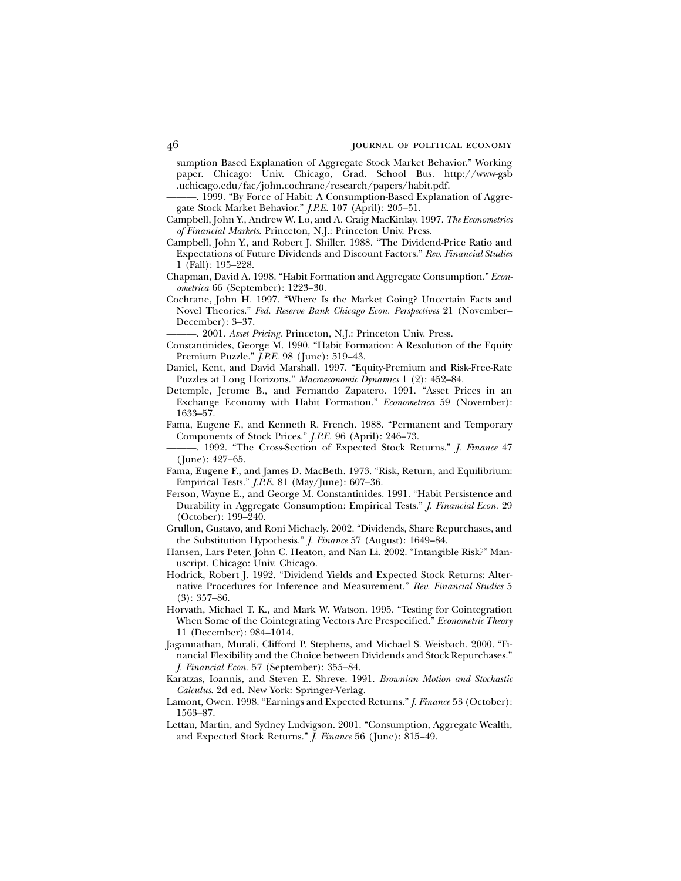- sumption Based Explanation of Aggregate Stock Market Behavior." Working paper. Chicago: Univ. Chicago, Grad. School Bus. http://www-gsb .uchicago.edu/fac/john.cochrane/research/papers/habit.pdf.
- -. 1999. "By Force of Habit: A Consumption-Based Explanation of Aggregate Stock Market Behavior." *J.P.E.* 107 (April): 205–51.
- Campbell, John Y., Andrew W. Lo, and A. Craig MacKinlay. 1997. *The Econometrics of Financial Markets*. Princeton, N.J.: Princeton Univ. Press.
- Campbell, John Y., and Robert J. Shiller. 1988. "The Dividend-Price Ratio and Expectations of Future Dividends and Discount Factors." *Rev. Financial Studies* 1 (Fall): 195–228.
- Chapman, David A. 1998. "Habit Formation and Aggregate Consumption." *Econometrica* 66 (September): 1223–30.
- Cochrane, John H. 1997. "Where Is the Market Going? Uncertain Facts and Novel Theories." *Fed. Reserve Bank Chicago Econ. Perspectives* 21 (November– December): 3–37.
- ———. 2001. *Asset Pricing*. Princeton, N.J.: Princeton Univ. Press.
- Constantinides, George M. 1990. "Habit Formation: A Resolution of the Equity Premium Puzzle." *J.P.E.* 98 (June): 519–43.
- Daniel, Kent, and David Marshall. 1997. "Equity-Premium and Risk-Free-Rate Puzzles at Long Horizons." *Macroeconomic Dynamics* 1 (2): 452–84.
- Detemple, Jerome B., and Fernando Zapatero. 1991. "Asset Prices in an Exchange Economy with Habit Formation." *Econometrica* 59 (November): 1633–57.
- Fama, Eugene F., and Kenneth R. French. 1988. "Permanent and Temporary Components of Stock Prices." *J.P.E.* 96 (April): 246–73.
- ———. 1992. "The Cross-Section of Expected Stock Returns." *J. Finance* 47 (June): 427–65.
- Fama, Eugene F., and James D. MacBeth. 1973. "Risk, Return, and Equilibrium: Empirical Tests." *J.P.E.* 81 (May/June): 607–36.
- Ferson, Wayne E., and George M. Constantinides. 1991. "Habit Persistence and Durability in Aggregate Consumption: Empirical Tests." *J. Financial Econ.* 29 (October): 199–240.
- Grullon, Gustavo, and Roni Michaely. 2002. "Dividends, Share Repurchases, and the Substitution Hypothesis." *J. Finance* 57 (August): 1649–84.
- Hansen, Lars Peter, John C. Heaton, and Nan Li. 2002. "Intangible Risk?" Manuscript. Chicago: Univ. Chicago.
- Hodrick, Robert J. 1992. "Dividend Yields and Expected Stock Returns: Alternative Procedures for Inference and Measurement." *Rev. Financial Studies* 5  $(3): 357 - 86.$
- Horvath, Michael T. K., and Mark W. Watson. 1995. "Testing for Cointegration When Some of the Cointegrating Vectors Are Prespecified." *Econometric Theory* 11 (December): 984–1014.
- Jagannathan, Murali, Clifford P. Stephens, and Michael S. Weisbach. 2000. "Financial Flexibility and the Choice between Dividends and Stock Repurchases." *J. Financial Econ.* 57 (September): 355–84.
- Karatzas, Ioannis, and Steven E. Shreve. 1991. *Brownian Motion and Stochastic Calculus*. 2d ed. New York: Springer-Verlag.
- Lamont, Owen. 1998. "Earnings and Expected Returns." *J. Finance* 53 (October): 1563–87.
- Lettau, Martin, and Sydney Ludvigson. 2001. "Consumption, Aggregate Wealth, and Expected Stock Returns." *J. Finance* 56 (June): 815–49.